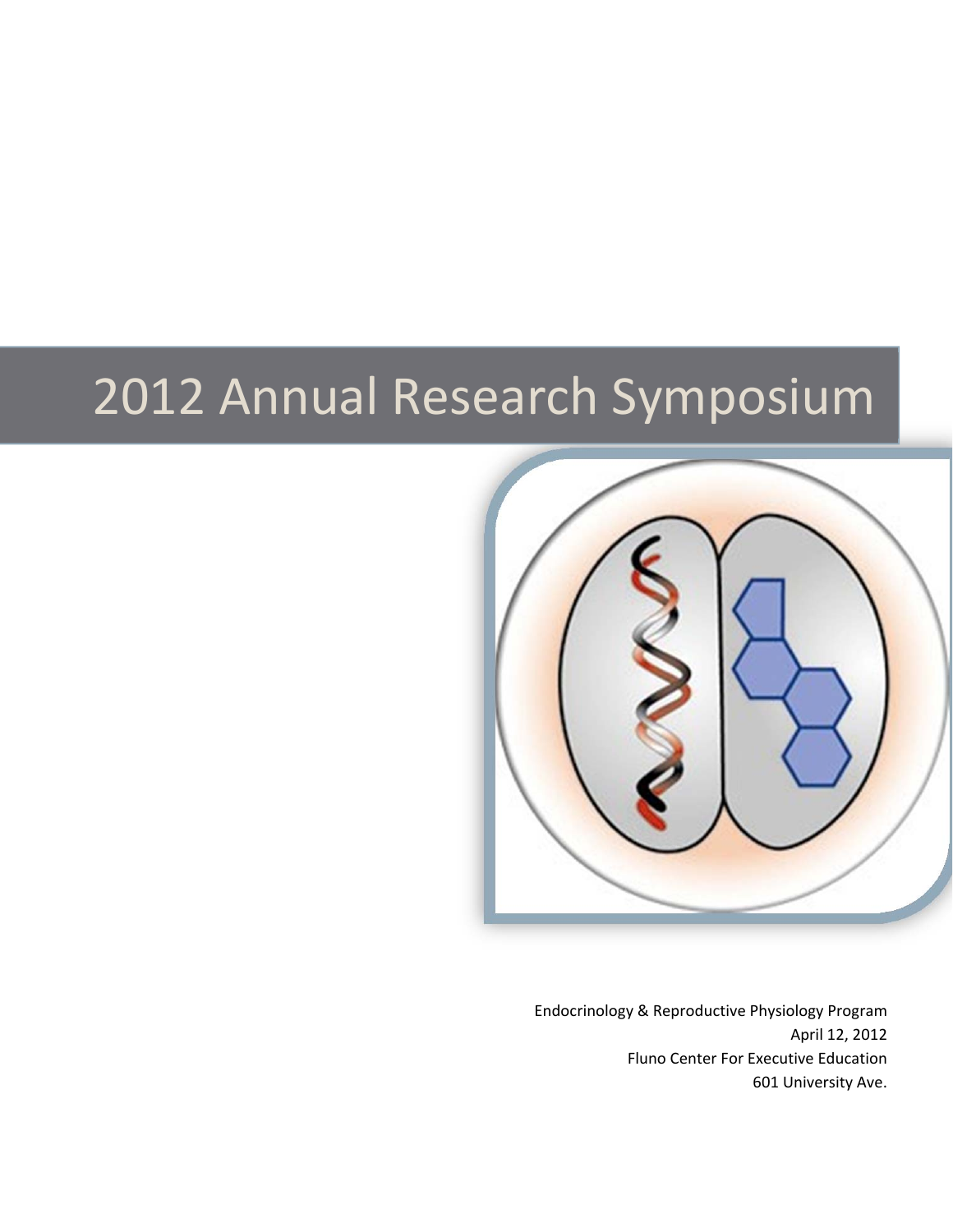# 2012 Annual Research Symposium



Endocrinology & Reproductive Physiology Program April 12, 2012 Fluno Center For Executive Education 601 University Ave.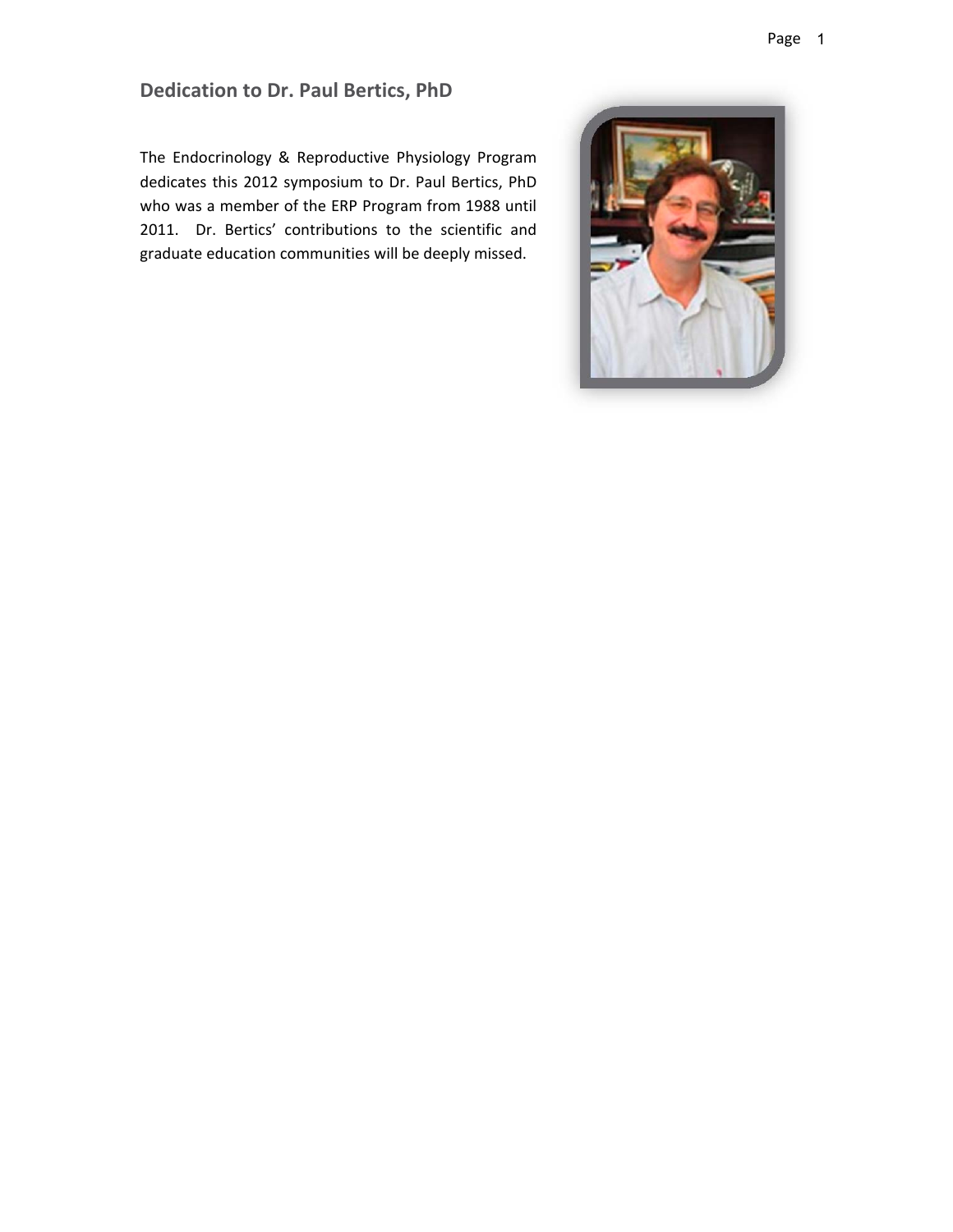# **Dedication to Dr. Paul Bertics, PhD**

The Endocrinology & Reproductive Physiology Program dedicates this 2012 symposium to Dr. Paul Bertics, PhD who was a member of the ERP Program from 1988 until 2011. Dr. Bertics' contributions to the scientific and graduate education communities will be deeply missed.

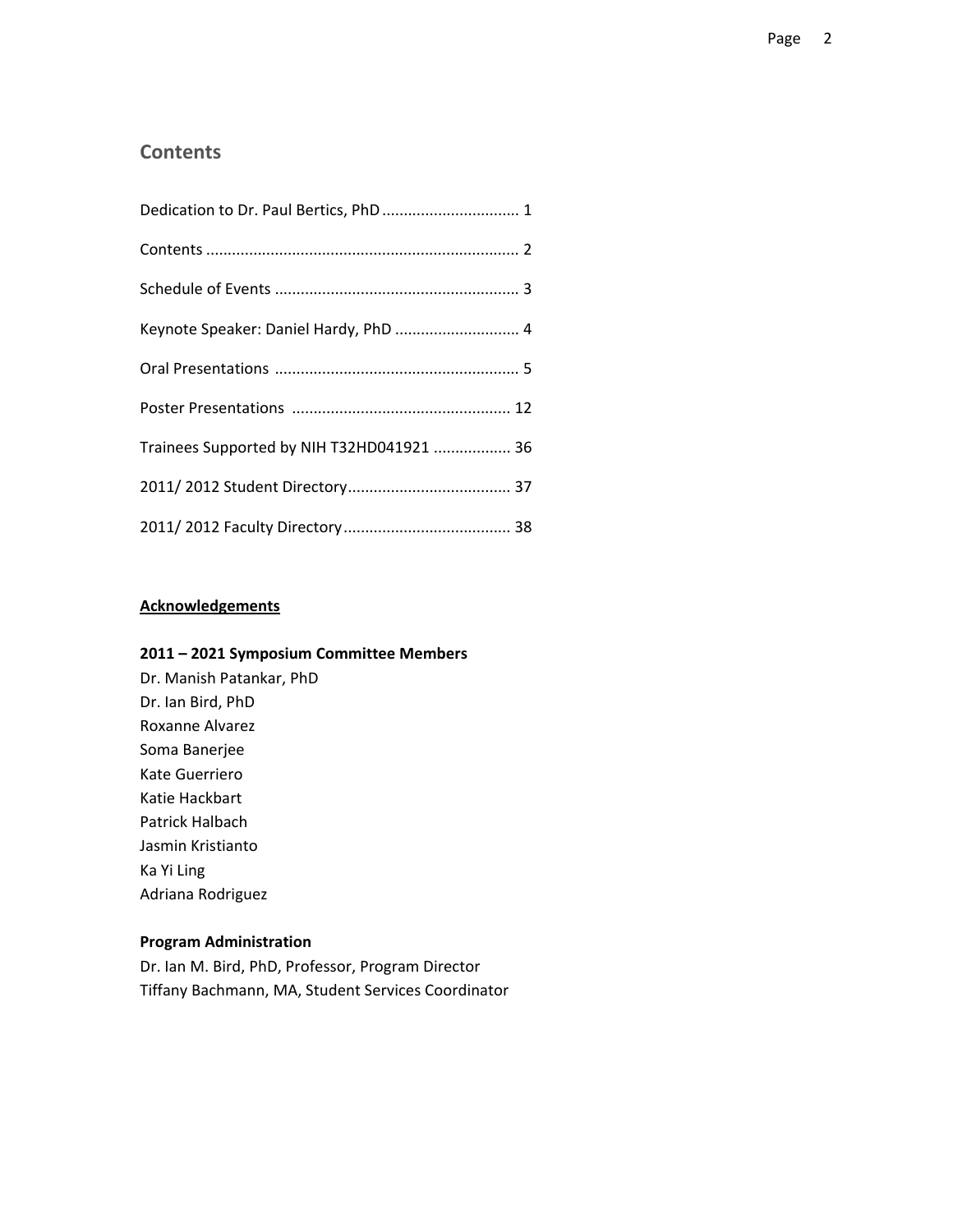### **Contents**

| Keynote Speaker: Daniel Hardy, PhD  4     |
|-------------------------------------------|
|                                           |
|                                           |
| Trainees Supported by NIH T32HD041921  36 |
|                                           |
|                                           |

#### **Acknowledgements**

#### **2011 – 2021 Symposium Committee Members**

Dr. Manish Patankar, PhD Dr. Ian Bird, PhD Roxanne Alvarez Soma Banerjee Kate Guerriero Katie Hackbart Patrick Halbach Jasmin Kristianto Ka Yi Ling Adriana Rodriguez

#### **Program Administration**

Dr. Ian M. Bird, PhD, Professor, Program Director Tiffany Bachmann, MA, Student Services Coordinator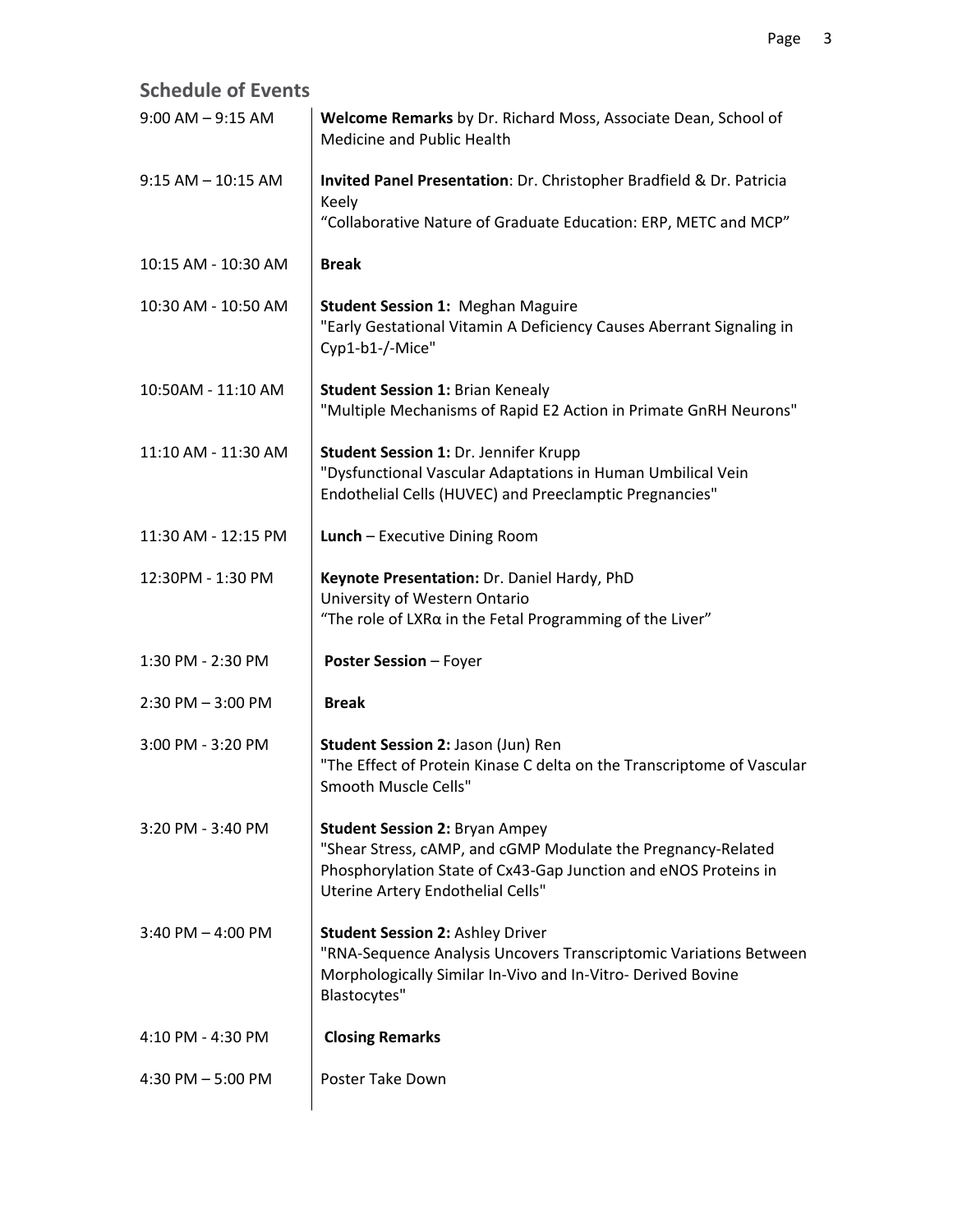| <b>Schedule of Events</b> |                                                                                                                                                                                                               |
|---------------------------|---------------------------------------------------------------------------------------------------------------------------------------------------------------------------------------------------------------|
| $9:00$ AM $-9:15$ AM      | Welcome Remarks by Dr. Richard Moss, Associate Dean, School of<br>Medicine and Public Health                                                                                                                  |
| $9:15$ AM $-$ 10:15 AM    | Invited Panel Presentation: Dr. Christopher Bradfield & Dr. Patricia<br>Keely                                                                                                                                 |
|                           | "Collaborative Nature of Graduate Education: ERP, METC and MCP"                                                                                                                                               |
| 10:15 AM - 10:30 AM       | <b>Break</b>                                                                                                                                                                                                  |
| 10:30 AM - 10:50 AM       | <b>Student Session 1: Meghan Maguire</b><br>"Early Gestational Vitamin A Deficiency Causes Aberrant Signaling in<br>Cyp1-b1-/-Mice"                                                                           |
| 10:50AM - 11:10 AM        | <b>Student Session 1: Brian Kenealy</b><br>"Multiple Mechanisms of Rapid E2 Action in Primate GnRH Neurons"                                                                                                   |
| 11:10 AM - 11:30 AM       | <b>Student Session 1: Dr. Jennifer Krupp</b><br>"Dysfunctional Vascular Adaptations in Human Umbilical Vein<br>Endothelial Cells (HUVEC) and Preeclamptic Pregnancies"                                        |
| 11:30 AM - 12:15 PM       | Lunch - Executive Dining Room                                                                                                                                                                                 |
| 12:30PM - 1:30 PM         | Keynote Presentation: Dr. Daniel Hardy, PhD<br>University of Western Ontario<br>"The role of LXR $\alpha$ in the Fetal Programming of the Liver"                                                              |
| 1:30 PM - 2:30 PM         | <b>Poster Session - Foyer</b>                                                                                                                                                                                 |
| $2:30$ PM $-3:00$ PM      | <b>Break</b>                                                                                                                                                                                                  |
| 3:00 PM - 3:20 PM         | Student Session 2: Jason (Jun) Ren<br>"The Effect of Protein Kinase C delta on the Transcriptome of Vascular<br>Smooth Muscle Cells"                                                                          |
| 3:20 PM - 3:40 PM         | <b>Student Session 2: Bryan Ampey</b><br>"Shear Stress, cAMP, and cGMP Modulate the Pregnancy-Related<br>Phosphorylation State of Cx43-Gap Junction and eNOS Proteins in<br>Uterine Artery Endothelial Cells" |
| $3:40$ PM $-$ 4:00 PM     | <b>Student Session 2: Ashley Driver</b><br>"RNA-Sequence Analysis Uncovers Transcriptomic Variations Between<br>Morphologically Similar In-Vivo and In-Vitro- Derived Bovine<br>Blastocytes"                  |
| 4:10 PM - 4:30 PM         | <b>Closing Remarks</b>                                                                                                                                                                                        |
| 4:30 PM $-$ 5:00 PM       | Poster Take Down                                                                                                                                                                                              |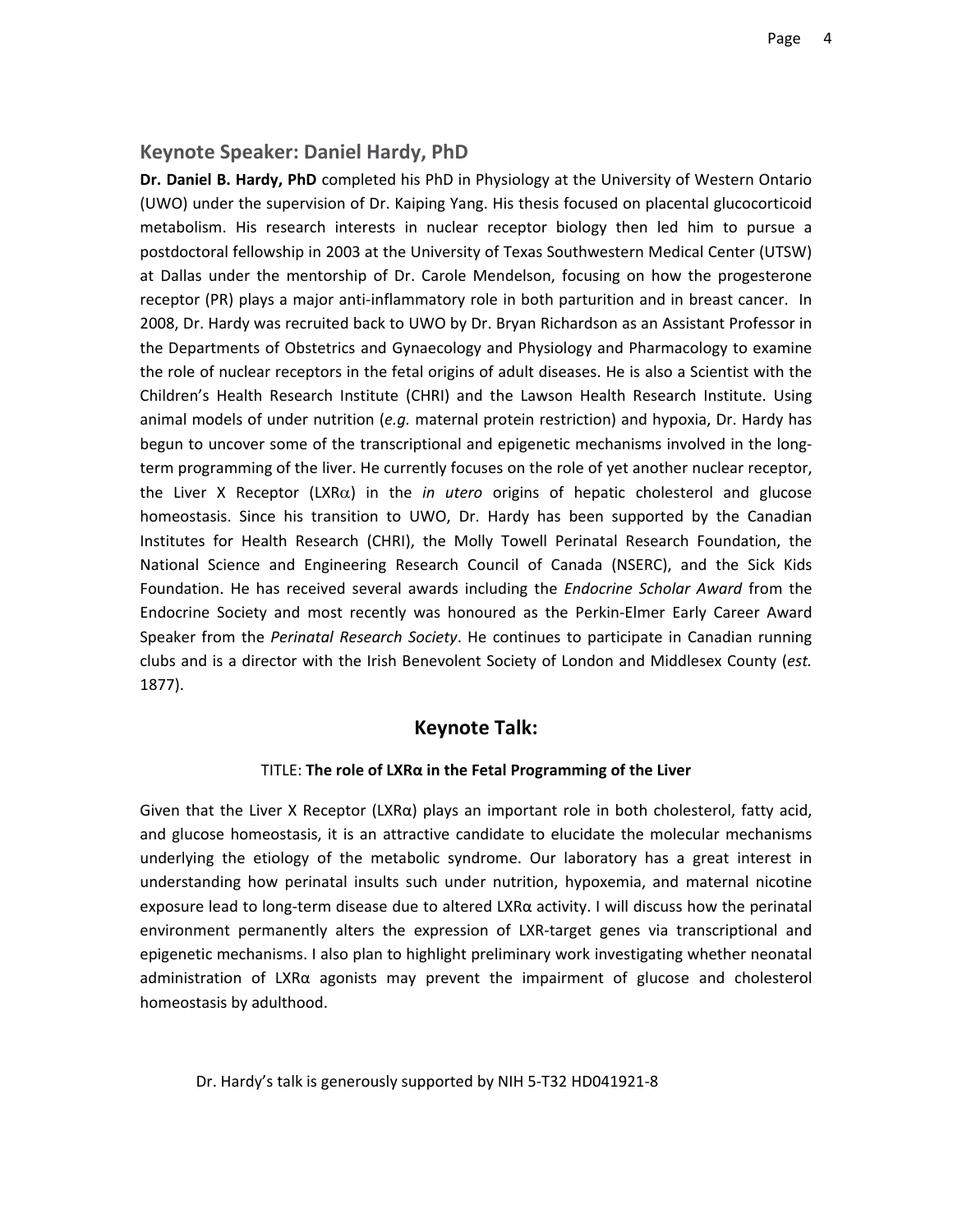#### **Keynote Speaker: Daniel Hardy, PhD**

**Dr. Daniel B. Hardy, PhD** completed his PhD in Physiology at the University of Western Ontario (UWO) under the supervision of Dr. Kaiping Yang. His thesis focused on placental glucocorticoid metabolism. His research interests in nuclear receptor biology then led him to pursue a postdoctoral fellowship in 2003 at the University of Texas Southwestern Medical Center (UTSW) at Dallas under the mentorship of Dr. Carole Mendelson, focusing on how the progesterone receptor (PR) plays a major anti‐inflammatory role in both parturition and in breast cancer. In 2008, Dr. Hardy was recruited back to UWO by Dr. Bryan Richardson as an Assistant Professor in the Departments of Obstetrics and Gynaecology and Physiology and Pharmacology to examine the role of nuclear receptors in the fetal origins of adult diseases. He is also a Scientist with the Children's Health Research Institute (CHRI) and the Lawson Health Research Institute. Using animal models of under nutrition (*e.g.* maternal protein restriction) and hypoxia, Dr. Hardy has begun to uncover some of the transcriptional and epigenetic mechanisms involved in the longterm programming of the liver. He currently focuses on the role of yet another nuclear receptor, the Liver X Receptor (LXR $\alpha$ ) in the *in utero* origins of hepatic cholesterol and glucose homeostasis. Since his transition to UWO, Dr. Hardy has been supported by the Canadian Institutes for Health Research (CHRI), the Molly Towell Perinatal Research Foundation, the National Science and Engineering Research Council of Canada (NSERC), and the Sick Kids Foundation. He has received several awards including the *Endocrine Scholar Award* from the Endocrine Society and most recently was honoured as the Perkin‐Elmer Early Career Award Speaker from the *Perinatal Research Society*. He continues to participate in Canadian running clubs and is a director with the Irish Benevolent Society of London and Middlesex County (*est.* 1877).

#### **Keynote Talk:**

#### TITLE: **The role of LXRα in the Fetal Programming of the Liver**

Given that the Liver X Receptor (LXR $\alpha$ ) plays an important role in both cholesterol, fatty acid, and glucose homeostasis, it is an attractive candidate to elucidate the molecular mechanisms underlying the etiology of the metabolic syndrome. Our laboratory has a great interest in understanding how perinatal insults such under nutrition, hypoxemia, and maternal nicotine exposure lead to long‐term disease due to altered LXRα activity. I will discuss how the perinatal environment permanently alters the expression of LXR-target genes via transcriptional and epigenetic mechanisms. I also plan to highlight preliminary work investigating whether neonatal administration of LXRα agonists may prevent the impairment of glucose and cholesterol homeostasis by adulthood.

Dr. Hardy's talk is generously supported by NIH 5‐T32 HD041921‐8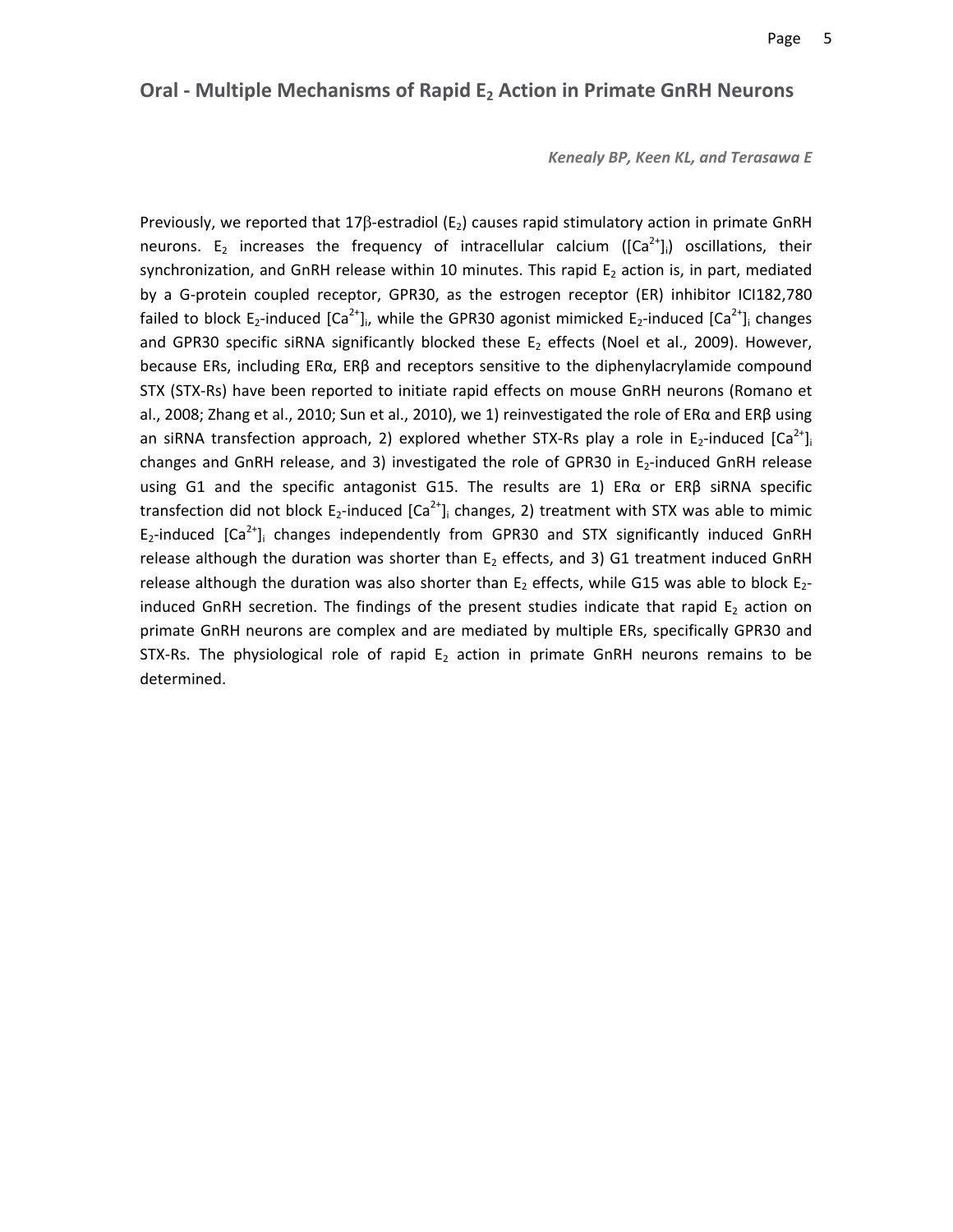#### **Oral ‐ Multiple Mechanisms of Rapid E2 Action in Primate GnRH Neurons**

*Kenealy BP, Keen KL, and Terasawa E*

Previously, we reported that 17 $\beta$ -estradiol (E<sub>2</sub>) causes rapid stimulatory action in primate GnRH neurons. E<sub>2</sub> increases the frequency of intracellular calcium ( $[Ca^{2+}]_i$ ) oscillations, their synchronization, and GnRH release within 10 minutes. This rapid  $E_2$  action is, in part, mediated by a G‐protein coupled receptor, GPR30, as the estrogen receptor (ER) inhibitor ICI182,780 failed to block E<sub>2</sub>-induced [Ca<sup>2+</sup>], while the GPR30 agonist mimicked E<sub>2</sub>-induced [Ca<sup>2+</sup>], changes and GPR30 specific siRNA significantly blocked these  $E_2$  effects (Noel et al., 2009). However, because ERs, including ERα, ERβ and receptors sensitive to the diphenylacrylamide compound STX (STX‐Rs) have been reported to initiate rapid effects on mouse GnRH neurons (Romano et al., 2008; Zhang et al., 2010; Sun et al., 2010), we 1) reinvestigated the role of ERα and ERβ using an siRNA transfection approach, 2) explored whether STX-Rs play a role in E<sub>2</sub>-induced  $[Ca<sup>2+</sup>]<sub>i</sub>$ changes and GnRH release, and 3) investigated the role of GPR30 in E<sub>2</sub>-induced GnRH release using G1 and the specific antagonist G15. The results are 1) ERα or ERβ siRNA specific transfection did not block  $E_2$ -induced  $[Ca^{2+}]\$  changes, 2) treatment with STX was able to mimic  $E_2$ -induced  $[Ca^{2+}$ ]<sub>i</sub> changes independently from GPR30 and STX significantly induced GnRH release although the duration was shorter than  $E_2$  effects, and 3) G1 treatment induced GnRH release although the duration was also shorter than  $E_2$  effects, while G15 was able to block  $E_2$ induced GnRH secretion. The findings of the present studies indicate that rapid  $E_2$  action on primate GnRH neurons are complex and are mediated by multiple ERs, specifically GPR30 and STX-Rs. The physiological role of rapid  $E_2$  action in primate GnRH neurons remains to be determined.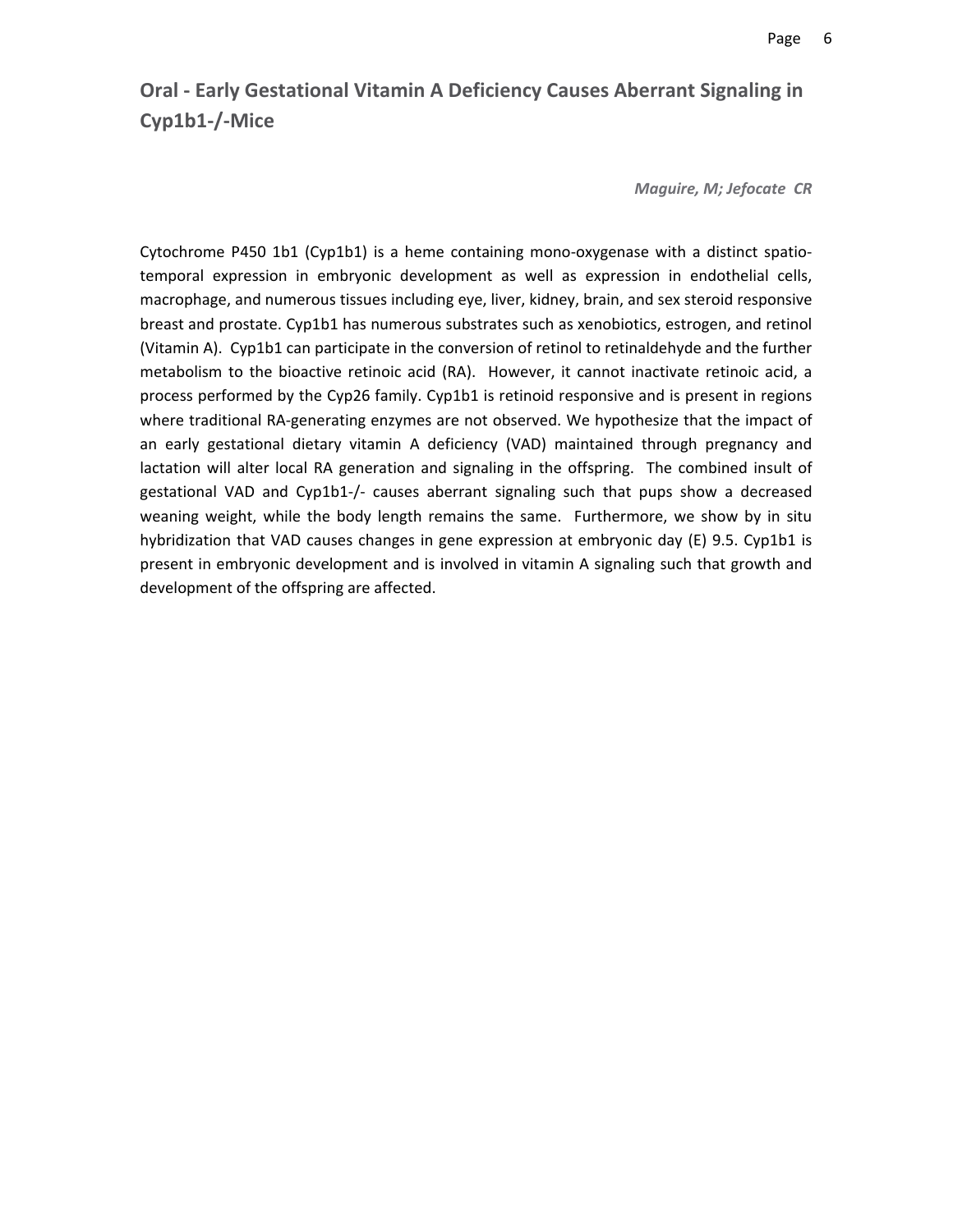# **Oral ‐ Early Gestational Vitamin A Deficiency Causes Aberrant Signaling in Cyp1b1‐/‐Mice**

*Maguire, M; Jefocate CR* 

Cytochrome P450 1b1 (Cyp1b1) is a heme containing mono‐oxygenase with a distinct spatio‐ temporal expression in embryonic development as well as expression in endothelial cells, macrophage, and numerous tissues including eye, liver, kidney, brain, and sex steroid responsive breast and prostate. Cyp1b1 has numerous substrates such as xenobiotics, estrogen, and retinol (Vitamin A). Cyp1b1 can participate in the conversion of retinol to retinaldehyde and the further metabolism to the bioactive retinoic acid (RA). However, it cannot inactivate retinoic acid, a process performed by the Cyp26 family. Cyp1b1 is retinoid responsive and is present in regions where traditional RA‐generating enzymes are not observed. We hypothesize that the impact of an early gestational dietary vitamin A deficiency (VAD) maintained through pregnancy and lactation will alter local RA generation and signaling in the offspring. The combined insult of gestational VAD and Cyp1b1-/- causes aberrant signaling such that pups show a decreased weaning weight, while the body length remains the same. Furthermore, we show by in situ hybridization that VAD causes changes in gene expression at embryonic day (E) 9.5. Cyp1b1 is present in embryonic development and is involved in vitamin A signaling such that growth and development of the offspring are affected.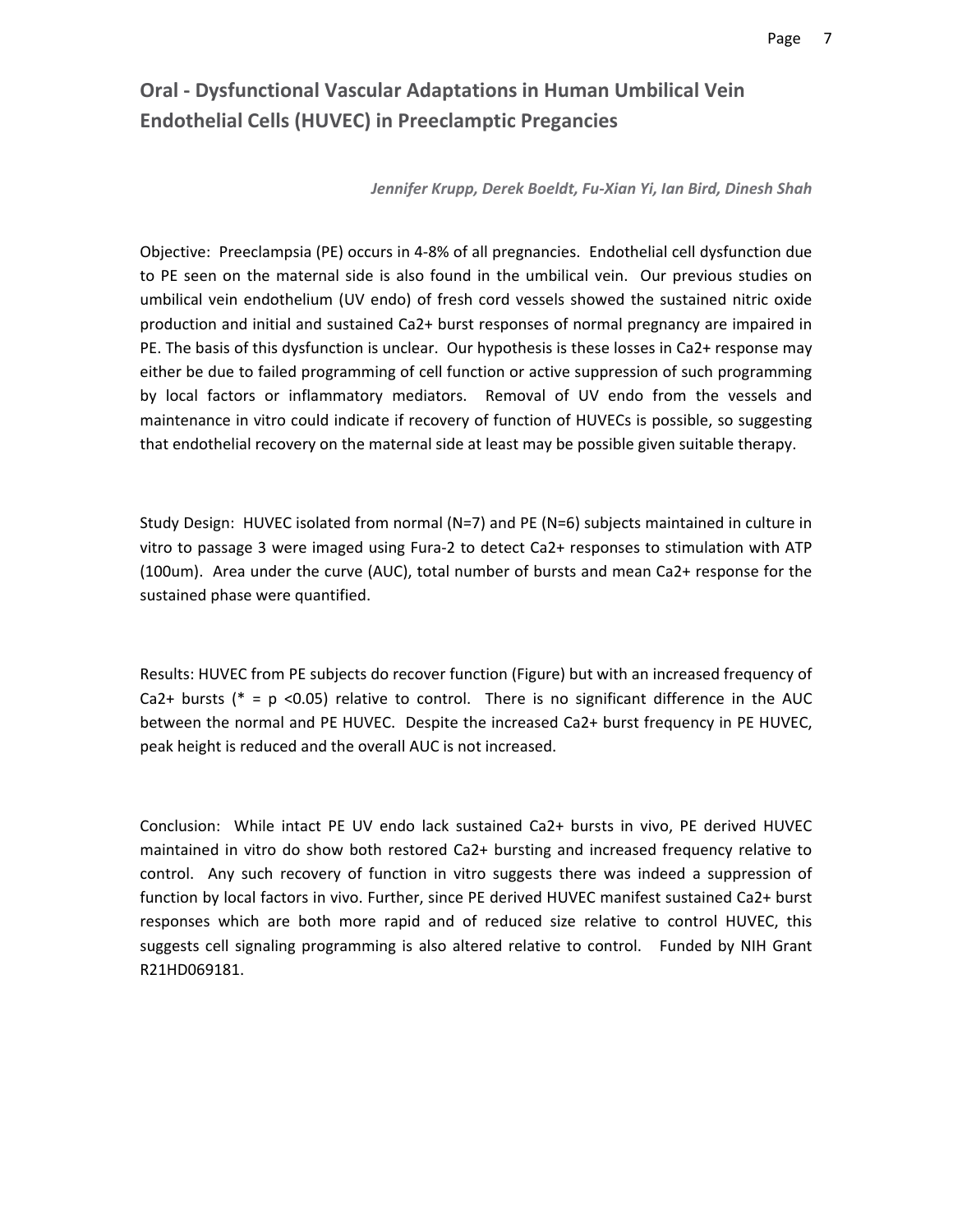# **Oral ‐ Dysfunctional Vascular Adaptations in Human Umbilical Vein Endothelial Cells (HUVEC) in Preeclamptic Pregancies**

#### *Jennifer Krupp, Derek Boeldt, Fu‐Xian Yi, Ian Bird, Dinesh Shah*

Objective: Preeclampsia (PE) occurs in 4‐8% of all pregnancies. Endothelial cell dysfunction due to PE seen on the maternal side is also found in the umbilical vein. Our previous studies on umbilical vein endothelium (UV endo) of fresh cord vessels showed the sustained nitric oxide production and initial and sustained Ca2+ burst responses of normal pregnancy are impaired in PE. The basis of this dysfunction is unclear. Our hypothesis is these losses in Ca2+ response may either be due to failed programming of cell function or active suppression of such programming by local factors or inflammatory mediators. Removal of UV endo from the vessels and maintenance in vitro could indicate if recovery of function of HUVECs is possible, so suggesting that endothelial recovery on the maternal side at least may be possible given suitable therapy.

Study Design: HUVEC isolated from normal (N=7) and PE (N=6) subjects maintained in culture in vitro to passage 3 were imaged using Fura‐2 to detect Ca2+ responses to stimulation with ATP (100um). Area under the curve (AUC), total number of bursts and mean Ca2+ response for the sustained phase were quantified.

Results: HUVEC from PE subjects do recover function (Figure) but with an increased frequency of Ca2+ bursts ( $* = p$  <0.05) relative to control. There is no significant difference in the AUC between the normal and PE HUVEC. Despite the increased Ca2+ burst frequency in PE HUVEC, peak height is reduced and the overall AUC is not increased.

Conclusion: While intact PE UV endo lack sustained Ca2+ bursts in vivo, PE derived HUVEC maintained in vitro do show both restored Ca2+ bursting and increased frequency relative to control. Any such recovery of function in vitro suggests there was indeed a suppression of function by local factors in vivo. Further, since PE derived HUVEC manifest sustained Ca2+ burst responses which are both more rapid and of reduced size relative to control HUVEC, this suggests cell signaling programming is also altered relative to control. Funded by NIH Grant R21HD069181.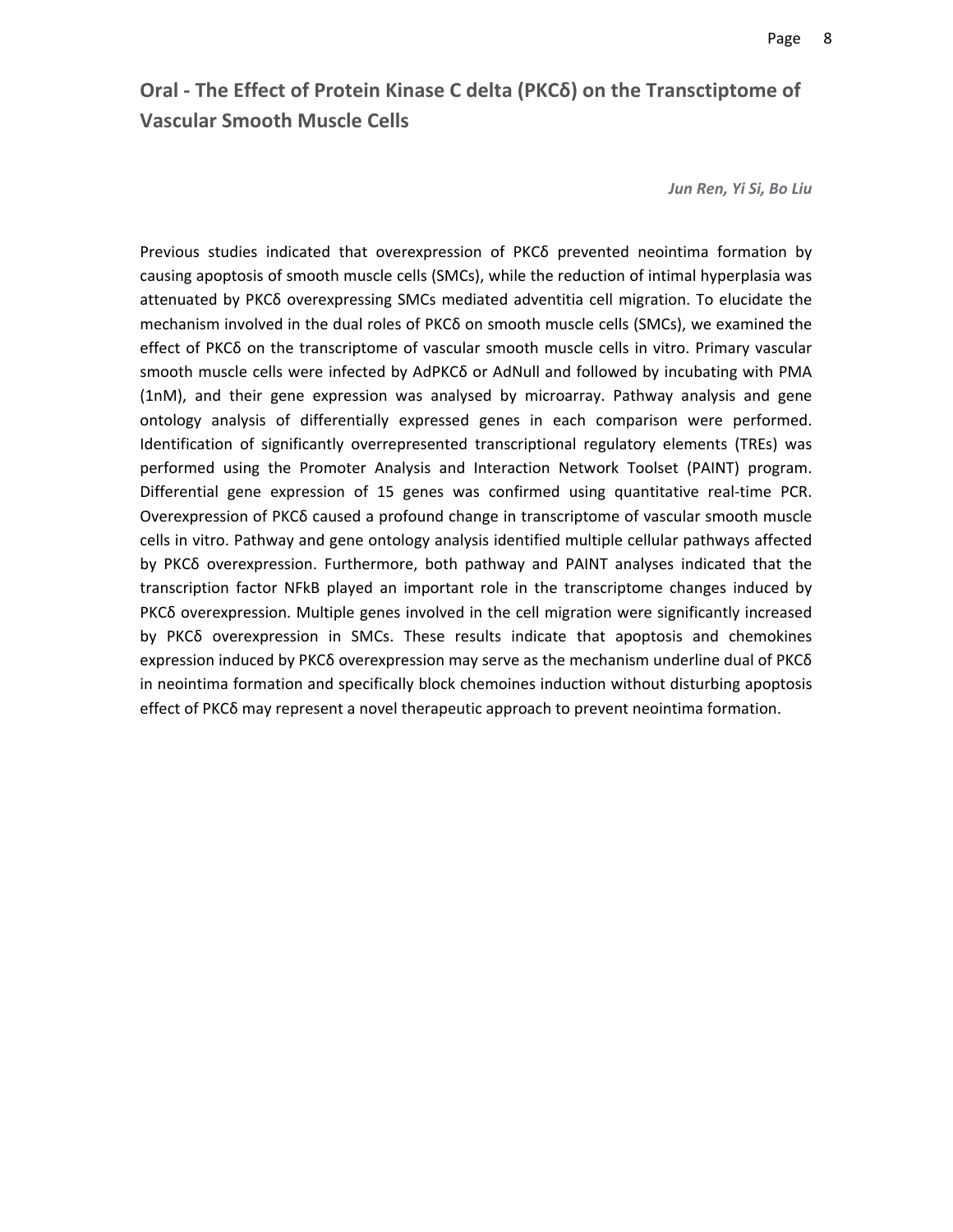# **Oral ‐ The Effect of Protein Kinase C delta (PKCδ) on the Transctiptome of Vascular Smooth Muscle Cells**

*Jun Ren, Yi Si, Bo Liu*

Previous studies indicated that overexpression of PKCδ prevented neointima formation by causing apoptosis of smooth muscle cells (SMCs), while the reduction of intimal hyperplasia was attenuated by PKCδ overexpressing SMCs mediated adventitia cell migration. To elucidate the mechanism involved in the dual roles of PKCδ on smooth muscle cells (SMCs), we examined the effect of PKCδ on the transcriptome of vascular smooth muscle cells in vitro. Primary vascular smooth muscle cells were infected by AdPKCδ or AdNull and followed by incubating with PMA (1nM), and their gene expression was analysed by microarray. Pathway analysis and gene ontology analysis of differentially expressed genes in each comparison were performed. Identification of significantly overrepresented transcriptional regulatory elements (TREs) was performed using the Promoter Analysis and Interaction Network Toolset (PAINT) program. Differential gene expression of 15 genes was confirmed using quantitative real‐time PCR. Overexpression of PKCδ caused a profound change in transcriptome of vascular smooth muscle cells in vitro. Pathway and gene ontology analysis identified multiple cellular pathways affected by PKCδ overexpression. Furthermore, both pathway and PAINT analyses indicated that the transcription factor NFkB played an important role in the transcriptome changes induced by PKCδ overexpression. Multiple genes involved in the cell migration were significantly increased by PKCδ overexpression in SMCs. These results indicate that apoptosis and chemokines expression induced by PKCδ overexpression may serve as the mechanism underline dual of PKCδ in neointima formation and specifically block chemoines induction without disturbing apoptosis effect of PKCδ may represent a novel therapeutic approach to prevent neointima formation.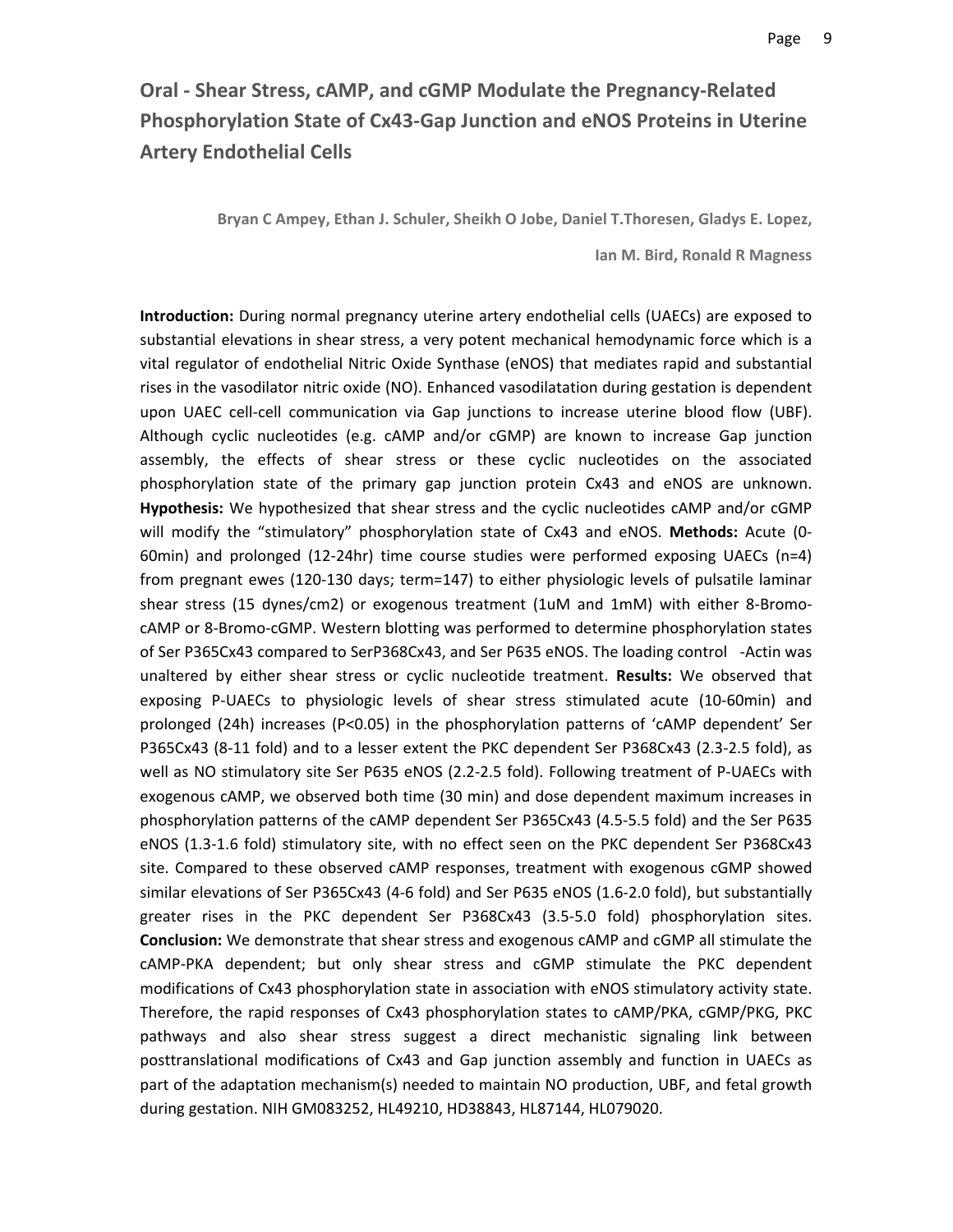# **Oral ‐ Shear Stress, cAMP, and cGMP Modulate the Pregnancy‐Related Phosphorylation State of Cx43‐Gap Junction and eNOS Proteins in Uterine Artery Endothelial Cells**

**Bryan C Ampey, Ethan J. Schuler, Sheikh O Jobe, Daniel T.Thoresen, Gladys E. Lopez,** 

**Ian M. Bird, Ronald R Magness**

**Introduction:** During normal pregnancy uterine artery endothelial cells (UAECs) are exposed to substantial elevations in shear stress, a very potent mechanical hemodynamic force which is a vital regulator of endothelial Nitric Oxide Synthase (eNOS) that mediates rapid and substantial rises in the vasodilator nitric oxide (NO). Enhanced vasodilatation during gestation is dependent upon UAEC cell-cell communication via Gap junctions to increase uterine blood flow (UBF). Although cyclic nucleotides (e.g. cAMP and/or cGMP) are known to increase Gap junction assembly, the effects of shear stress or these cyclic nucleotides on the associated phosphorylation state of the primary gap junction protein Cx43 and eNOS are unknown. **Hypothesis:** We hypothesized that shear stress and the cyclic nucleotides cAMP and/or cGMP will modify the "stimulatory" phosphorylation state of Cx43 and eNOS. **Methods:** Acute (0‐ 60min) and prolonged (12‐24hr) time course studies were performed exposing UAECs (n=4) from pregnant ewes (120‐130 days; term=147) to either physiologic levels of pulsatile laminar shear stress (15 dynes/cm2) or exogenous treatment (1uM and 1mM) with either 8-BromocAMP or 8‐Bromo‐cGMP. Western blotting was performed to determine phosphorylation states of Ser P365Cx43 compared to SerP368Cx43, and Ser P635 eNOS. The loading control ‐Actin was unaltered by either shear stress or cyclic nucleotide treatment. **Results:** We observed that exposing P‐UAECs to physiologic levels of shear stress stimulated acute (10‐60min) and prolonged (24h) increases (P<0.05) in the phosphorylation patterns of 'cAMP dependent' Ser P365Cx43 (8‐11 fold) and to a lesser extent the PKC dependent Ser P368Cx43 (2.3‐2.5 fold), as well as NO stimulatory site Ser P635 eNOS (2.2‐2.5 fold). Following treatment of P‐UAECs with exogenous cAMP, we observed both time (30 min) and dose dependent maximum increases in phosphorylation patterns of the cAMP dependent Ser P365Cx43 (4.5‐5.5 fold) and the Ser P635 eNOS (1.3‐1.6 fold) stimulatory site, with no effect seen on the PKC dependent Ser P368Cx43 site. Compared to these observed cAMP responses, treatment with exogenous cGMP showed similar elevations of Ser P365Cx43 (4‐6 fold) and Ser P635 eNOS (1.6‐2.0 fold), but substantially greater rises in the PKC dependent Ser P368Cx43 (3.5‐5.0 fold) phosphorylation sites. **Conclusion:** We demonstrate that shear stress and exogenous cAMP and cGMP all stimulate the cAMP‐PKA dependent; but only shear stress and cGMP stimulate the PKC dependent modifications of Cx43 phosphorylation state in association with eNOS stimulatory activity state. Therefore, the rapid responses of Cx43 phosphorylation states to cAMP/PKA, cGMP/PKG, PKC pathways and also shear stress suggest a direct mechanistic signaling link between posttranslational modifications of Cx43 and Gap junction assembly and function in UAECs as part of the adaptation mechanism(s) needed to maintain NO production, UBF, and fetal growth during gestation. NIH GM083252, HL49210, HD38843, HL87144, HL079020.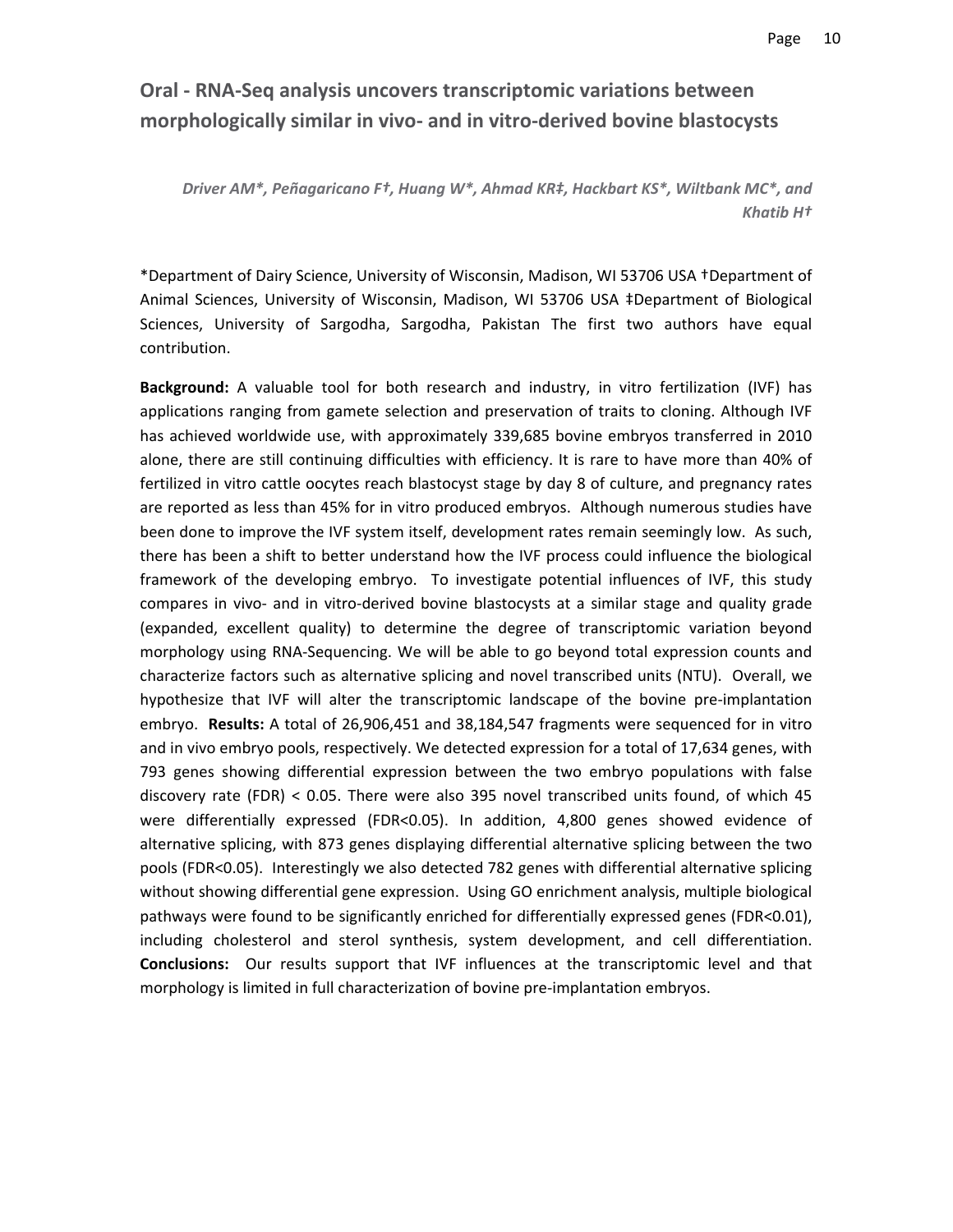# **Oral ‐ RNA‐Seq analysis uncovers transcriptomic variations between morphologically similar in vivo‐ and in vitro‐derived bovine blastocysts**

*Driver AM\*, Peñagaricano F†, Huang W\*, Ahmad KR‡, Hackbart KS\*, Wiltbank MC\*, and Khatib H†*

\*Department of Dairy Science, University of Wisconsin, Madison, WI 53706 USA †Department of Animal Sciences, University of Wisconsin, Madison, WI 53706 USA ‡Department of Biological Sciences, University of Sargodha, Sargodha, Pakistan The first two authors have equal contribution.

**Background:** A valuable tool for both research and industry, in vitro fertilization (IVF) has applications ranging from gamete selection and preservation of traits to cloning. Although IVF has achieved worldwide use, with approximately 339,685 bovine embryos transferred in 2010 alone, there are still continuing difficulties with efficiency. It is rare to have more than 40% of fertilized in vitro cattle oocytes reach blastocyst stage by day 8 of culture, and pregnancy rates are reported as less than 45% for in vitro produced embryos. Although numerous studies have been done to improve the IVF system itself, development rates remain seemingly low. As such, there has been a shift to better understand how the IVF process could influence the biological framework of the developing embryo. To investigate potential influences of IVF, this study compares in vivo‐ and in vitro‐derived bovine blastocysts at a similar stage and quality grade (expanded, excellent quality) to determine the degree of transcriptomic variation beyond morphology using RNA‐Sequencing. We will be able to go beyond total expression counts and characterize factors such as alternative splicing and novel transcribed units (NTU). Overall, we hypothesize that IVF will alter the transcriptomic landscape of the bovine pre-implantation embryo. **Results:** A total of 26,906,451 and 38,184,547 fragments were sequenced for in vitro and in vivo embryo pools, respectively. We detected expression for a total of 17,634 genes, with 793 genes showing differential expression between the two embryo populations with false discovery rate (FDR) < 0.05. There were also 395 novel transcribed units found, of which 45 were differentially expressed (FDR<0.05). In addition, 4,800 genes showed evidence of alternative splicing, with 873 genes displaying differential alternative splicing between the two pools (FDR<0.05). Interestingly we also detected 782 genes with differential alternative splicing without showing differential gene expression. Using GO enrichment analysis, multiple biological pathways were found to be significantly enriched for differentially expressed genes (FDR<0.01), including cholesterol and sterol synthesis, system development, and cell differentiation. **Conclusions:** Our results support that IVF influences at the transcriptomic level and that morphology is limited in full characterization of bovine pre-implantation embryos.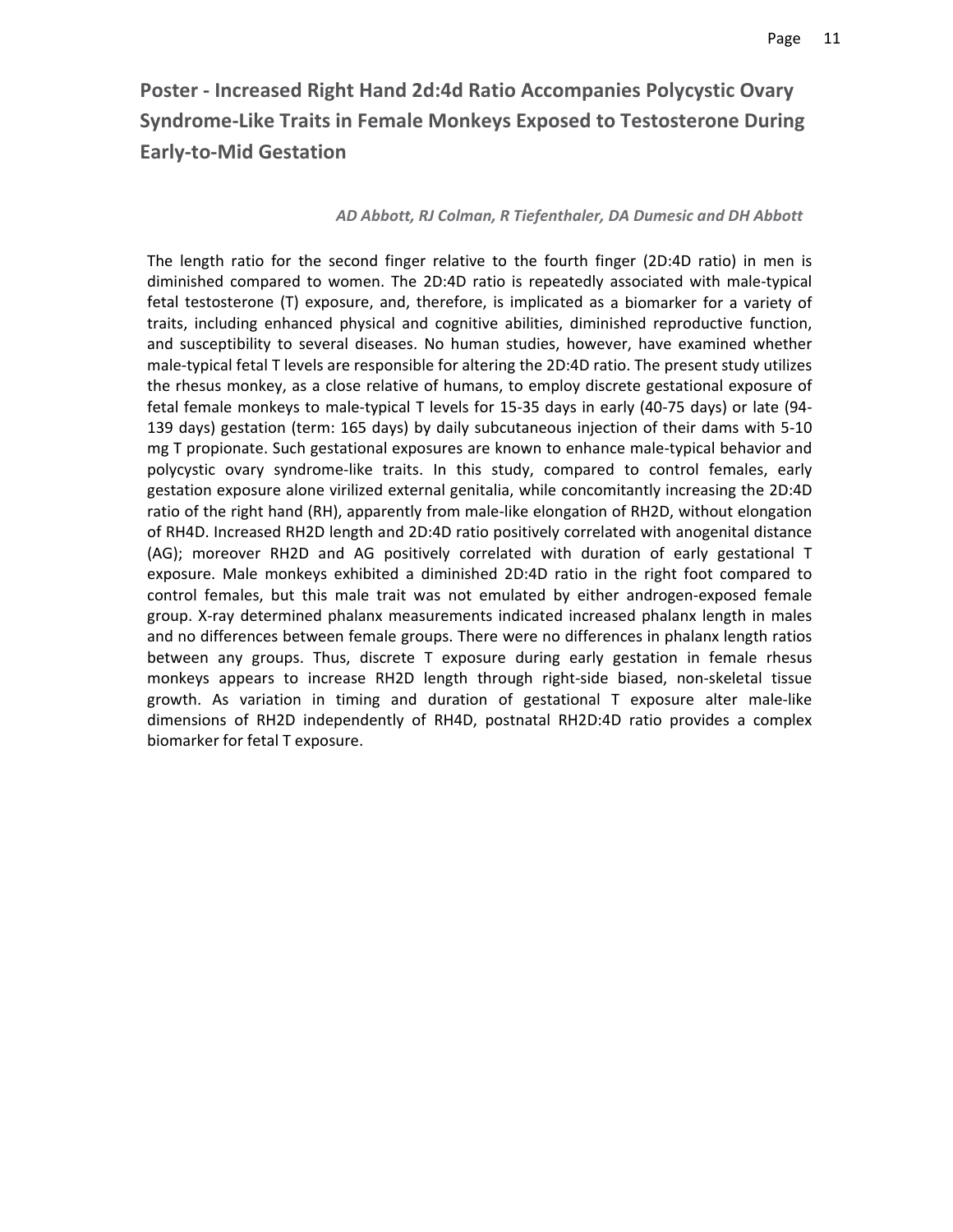# **Poster ‐ Increased Right Hand 2d:4d Ratio Accompanies Polycystic Ovary Syndrome‐Like Traits in Female Monkeys Exposed to Testosterone During Early‐to‐Mid Gestation**

#### *AD Abbott, RJ Colman, R Tiefenthaler, DA Dumesic and DH Abbott*

The length ratio for the second finger relative to the fourth finger (2D:4D ratio) in men is diminished compared to women. The 2D:4D ratio is repeatedly associated with male‐typical fetal testosterone (T) exposure, and, therefore, is implicated as a biomarker for a variety of traits, including enhanced physical and cognitive abilities, diminished reproductive function, and susceptibility to several diseases. No human studies, however, have examined whether male-typical fetal T levels are responsible for altering the 2D:4D ratio. The present study utilizes the rhesus monkey, as a close relative of humans, to employ discrete gestational exposure of fetal female monkeys to male‐typical T levels for 15‐35 days in early (40‐75 days) or late (94‐ 139 days) gestation (term: 165 days) by daily subcutaneous injection of their dams with 5‐10 mg T propionate. Such gestational exposures are known to enhance male‐typical behavior and polycystic ovary syndrome‐like traits. In this study, compared to control females, early gestation exposure alone virilized external genitalia, while concomitantly increasing the 2D:4D ratio of the right hand (RH), apparently from male-like elongation of RH2D, without elongation of RH4D. Increased RH2D length and 2D:4D ratio positively correlated with anogenital distance (AG); moreover RH2D and AG positively correlated with duration of early gestational T exposure. Male monkeys exhibited a diminished 2D:4D ratio in the right foot compared to control females, but this male trait was not emulated by either androgen‐exposed female group. X‐ray determined phalanx measurements indicated increased phalanx length in males and no differences between female groups. There were no differences in phalanx length ratios between any groups. Thus, discrete T exposure during early gestation in female rhesus monkeys appears to increase RH2D length through right‐side biased, non‐skeletal tissue growth. As variation in timing and duration of gestational T exposure alter male‐like dimensions of RH2D independently of RH4D, postnatal RH2D:4D ratio provides a complex biomarker for fetal T exposure.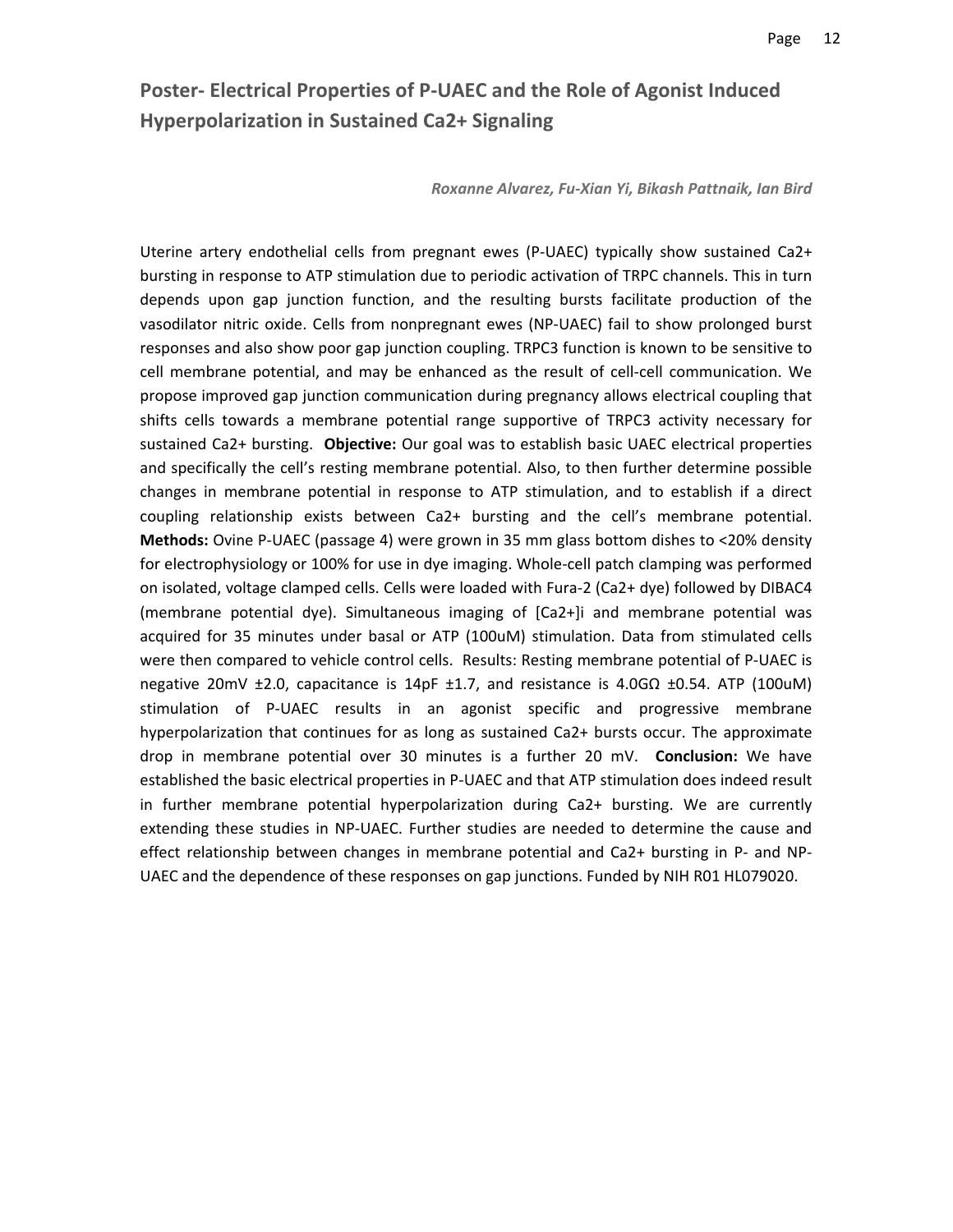# **Poster‐ Electrical Properties of P‐UAEC and the Role of Agonist Induced Hyperpolarization in Sustained Ca2+ Signaling**

*Roxanne Alvarez, Fu‐Xian Yi, Bikash Pattnaik, Ian Bird*

Uterine artery endothelial cells from pregnant ewes (P‐UAEC) typically show sustained Ca2+ bursting in response to ATP stimulation due to periodic activation of TRPC channels. This in turn depends upon gap junction function, and the resulting bursts facilitate production of the vasodilator nitric oxide. Cells from nonpregnant ewes (NP‐UAEC) fail to show prolonged burst responses and also show poor gap junction coupling. TRPC3 function is known to be sensitive to cell membrane potential, and may be enhanced as the result of cell‐cell communication. We propose improved gap junction communication during pregnancy allows electrical coupling that shifts cells towards a membrane potential range supportive of TRPC3 activity necessary for sustained Ca2+ bursting. **Objective:** Our goal was to establish basic UAEC electrical properties and specifically the cell's resting membrane potential. Also, to then further determine possible changes in membrane potential in response to ATP stimulation, and to establish if a direct coupling relationship exists between Ca2+ bursting and the cell's membrane potential. **Methods:** Ovine P‐UAEC (passage 4) were grown in 35 mm glass bottom dishes to <20% density for electrophysiology or 100% for use in dye imaging. Whole‐cell patch clamping was performed on isolated, voltage clamped cells. Cells were loaded with Fura‐2 (Ca2+ dye) followed by DIBAC4 (membrane potential dye). Simultaneous imaging of [Ca2+]i and membrane potential was acquired for 35 minutes under basal or ATP (100uM) stimulation. Data from stimulated cells were then compared to vehicle control cells. Results: Resting membrane potential of P-UAEC is negative 20mV ±2.0, capacitance is 14pF ±1.7, and resistance is 4.0GΩ ±0.54. ATP (100uM) stimulation of P‐UAEC results in an agonist specific and progressive membrane hyperpolarization that continues for as long as sustained Ca2+ bursts occur. The approximate drop in membrane potential over 30 minutes is a further 20 mV. **Conclusion:** We have established the basic electrical properties in P‐UAEC and that ATP stimulation does indeed result in further membrane potential hyperpolarization during Ca2+ bursting. We are currently extending these studies in NP‐UAEC. Further studies are needed to determine the cause and effect relationship between changes in membrane potential and Ca2+ bursting in P‐ and NP‐ UAEC and the dependence of these responses on gap junctions. Funded by NIH R01 HL079020.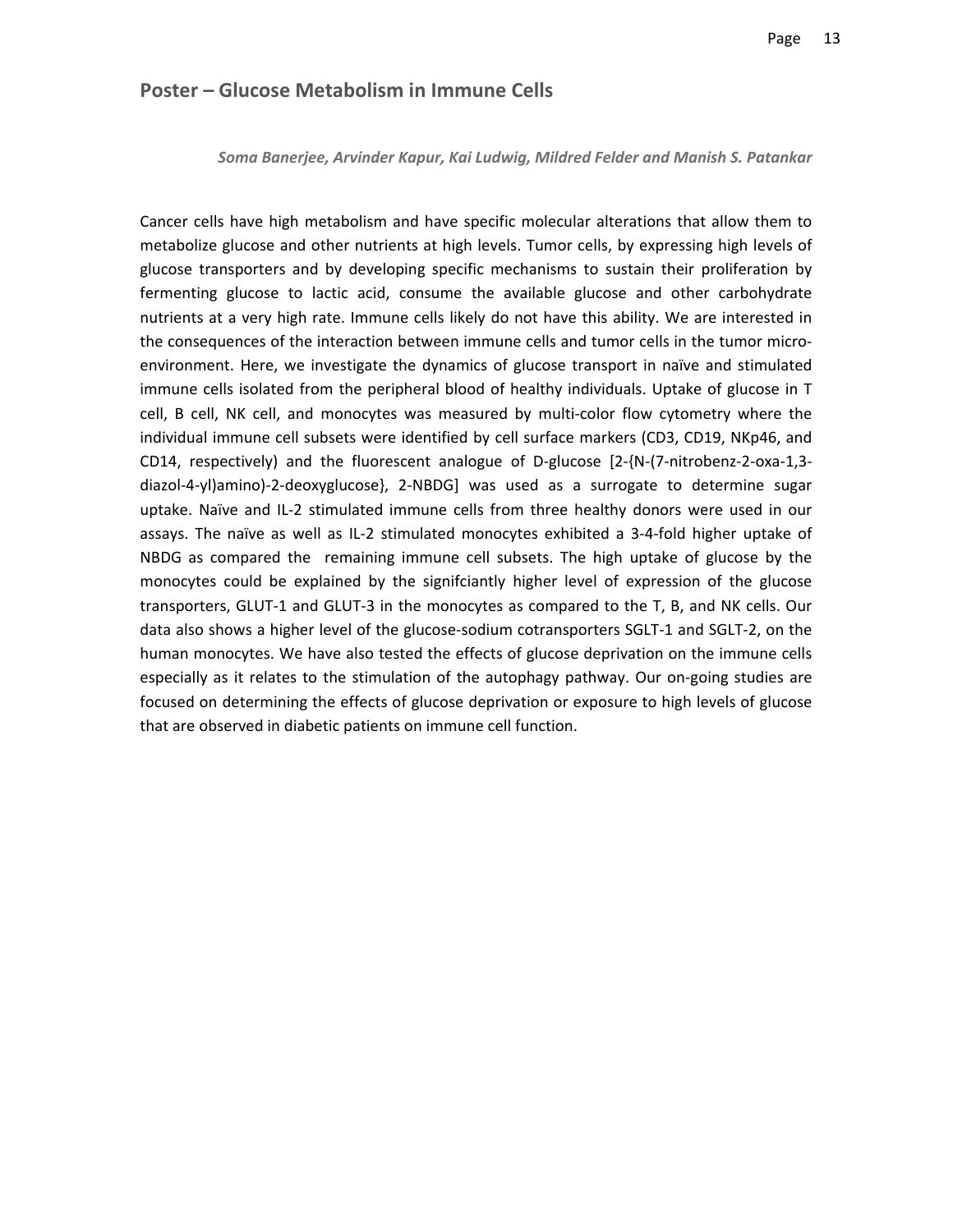#### **Poster – Glucose Metabolism in Immune Cells**

*Soma Banerjee, Arvinder Kapur, Kai Ludwig, Mildred Felder and Manish S. Patankar*

Cancer cells have high metabolism and have specific molecular alterations that allow them to metabolize glucose and other nutrients at high levels. Tumor cells, by expressing high levels of glucose transporters and by developing specific mechanisms to sustain their proliferation by fermenting glucose to lactic acid, consume the available glucose and other carbohydrate nutrients at a very high rate. Immune cells likely do not have this ability. We are interested in the consequences of the interaction between immune cells and tumor cells in the tumor microenvironment. Here, we investigate the dynamics of glucose transport in naïve and stimulated immune cells isolated from the peripheral blood of healthy individuals. Uptake of glucose in T cell, B cell, NK cell, and monocytes was measured by multi-color flow cytometry where the individual immune cell subsets were identified by cell surface markers (CD3, CD19, NKp46, and CD14, respectively) and the fluorescent analogue of D‐glucose [2‐{N‐(7‐nitrobenz‐2‐oxa‐1,3‐ diazol‐4‐yl)amino)‐2‐deoxyglucose}, 2‐NBDG] was used as a surrogate to determine sugar uptake. Naïve and IL‐2 stimulated immune cells from three healthy donors were used in our assays. The naïve as well as IL‐2 stimulated monocytes exhibited a 3‐4‐fold higher uptake of NBDG as compared the remaining immune cell subsets. The high uptake of glucose by the monocytes could be explained by the signifciantly higher level of expression of the glucose transporters, GLUT‐1 and GLUT‐3 in the monocytes as compared to the T, B, and NK cells. Our data also shows a higher level of the glucose‐sodium cotransporters SGLT‐1 and SGLT‐2, on the human monocytes. We have also tested the effects of glucose deprivation on the immune cells especially as it relates to the stimulation of the autophagy pathway. Our on‐going studies are focused on determining the effects of glucose deprivation or exposure to high levels of glucose that are observed in diabetic patients on immune cell function.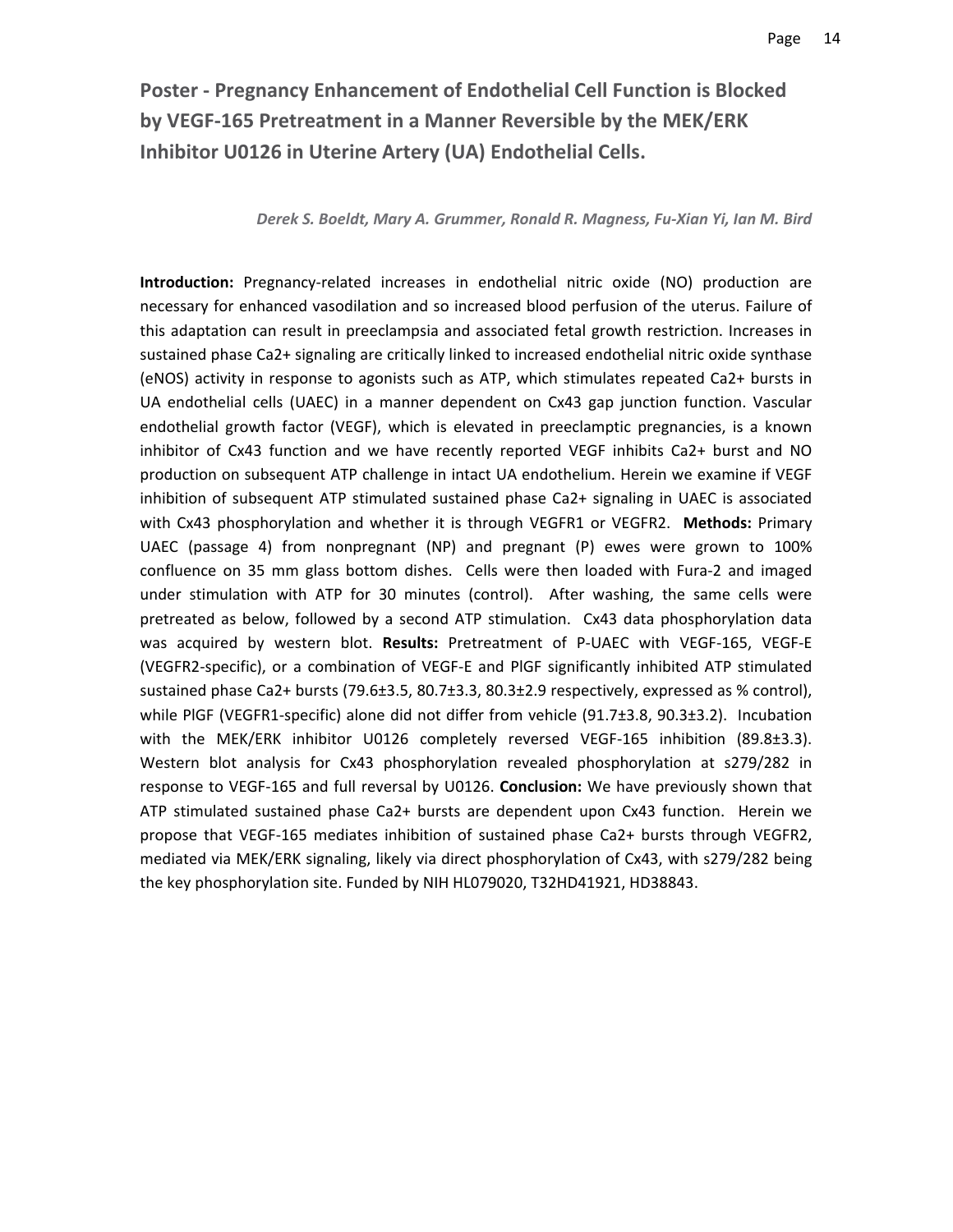# **Poster ‐ Pregnancy Enhancement of Endothelial Cell Function is Blocked by VEGF‐165 Pretreatment in a Manner Reversible by the MEK/ERK Inhibitor U0126 in Uterine Artery (UA) Endothelial Cells.**

#### *Derek S. Boeldt, Mary A. Grummer, Ronald R. Magness, Fu‐Xian Yi, Ian M. Bird*

**Introduction:** Pregnancy-related increases in endothelial nitric oxide (NO) production are necessary for enhanced vasodilation and so increased blood perfusion of the uterus. Failure of this adaptation can result in preeclampsia and associated fetal growth restriction. Increases in sustained phase Ca2+ signaling are critically linked to increased endothelial nitric oxide synthase (eNOS) activity in response to agonists such as ATP, which stimulates repeated Ca2+ bursts in UA endothelial cells (UAEC) in a manner dependent on Cx43 gap junction function. Vascular endothelial growth factor (VEGF), which is elevated in preeclamptic pregnancies, is a known inhibitor of Cx43 function and we have recently reported VEGF inhibits Ca2+ burst and NO production on subsequent ATP challenge in intact UA endothelium. Herein we examine if VEGF inhibition of subsequent ATP stimulated sustained phase Ca2+ signaling in UAEC is associated with Cx43 phosphorylation and whether it is through VEGFR1 or VEGFR2. **Methods:** Primary UAEC (passage 4) from nonpregnant (NP) and pregnant (P) ewes were grown to 100% confluence on 35 mm glass bottom dishes. Cells were then loaded with Fura-2 and imaged under stimulation with ATP for 30 minutes (control). After washing, the same cells were pretreated as below, followed by a second ATP stimulation. Cx43 data phosphorylation data was acquired by western blot. **Results:** Pretreatment of P‐UAEC with VEGF‐165, VEGF‐E (VEGFR2‐specific), or a combination of VEGF‐E and PlGF significantly inhibited ATP stimulated sustained phase Ca2+ bursts (79.6±3.5, 80.7±3.3, 80.3±2.9 respectively, expressed as % control), while PIGF (VEGFR1-specific) alone did not differ from vehicle (91.7±3.8, 90.3±3.2). Incubation with the MEK/ERK inhibitor U0126 completely reversed VEGF-165 inhibition (89.8±3.3). Western blot analysis for Cx43 phosphorylation revealed phosphorylation at s279/282 in response to VEGF‐165 and full reversal by U0126. **Conclusion:** We have previously shown that ATP stimulated sustained phase Ca2+ bursts are dependent upon Cx43 function. Herein we propose that VEGF‐165 mediates inhibition of sustained phase Ca2+ bursts through VEGFR2, mediated via MEK/ERK signaling, likely via direct phosphorylation of Cx43, with s279/282 being the key phosphorylation site. Funded by NIH HL079020, T32HD41921, HD38843.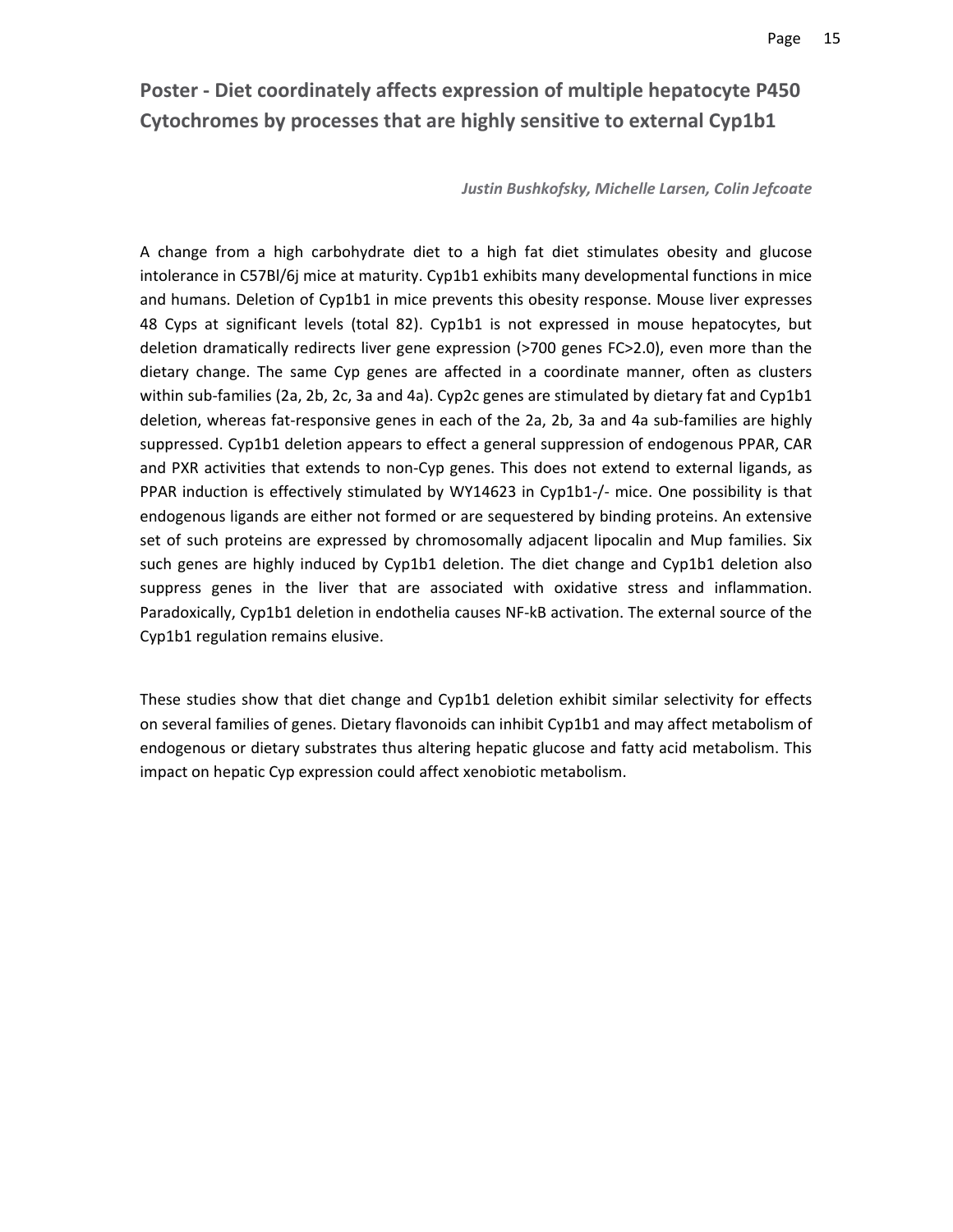# **Poster ‐ Diet coordinately affects expression of multiple hepatocyte P450 Cytochromes by processes that are highly sensitive to external Cyp1b1**

*Justin Bushkofsky, Michelle Larsen, Colin Jefcoate*

A change from a high carbohydrate diet to a high fat diet stimulates obesity and glucose intolerance in C57Bl/6j mice at maturity. Cyp1b1 exhibits many developmental functions in mice and humans. Deletion of Cyp1b1 in mice prevents this obesity response. Mouse liver expresses 48 Cyps at significant levels (total 82). Cyp1b1 is not expressed in mouse hepatocytes, but deletion dramatically redirects liver gene expression (>700 genes FC>2.0), even more than the dietary change. The same Cyp genes are affected in a coordinate manner, often as clusters within sub-families (2a, 2b, 2c, 3a and 4a). Cyp2c genes are stimulated by dietary fat and Cyp1b1 deletion, whereas fat‐responsive genes in each of the 2a, 2b, 3a and 4a sub‐families are highly suppressed. Cyp1b1 deletion appears to effect a general suppression of endogenous PPAR, CAR and PXR activities that extends to non-Cyp genes. This does not extend to external ligands, as PPAR induction is effectively stimulated by WY14623 in Cyp1b1-/- mice. One possibility is that endogenous ligands are either not formed or are sequestered by binding proteins. An extensive set of such proteins are expressed by chromosomally adjacent lipocalin and Mup families. Six such genes are highly induced by Cyp1b1 deletion. The diet change and Cyp1b1 deletion also suppress genes in the liver that are associated with oxidative stress and inflammation. Paradoxically, Cyp1b1 deletion in endothelia causes NF‐kB activation. The external source of the Cyp1b1 regulation remains elusive.

These studies show that diet change and Cyp1b1 deletion exhibit similar selectivity for effects on several families of genes. Dietary flavonoids can inhibit Cyp1b1 and may affect metabolism of endogenous or dietary substrates thus altering hepatic glucose and fatty acid metabolism. This impact on hepatic Cyp expression could affect xenobiotic metabolism.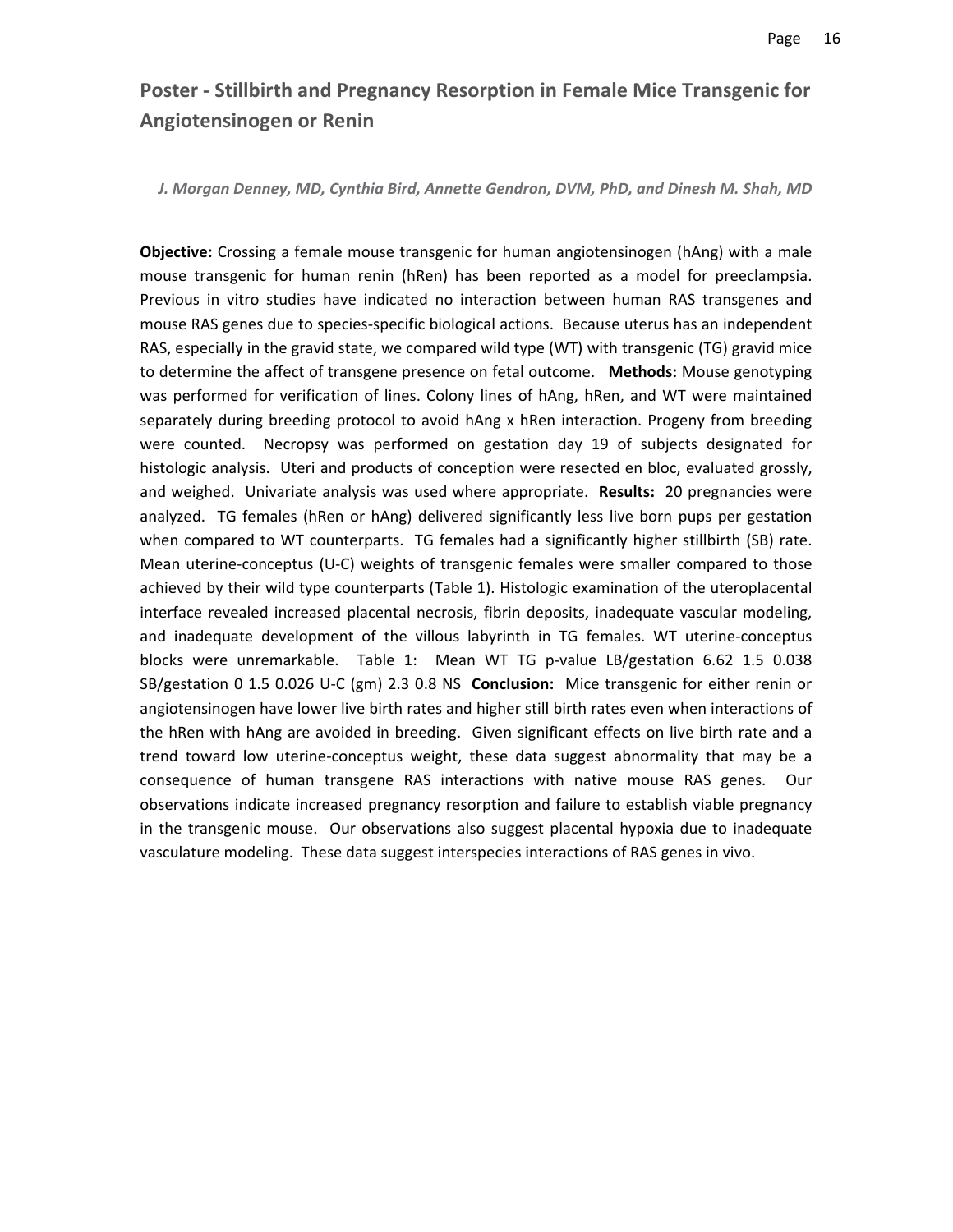### **Poster ‐ Stillbirth and Pregnancy Resorption in Female Mice Transgenic for Angiotensinogen or Renin**

*J. Morgan Denney, MD, Cynthia Bird, Annette Gendron, DVM, PhD, and Dinesh M. Shah, MD*

**Objective:** Crossing a female mouse transgenic for human angiotensinogen (hAng) with a male mouse transgenic for human renin (hRen) has been reported as a model for preeclampsia. Previous in vitro studies have indicated no interaction between human RAS transgenes and mouse RAS genes due to species‐specific biological actions. Because uterus has an independent RAS, especially in the gravid state, we compared wild type (WT) with transgenic (TG) gravid mice to determine the affect of transgene presence on fetal outcome. **Methods:** Mouse genotyping was performed for verification of lines. Colony lines of hAng, hRen, and WT were maintained separately during breeding protocol to avoid hAng x hRen interaction. Progeny from breeding were counted. Necropsy was performed on gestation day 19 of subjects designated for histologic analysis. Uteri and products of conception were resected en bloc, evaluated grossly, and weighed. Univariate analysis was used where appropriate. **Results:** 20 pregnancies were analyzed. TG females (hRen or hAng) delivered significantly less live born pups per gestation when compared to WT counterparts. TG females had a significantly higher stillbirth (SB) rate. Mean uterine-conceptus (U-C) weights of transgenic females were smaller compared to those achieved by their wild type counterparts (Table 1). Histologic examination of the uteroplacental interface revealed increased placental necrosis, fibrin deposits, inadequate vascular modeling, and inadequate development of the villous labyrinth in TG females. WT uterine‐conceptus blocks were unremarkable. Table 1: Mean WT TG p-value LB/gestation 6.62 1.5 0.038 SB/gestation 0 1.5 0.026 U‐C (gm) 2.3 0.8 NS **Conclusion:** Mice transgenic for either renin or angiotensinogen have lower live birth rates and higher still birth rates even when interactions of the hRen with hAng are avoided in breeding. Given significant effects on live birth rate and a trend toward low uterine‐conceptus weight, these data suggest abnormality that may be a consequence of human transgene RAS interactions with native mouse RAS genes. Our observations indicate increased pregnancy resorption and failure to establish viable pregnancy in the transgenic mouse. Our observations also suggest placental hypoxia due to inadequate vasculature modeling. These data suggest interspecies interactions of RAS genes in vivo.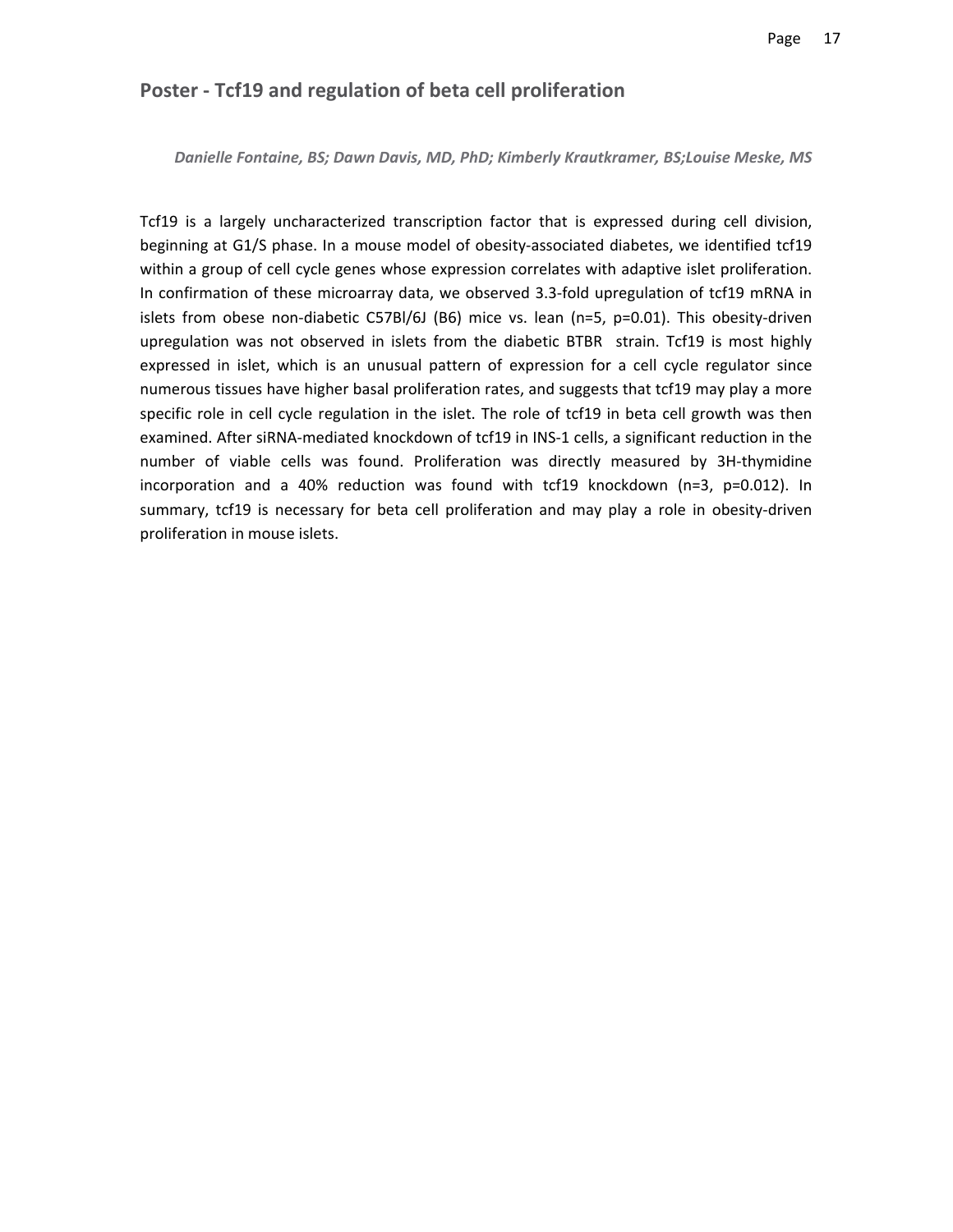#### **Poster ‐ Tcf19 and regulation of beta cell proliferation**

*Danielle Fontaine, BS; Dawn Davis, MD, PhD; Kimberly Krautkramer, BS;Louise Meske, MS*

Tcf19 is a largely uncharacterized transcription factor that is expressed during cell division, beginning at G1/S phase. In a mouse model of obesity-associated diabetes, we identified tcf19 within a group of cell cycle genes whose expression correlates with adaptive islet proliferation. In confirmation of these microarray data, we observed 3.3‐fold upregulation of tcf19 mRNA in islets from obese non-diabetic C57Bl/6J (B6) mice vs. lean (n=5, p=0.01). This obesity-driven upregulation was not observed in islets from the diabetic BTBR strain. Tcf19 is most highly expressed in islet, which is an unusual pattern of expression for a cell cycle regulator since numerous tissues have higher basal proliferation rates, and suggests that tcf19 may play a more specific role in cell cycle regulation in the islet. The role of tcf19 in beta cell growth was then examined. After siRNA‐mediated knockdown of tcf19 in INS‐1 cells, a significant reduction in the number of viable cells was found. Proliferation was directly measured by 3H‐thymidine incorporation and a 40% reduction was found with tcf19 knockdown (n=3, p=0.012). In summary, tcf19 is necessary for beta cell proliferation and may play a role in obesity‐driven proliferation in mouse islets.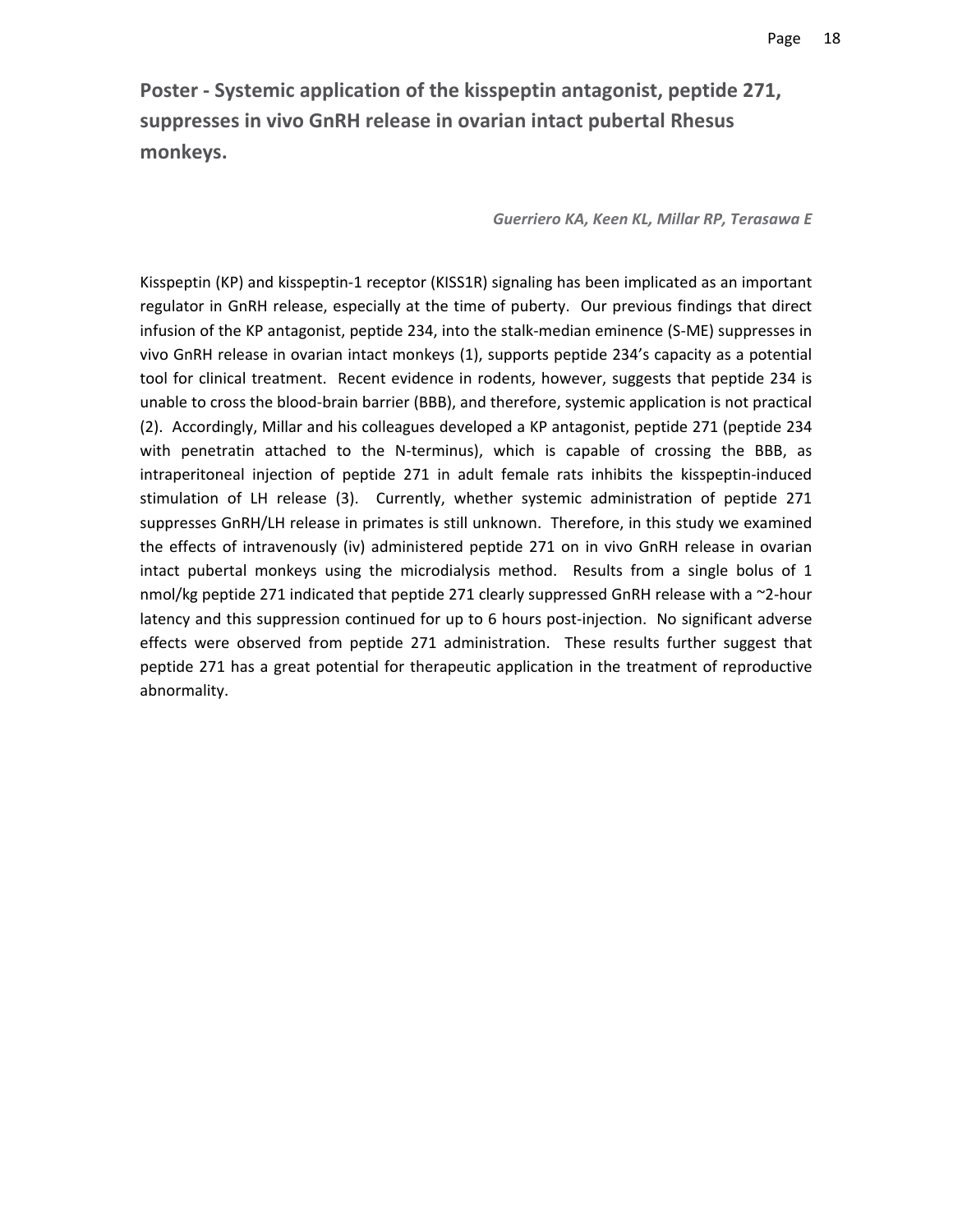**Poster ‐ Systemic application of the kisspeptin antagonist, peptide 271, suppresses in vivo GnRH release in ovarian intact pubertal Rhesus monkeys.**

#### *Guerriero KA, Keen KL, Millar RP, Terasawa E*

Kisspeptin (KP) and kisspeptin‐1 receptor (KISS1R) signaling has been implicated as an important regulator in GnRH release, especially at the time of puberty. Our previous findings that direct infusion of the KP antagonist, peptide 234, into the stalk‐median eminence (S‐ME) suppresses in vivo GnRH release in ovarian intact monkeys (1), supports peptide 234's capacity as a potential tool for clinical treatment. Recent evidence in rodents, however, suggests that peptide 234 is unable to cross the blood‐brain barrier (BBB), and therefore, systemic application is not practical (2). Accordingly, Millar and his colleagues developed a KP antagonist, peptide 271 (peptide 234 with penetratin attached to the N-terminus), which is capable of crossing the BBB, as intraperitoneal injection of peptide 271 in adult female rats inhibits the kisspeptin-induced stimulation of LH release (3). Currently, whether systemic administration of peptide 271 suppresses GnRH/LH release in primates is still unknown. Therefore, in this study we examined the effects of intravenously (iv) administered peptide 271 on in vivo GnRH release in ovarian intact pubertal monkeys using the microdialysis method. Results from a single bolus of 1 nmol/kg peptide 271 indicated that peptide 271 clearly suppressed GnRH release with a  $\sim$ 2-hour latency and this suppression continued for up to 6 hours post-injection. No significant adverse effects were observed from peptide 271 administration. These results further suggest that peptide 271 has a great potential for therapeutic application in the treatment of reproductive abnormality.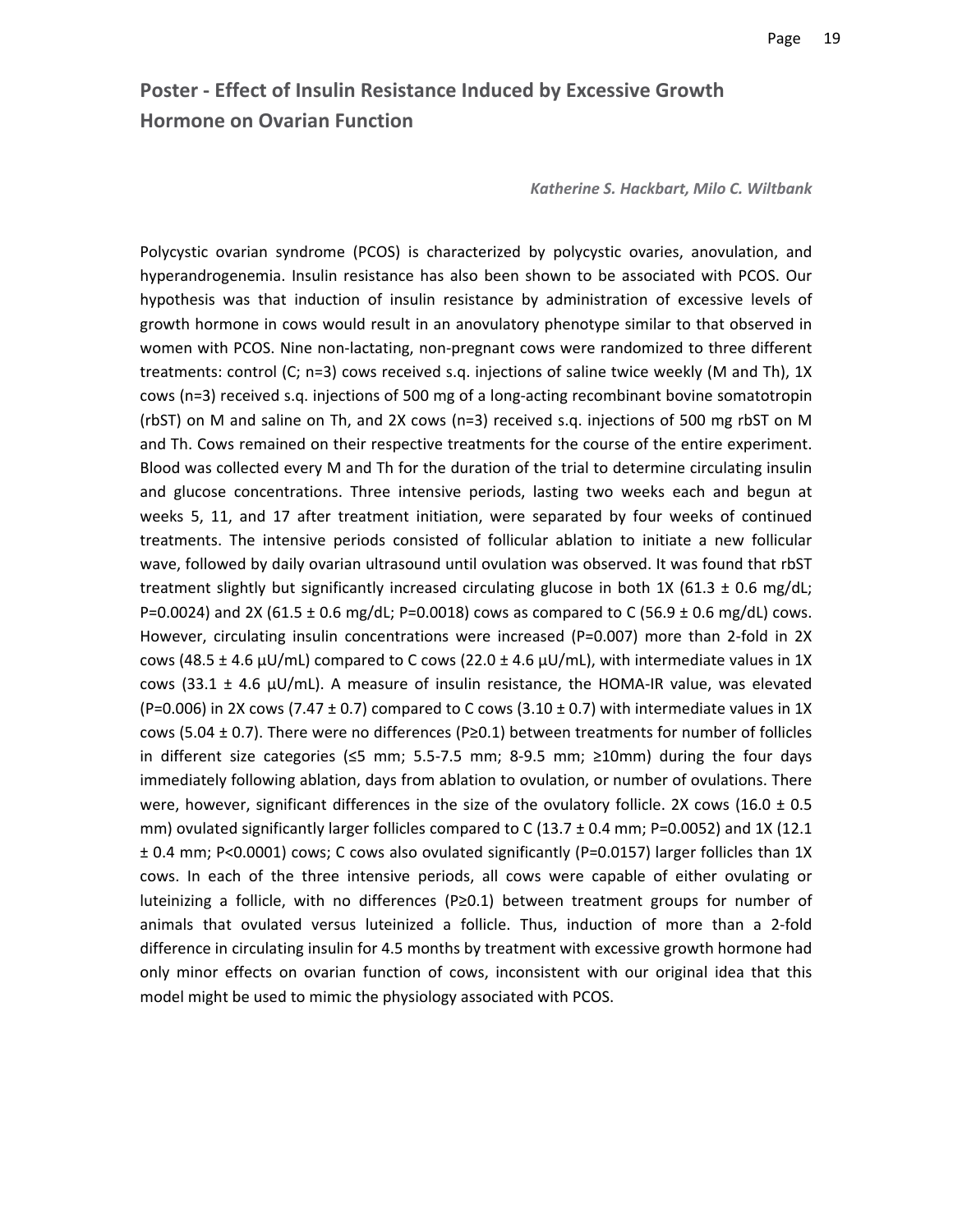### **Poster ‐ Effect of Insulin Resistance Induced by Excessive Growth Hormone on Ovarian Function**

*Katherine S. Hackbart, Milo C. Wiltbank*

Polycystic ovarian syndrome (PCOS) is characterized by polycystic ovaries, anovulation, and hyperandrogenemia. Insulin resistance has also been shown to be associated with PCOS. Our hypothesis was that induction of insulin resistance by administration of excessive levels of growth hormone in cows would result in an anovulatory phenotype similar to that observed in women with PCOS. Nine non-lactating, non-pregnant cows were randomized to three different treatments: control (C; n=3) cows received s.q. injections of saline twice weekly (M and Th), 1X cows (n=3) received s.q. injections of 500 mg of a long‐acting recombinant bovine somatotropin (rbST) on M and saline on Th, and 2X cows (n=3) received s.q. injections of 500 mg rbST on M and Th. Cows remained on their respective treatments for the course of the entire experiment. Blood was collected every M and Th for the duration of the trial to determine circulating insulin and glucose concentrations. Three intensive periods, lasting two weeks each and begun at weeks 5, 11, and 17 after treatment initiation, were separated by four weeks of continued treatments. The intensive periods consisted of follicular ablation to initiate a new follicular wave, followed by daily ovarian ultrasound until ovulation was observed. It was found that rbST treatment slightly but significantly increased circulating glucose in both 1X (61.3  $\pm$  0.6 mg/dL; P=0.0024) and 2X (61.5  $\pm$  0.6 mg/dL; P=0.0018) cows as compared to C (56.9  $\pm$  0.6 mg/dL) cows. However, circulating insulin concentrations were increased (P=0.007) more than 2-fold in 2X cows (48.5  $\pm$  4.6  $\mu$ U/mL) compared to C cows (22.0  $\pm$  4.6  $\mu$ U/mL), with intermediate values in 1X cows (33.1  $\pm$  4.6 µU/mL). A measure of insulin resistance, the HOMA-IR value, was elevated (P=0.006) in 2X cows (7.47  $\pm$  0.7) compared to C cows (3.10  $\pm$  0.7) with intermediate values in 1X cows (5.04  $\pm$  0.7). There were no differences (P≥0.1) between treatments for number of follicles in different size categories (≤5 mm; 5.5‐7.5 mm; 8‐9.5 mm; ≥10mm) during the four days immediately following ablation, days from ablation to ovulation, or number of ovulations. There were, however, significant differences in the size of the ovulatory follicle. 2X cows (16.0  $\pm$  0.5 mm) ovulated significantly larger follicles compared to C (13.7  $\pm$  0.4 mm; P=0.0052) and 1X (12.1 ± 0.4 mm; P<0.0001) cows; C cows also ovulated significantly (P=0.0157) larger follicles than 1X cows. In each of the three intensive periods, all cows were capable of either ovulating or luteinizing a follicle, with no differences (P≥0.1) between treatment groups for number of animals that ovulated versus luteinized a follicle. Thus, induction of more than a 2‐fold difference in circulating insulin for 4.5 months by treatment with excessive growth hormone had only minor effects on ovarian function of cows, inconsistent with our original idea that this model might be used to mimic the physiology associated with PCOS.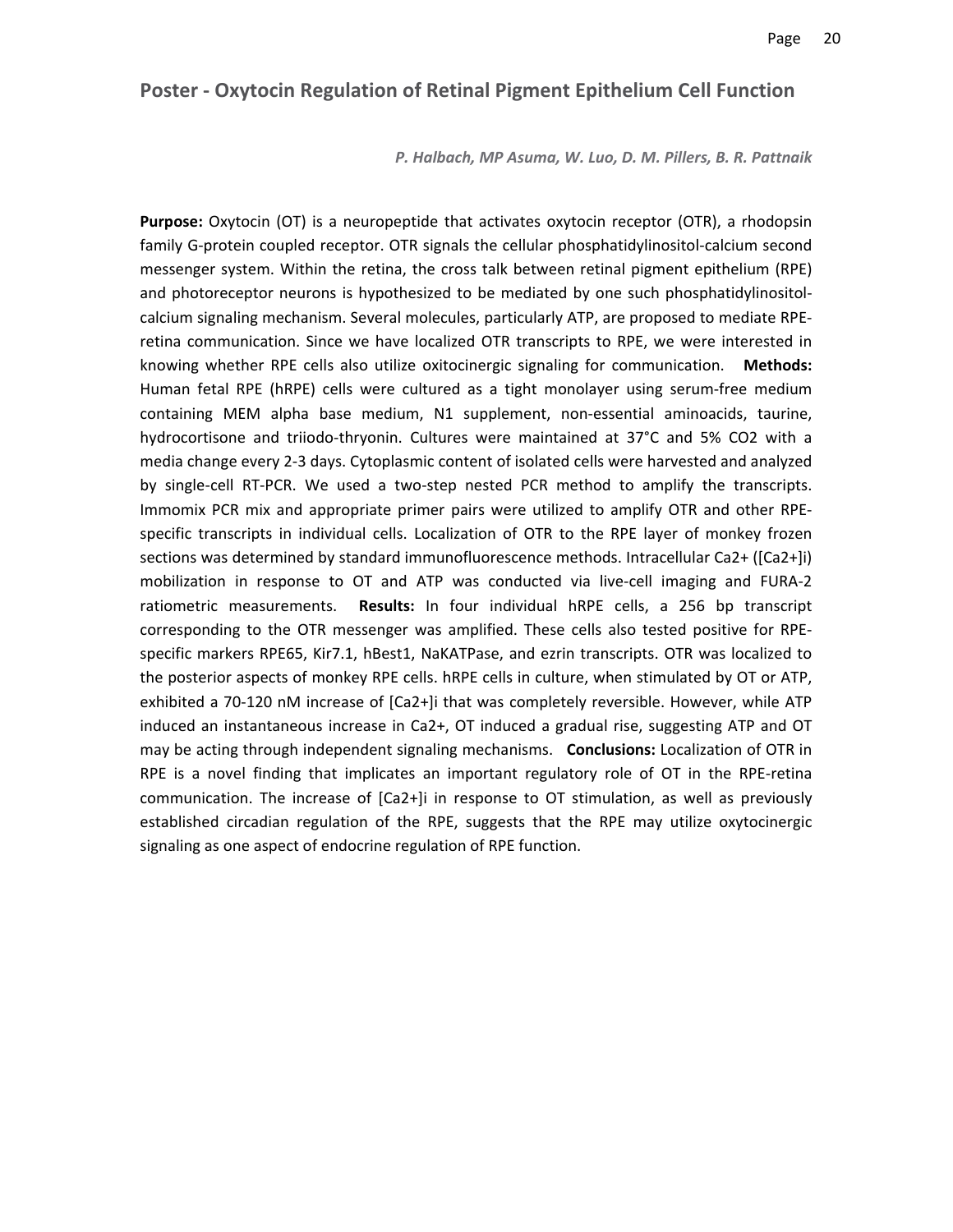#### **Poster ‐ Oxytocin Regulation of Retinal Pigment Epithelium Cell Function**

*P. Halbach, MP Asuma, W. Luo, D. M. Pillers, B. R. Pattnaik*

**Purpose:** Oxytocin (OT) is a neuropeptide that activates oxytocin receptor (OTR), a rhodopsin family G‐protein coupled receptor. OTR signals the cellular phosphatidylinositol‐calcium second messenger system. Within the retina, the cross talk between retinal pigment epithelium (RPE) and photoreceptor neurons is hypothesized to be mediated by one such phosphatidylinositolcalcium signaling mechanism. Several molecules, particularly ATP, are proposed to mediate RPE‐ retina communication. Since we have localized OTR transcripts to RPE, we were interested in knowing whether RPE cells also utilize oxitocinergic signaling for communication. **Methods:** Human fetal RPE (hRPE) cells were cultured as a tight monolayer using serum‐free medium containing MEM alpha base medium, N1 supplement, non-essential aminoacids, taurine, hydrocortisone and triiodo-thryonin. Cultures were maintained at 37°C and 5% CO2 with a media change every 2‐3 days. Cytoplasmic content of isolated cells were harvested and analyzed by single‐cell RT‐PCR. We used a two‐step nested PCR method to amplify the transcripts. Immomix PCR mix and appropriate primer pairs were utilized to amplify OTR and other RPE‐ specific transcripts in individual cells. Localization of OTR to the RPE layer of monkey frozen sections was determined by standard immunofluorescence methods. Intracellular Ca2+ ([Ca2+]i) mobilization in response to OT and ATP was conducted via live-cell imaging and FURA-2 ratiometric measurements. **Results:** In four individual hRPE cells, a 256 bp transcript corresponding to the OTR messenger was amplified. These cells also tested positive for RPE‐ specific markers RPE65, Kir7.1, hBest1, NaKATPase, and ezrin transcripts. OTR was localized to the posterior aspects of monkey RPE cells. hRPE cells in culture, when stimulated by OT or ATP, exhibited a 70‐120 nM increase of [Ca2+]i that was completely reversible. However, while ATP induced an instantaneous increase in Ca2+, OT induced a gradual rise, suggesting ATP and OT may be acting through independent signaling mechanisms. **Conclusions:** Localization of OTR in RPE is a novel finding that implicates an important regulatory role of OT in the RPE-retina communication. The increase of [Ca2+]i in response to OT stimulation, as well as previously established circadian regulation of the RPE, suggests that the RPE may utilize oxytocinergic signaling as one aspect of endocrine regulation of RPE function.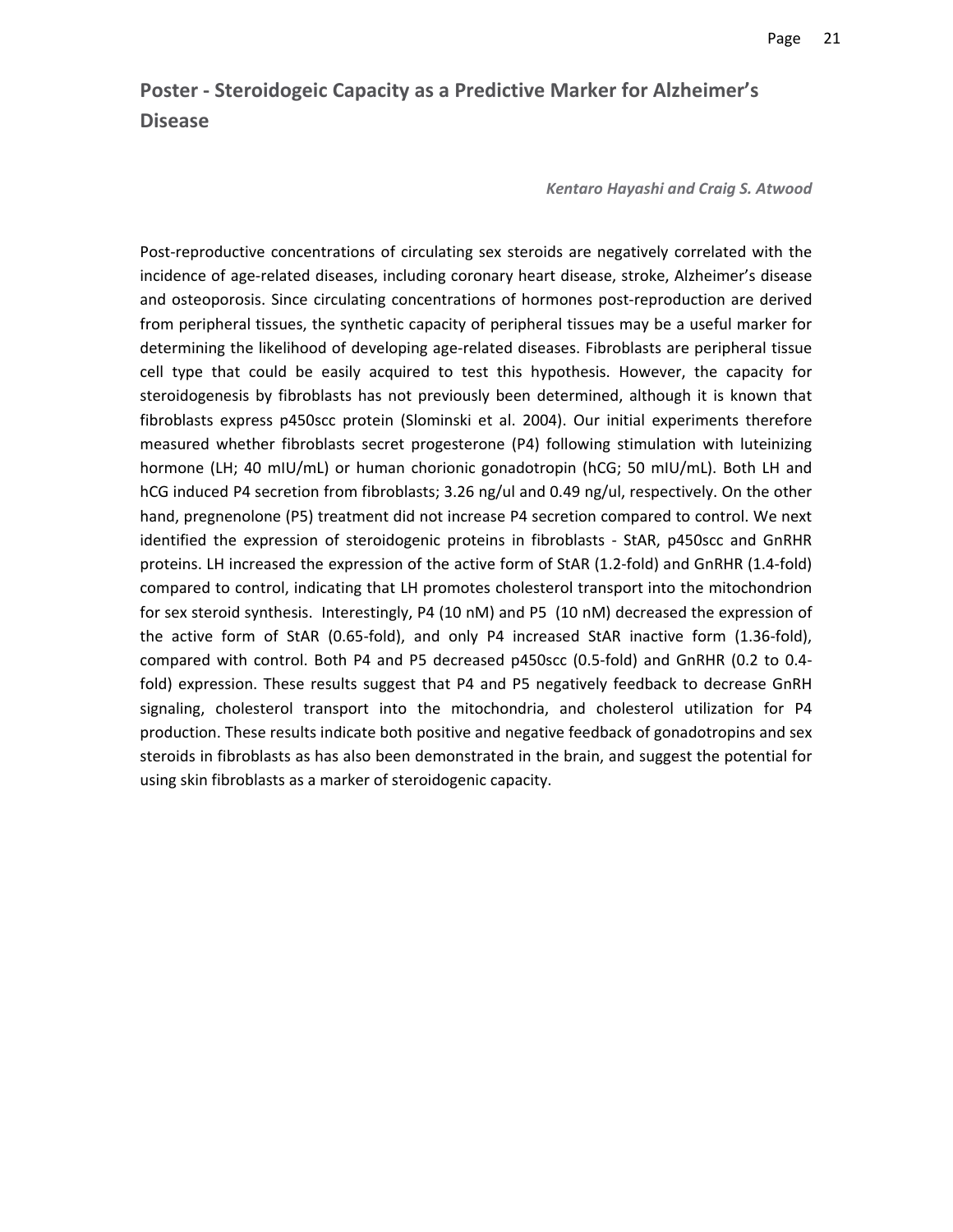# **Poster ‐ Steroidogeic Capacity as a Predictive Marker for Alzheimer's Disease**

*Kentaro Hayashi and Craig S. Atwood*

Post-reproductive concentrations of circulating sex steroids are negatively correlated with the incidence of age-related diseases, including coronary heart disease, stroke, Alzheimer's disease and osteoporosis. Since circulating concentrations of hormones post‐reproduction are derived from peripheral tissues, the synthetic capacity of peripheral tissues may be a useful marker for determining the likelihood of developing age-related diseases. Fibroblasts are peripheral tissue cell type that could be easily acquired to test this hypothesis. However, the capacity for steroidogenesis by fibroblasts has not previously been determined, although it is known that fibroblasts express p450scc protein (Slominski et al. 2004). Our initial experiments therefore measured whether fibroblasts secret progesterone (P4) following stimulation with luteinizing hormone (LH; 40 mIU/mL) or human chorionic gonadotropin (hCG; 50 mIU/mL). Both LH and hCG induced P4 secretion from fibroblasts; 3.26 ng/ul and 0.49 ng/ul, respectively. On the other hand, pregnenolone (P5) treatment did not increase P4 secretion compared to control. We next identified the expression of steroidogenic proteins in fibroblasts ‐ StAR, p450scc and GnRHR proteins. LH increased the expression of the active form of StAR (1.2‐fold) and GnRHR (1.4‐fold) compared to control, indicating that LH promotes cholesterol transport into the mitochondrion for sex steroid synthesis. Interestingly, P4 (10 nM) and P5 (10 nM) decreased the expression of the active form of StAR (0.65‐fold), and only P4 increased StAR inactive form (1.36‐fold), compared with control. Both P4 and P5 decreased p450scc (0.5‐fold) and GnRHR (0.2 to 0.4‐ fold) expression. These results suggest that P4 and P5 negatively feedback to decrease GnRH signaling, cholesterol transport into the mitochondria, and cholesterol utilization for P4 production. These results indicate both positive and negative feedback of gonadotropins and sex steroids in fibroblasts as has also been demonstrated in the brain, and suggest the potential for using skin fibroblasts as a marker of steroidogenic capacity.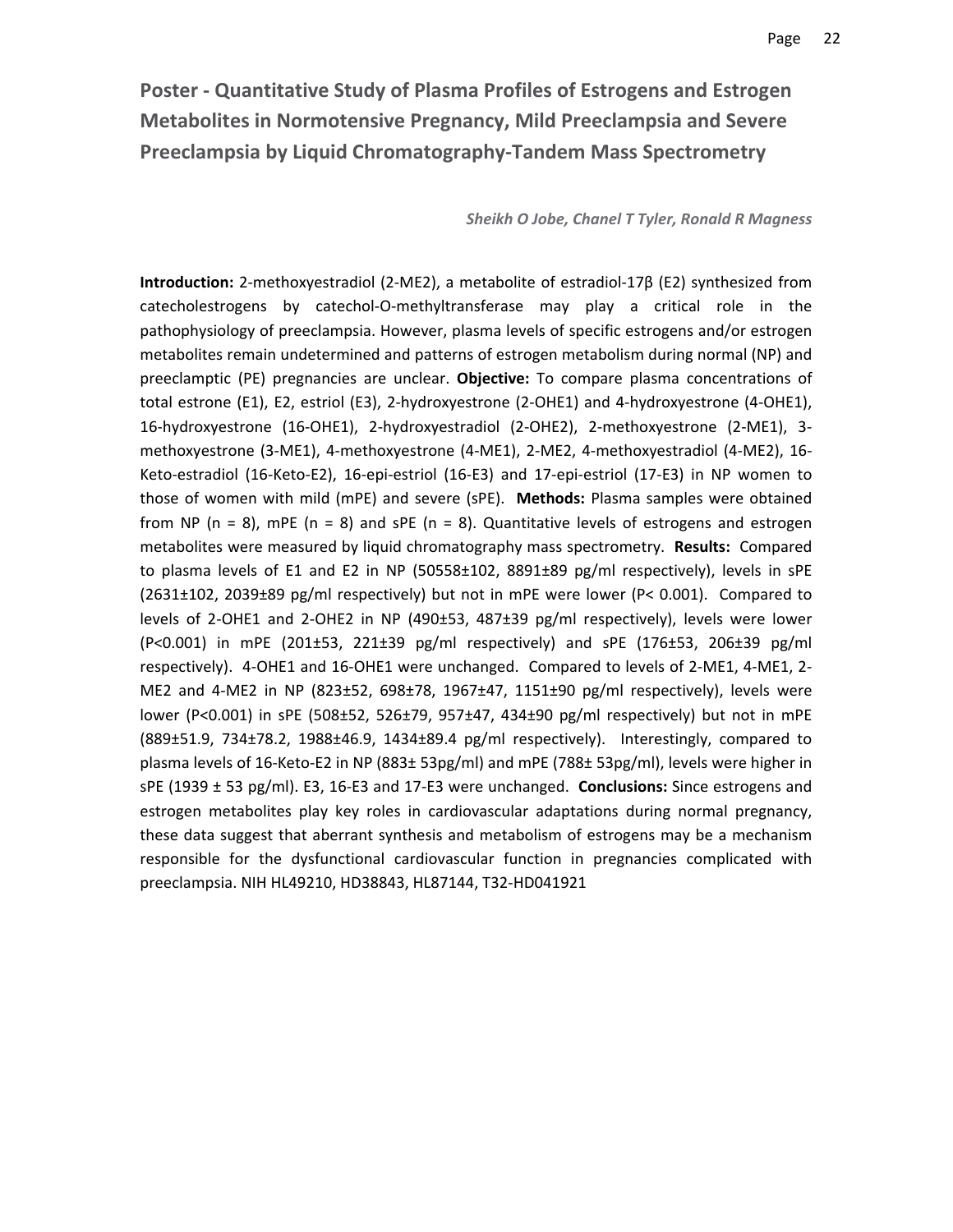**Poster ‐ Quantitative Study of Plasma Profiles of Estrogens and Estrogen Metabolites in Normotensive Pregnancy, Mild Preeclampsia and Severe Preeclampsia by Liquid Chromatography‐Tandem Mass Spectrometry**

#### *Sheikh O Jobe, Chanel T Tyler, Ronald R Magness*

**Introduction:** 2‐methoxyestradiol (2‐ME2), a metabolite of estradiol‐17β (E2) synthesized from catecholestrogens by catechol‐O‐methyltransferase may play a critical role in the pathophysiology of preeclampsia. However, plasma levels of specific estrogens and/or estrogen metabolites remain undetermined and patterns of estrogen metabolism during normal (NP) and preeclamptic (PE) pregnancies are unclear. **Objective:** To compare plasma concentrations of total estrone (E1), E2, estriol (E3), 2‐hydroxyestrone (2‐OHE1) and 4‐hydroxyestrone (4‐OHE1), 16‐hydroxyestrone (16‐OHE1), 2‐hydroxyestradiol (2‐OHE2), 2‐methoxyestrone (2‐ME1), 3‐ methoxyestrone (3‐ME1), 4‐methoxyestrone (4‐ME1), 2‐ME2, 4‐methoxyestradiol (4‐ME2), 16‐ Keto‐estradiol (16‐Keto‐E2), 16‐epi‐estriol (16‐E3) and 17‐epi‐estriol (17‐E3) in NP women to those of women with mild (mPE) and severe (sPE). **Methods:** Plasma samples were obtained from NP ( $n = 8$ ), mPE ( $n = 8$ ) and sPE ( $n = 8$ ). Quantitative levels of estrogens and estrogen metabolites were measured by liquid chromatography mass spectrometry. **Results:** Compared to plasma levels of E1 and E2 in NP (50558±102, 8891±89 pg/ml respectively), levels in sPE (2631±102, 2039±89 pg/ml respectively) but not in mPE were lower (P< 0.001). Compared to levels of 2‐OHE1 and 2‐OHE2 in NP (490±53, 487±39 pg/ml respectively), levels were lower (P<0.001) in mPE (201±53, 221±39 pg/ml respectively) and sPE (176±53, 206±39 pg/ml respectively). 4‐OHE1 and 16‐OHE1 were unchanged. Compared to levels of 2‐ME1, 4‐ME1, 2‐ ME2 and 4‐ME2 in NP (823±52, 698±78, 1967±47, 1151±90 pg/ml respectively), levels were lower (P<0.001) in sPE (508±52, 526±79, 957±47, 434±90 pg/ml respectively) but not in mPE (889±51.9, 734±78.2, 1988±46.9, 1434±89.4 pg/ml respectively). Interestingly, compared to plasma levels of 16‐Keto‐E2 in NP (883± 53pg/ml) and mPE (788± 53pg/ml), levels were higher in sPE (1939 ± 53 pg/ml). E3, 16‐E3 and 17‐E3 were unchanged. **Conclusions:** Since estrogens and estrogen metabolites play key roles in cardiovascular adaptations during normal pregnancy, these data suggest that aberrant synthesis and metabolism of estrogens may be a mechanism responsible for the dysfunctional cardiovascular function in pregnancies complicated with preeclampsia. NIH HL49210, HD38843, HL87144, T32‐HD041921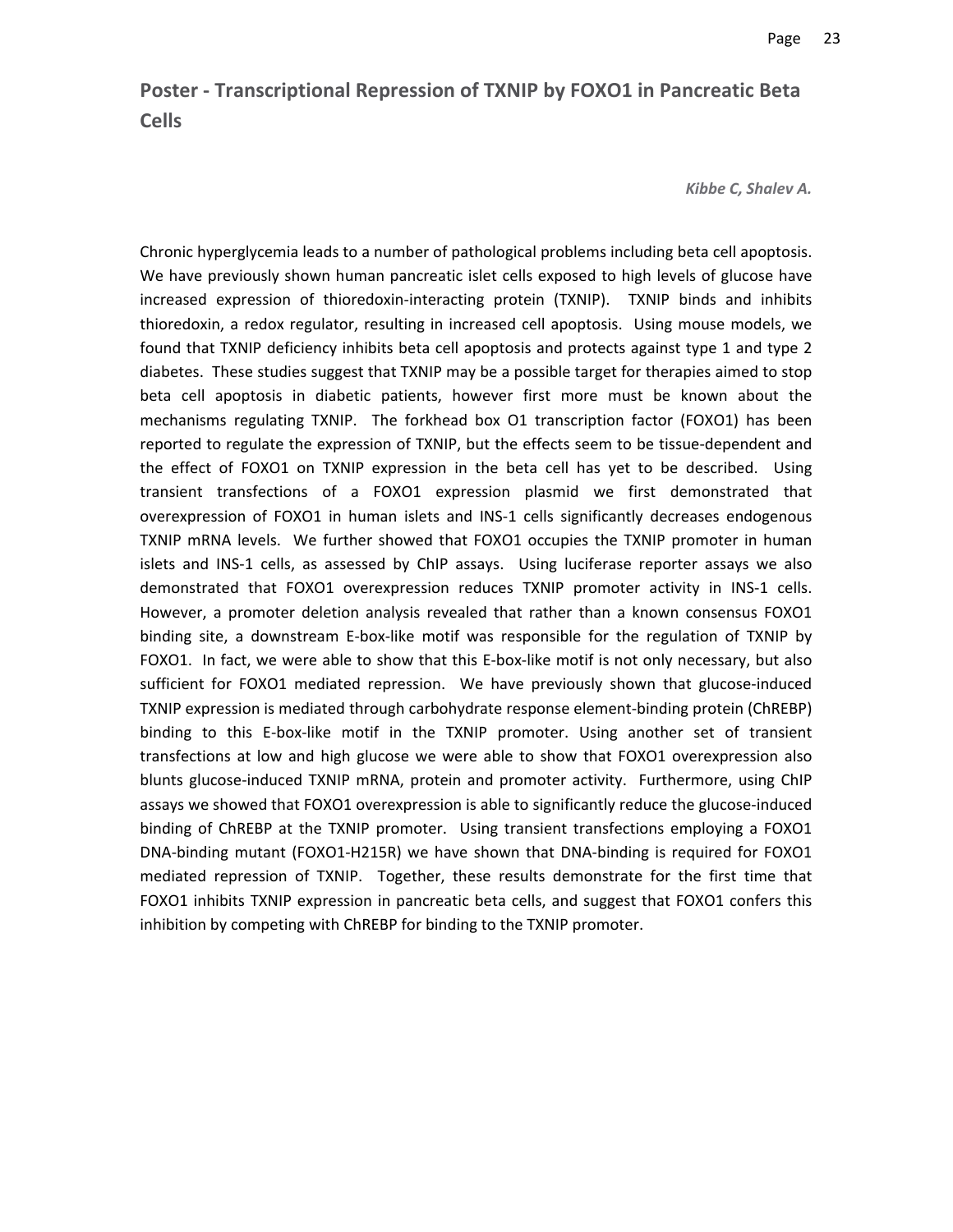# **Poster ‐ Transcriptional Repression of TXNIP by FOXO1 in Pancreatic Beta Cells**

#### *Kibbe C, Shalev A.*

Chronic hyperglycemia leads to a number of pathological problems including beta cell apoptosis. We have previously shown human pancreatic islet cells exposed to high levels of glucose have increased expression of thioredoxin-interacting protein (TXNIP). TXNIP binds and inhibits thioredoxin, a redox regulator, resulting in increased cell apoptosis. Using mouse models, we found that TXNIP deficiency inhibits beta cell apoptosis and protects against type 1 and type 2 diabetes. These studies suggest that TXNIP may be a possible target for therapies aimed to stop beta cell apoptosis in diabetic patients, however first more must be known about the mechanisms regulating TXNIP. The forkhead box O1 transcription factor (FOXO1) has been reported to regulate the expression of TXNIP, but the effects seem to be tissue‐dependent and the effect of FOXO1 on TXNIP expression in the beta cell has yet to be described. Using transient transfections of a FOXO1 expression plasmid we first demonstrated that overexpression of FOXO1 in human islets and INS‐1 cells significantly decreases endogenous TXNIP mRNA levels. We further showed that FOXO1 occupies the TXNIP promoter in human islets and INS-1 cells, as assessed by ChIP assays. Using luciferase reporter assays we also demonstrated that FOXO1 overexpression reduces TXNIP promoter activity in INS-1 cells. However, a promoter deletion analysis revealed that rather than a known consensus FOXO1 binding site, a downstream E‐box‐like motif was responsible for the regulation of TXNIP by FOXO1. In fact, we were able to show that this E-box-like motif is not only necessary, but also sufficient for FOXO1 mediated repression. We have previously shown that glucose-induced TXNIP expression is mediated through carbohydrate response element‐binding protein (ChREBP) binding to this E-box-like motif in the TXNIP promoter. Using another set of transient transfections at low and high glucose we were able to show that FOXO1 overexpression also blunts glucose-induced TXNIP mRNA, protein and promoter activity. Furthermore, using ChIP assays we showed that FOXO1 overexpression is able to significantly reduce the glucose-induced binding of ChREBP at the TXNIP promoter. Using transient transfections employing a FOXO1 DNA-binding mutant (FOXO1-H215R) we have shown that DNA-binding is required for FOXO1 mediated repression of TXNIP. Together, these results demonstrate for the first time that FOXO1 inhibits TXNIP expression in pancreatic beta cells, and suggest that FOXO1 confers this inhibition by competing with ChREBP for binding to the TXNIP promoter.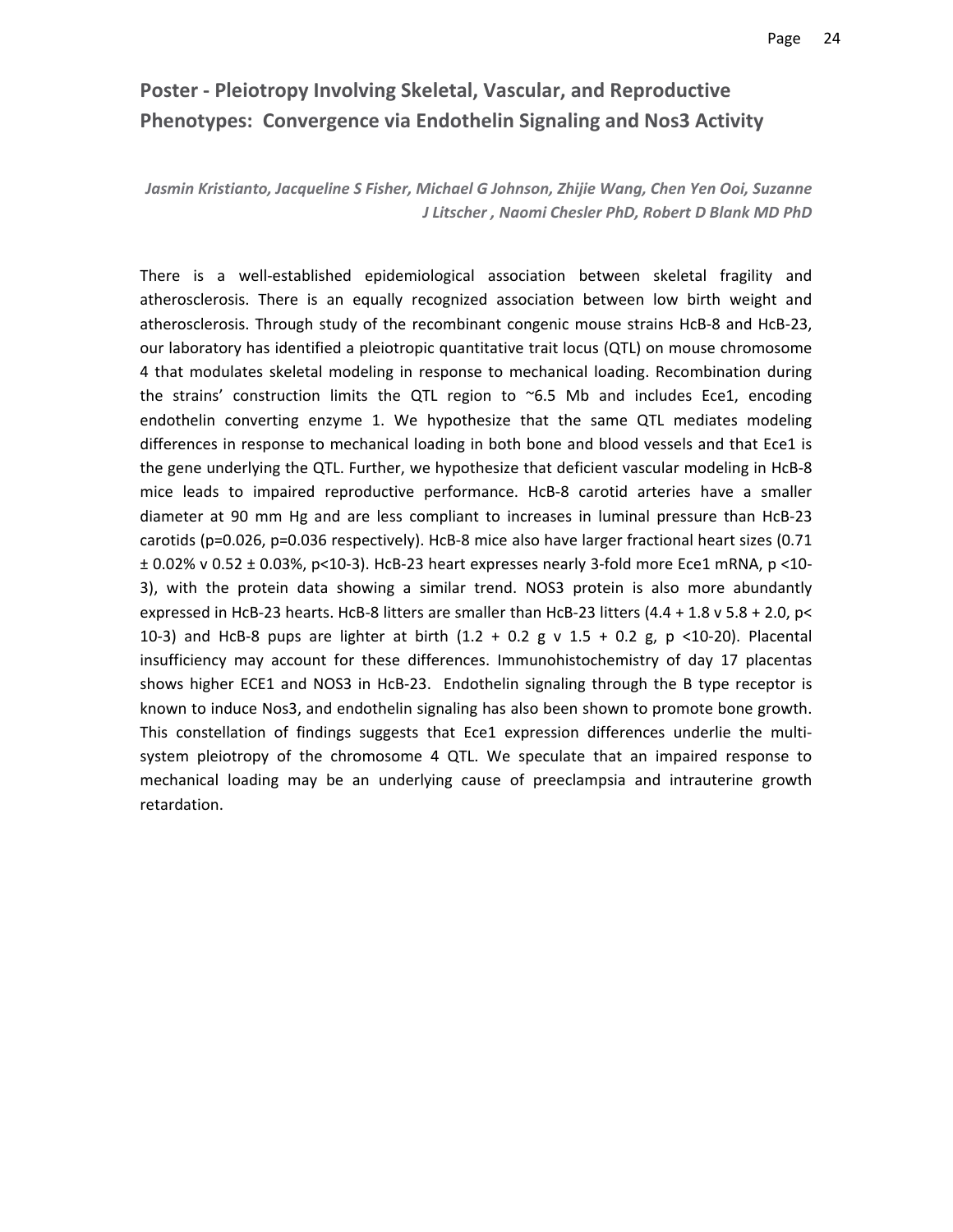# **Poster ‐ Pleiotropy Involving Skeletal, Vascular, and Reproductive Phenotypes: Convergence via Endothelin Signaling and Nos3 Activity**

*Jasmin Kristianto, Jacqueline S Fisher, Michael G Johnson, Zhijie Wang, Chen Yen Ooi, Suzanne J Litscher , Naomi Chesler PhD, Robert D Blank MD PhD*

There is a well‐established epidemiological association between skeletal fragility and atherosclerosis. There is an equally recognized association between low birth weight and atherosclerosis. Through study of the recombinant congenic mouse strains HcB‐8 and HcB‐23, our laboratory has identified a pleiotropic quantitative trait locus (QTL) on mouse chromosome 4 that modulates skeletal modeling in response to mechanical loading. Recombination during the strains' construction limits the QTL region to  $\sim$  6.5 Mb and includes Ece1, encoding endothelin converting enzyme 1. We hypothesize that the same QTL mediates modeling differences in response to mechanical loading in both bone and blood vessels and that Ece1 is the gene underlying the QTL. Further, we hypothesize that deficient vascular modeling in HcB‐8 mice leads to impaired reproductive performance. HcB‐8 carotid arteries have a smaller diameter at 90 mm Hg and are less compliant to increases in luminal pressure than HcB‐23 carotids (p=0.026, p=0.036 respectively). HcB‐8 mice also have larger fractional heart sizes (0.71 ± 0.02% v 0.52 ± 0.03%, p<10‐3). HcB‐23 heart expresses nearly 3‐fold more Ece1 mRNA, p <10‐ 3), with the protein data showing a similar trend. NOS3 protein is also more abundantly expressed in HcB-23 hearts. HcB-8 litters are smaller than HcB-23 litters (4.4 + 1.8 v 5.8 + 2.0, p< 10‐3) and HcB‐8 pups are lighter at birth (1.2 + 0.2 g v 1.5 + 0.2 g, p <10‐20). Placental insufficiency may account for these differences. Immunohistochemistry of day 17 placentas shows higher ECE1 and NOS3 in HcB-23. Endothelin signaling through the B type receptor is known to induce Nos3, and endothelin signaling has also been shown to promote bone growth. This constellation of findings suggests that Ece1 expression differences underlie the multisystem pleiotropy of the chromosome 4 QTL. We speculate that an impaired response to mechanical loading may be an underlying cause of preeclampsia and intrauterine growth retardation.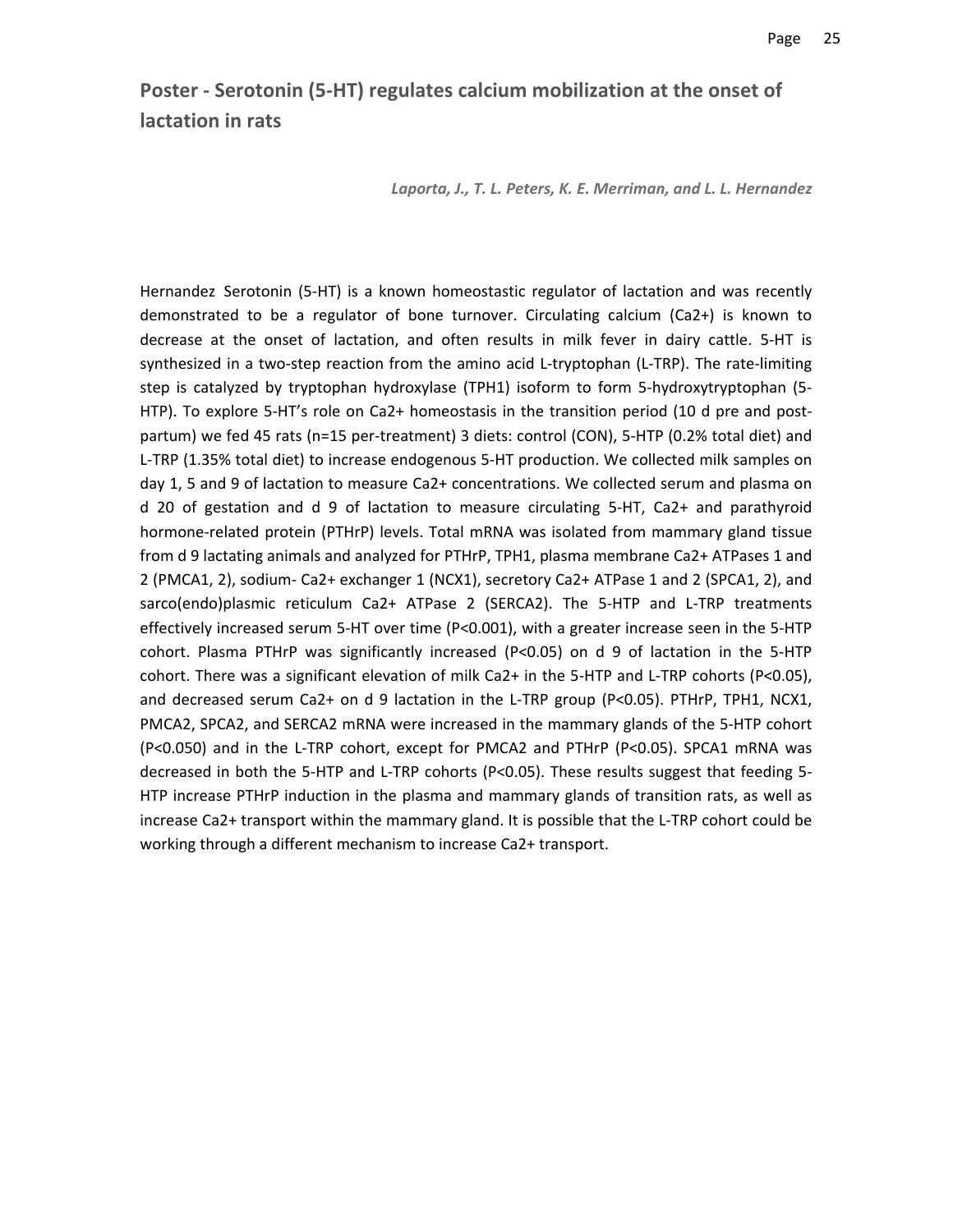# **Poster ‐ Serotonin (5‐HT) regulates calcium mobilization at the onset of lactation in rats**

*Laporta, J., T. L. Peters, K. E. Merriman, and L. L. Hernandez*

Hernandez Serotonin (5‐HT) is a known homeostastic regulator of lactation and was recently demonstrated to be a regulator of bone turnover. Circulating calcium (Ca2+) is known to decrease at the onset of lactation, and often results in milk fever in dairy cattle. 5‐HT is synthesized in a two-step reaction from the amino acid L-tryptophan (L-TRP). The rate-limiting step is catalyzed by tryptophan hydroxylase (TPH1) isoform to form 5‐hydroxytryptophan (5‐ HTP). To explore 5-HT's role on Ca2+ homeostasis in the transition period (10 d pre and postpartum) we fed 45 rats (n=15 per-treatment) 3 diets: control (CON), 5-HTP (0.2% total diet) and L‐TRP (1.35% total diet) to increase endogenous 5‐HT production. We collected milk samples on day 1, 5 and 9 of lactation to measure Ca2+ concentrations. We collected serum and plasma on d 20 of gestation and d 9 of lactation to measure circulating 5‐HT, Ca2+ and parathyroid hormone‐related protein (PTHrP) levels. Total mRNA was isolated from mammary gland tissue from d 9 lactating animals and analyzed for PTHrP, TPH1, plasma membrane Ca2+ ATPases 1 and 2 (PMCA1, 2), sodium‐ Ca2+ exchanger 1 (NCX1), secretory Ca2+ ATPase 1 and 2 (SPCA1, 2), and sarco(endo)plasmic reticulum Ca2+ ATPase 2 (SERCA2). The 5-HTP and L-TRP treatments effectively increased serum 5‐HT over time (P<0.001), with a greater increase seen in the 5‐HTP cohort. Plasma PTHrP was significantly increased (P<0.05) on d 9 of lactation in the 5‐HTP cohort. There was a significant elevation of milk Ca2+ in the 5‐HTP and L‐TRP cohorts (P<0.05), and decreased serum Ca2+ on d 9 lactation in the L-TRP group (P<0.05). PTHrP, TPH1, NCX1, PMCA2, SPCA2, and SERCA2 mRNA were increased in the mammary glands of the 5‐HTP cohort (P<0.050) and in the L‐TRP cohort, except for PMCA2 and PTHrP (P<0.05). SPCA1 mRNA was decreased in both the 5‐HTP and L‐TRP cohorts (P<0.05). These results suggest that feeding 5‐ HTP increase PTHrP induction in the plasma and mammary glands of transition rats, as well as increase Ca2+ transport within the mammary gland. It is possible that the L‐TRP cohort could be working through a different mechanism to increase Ca2+ transport.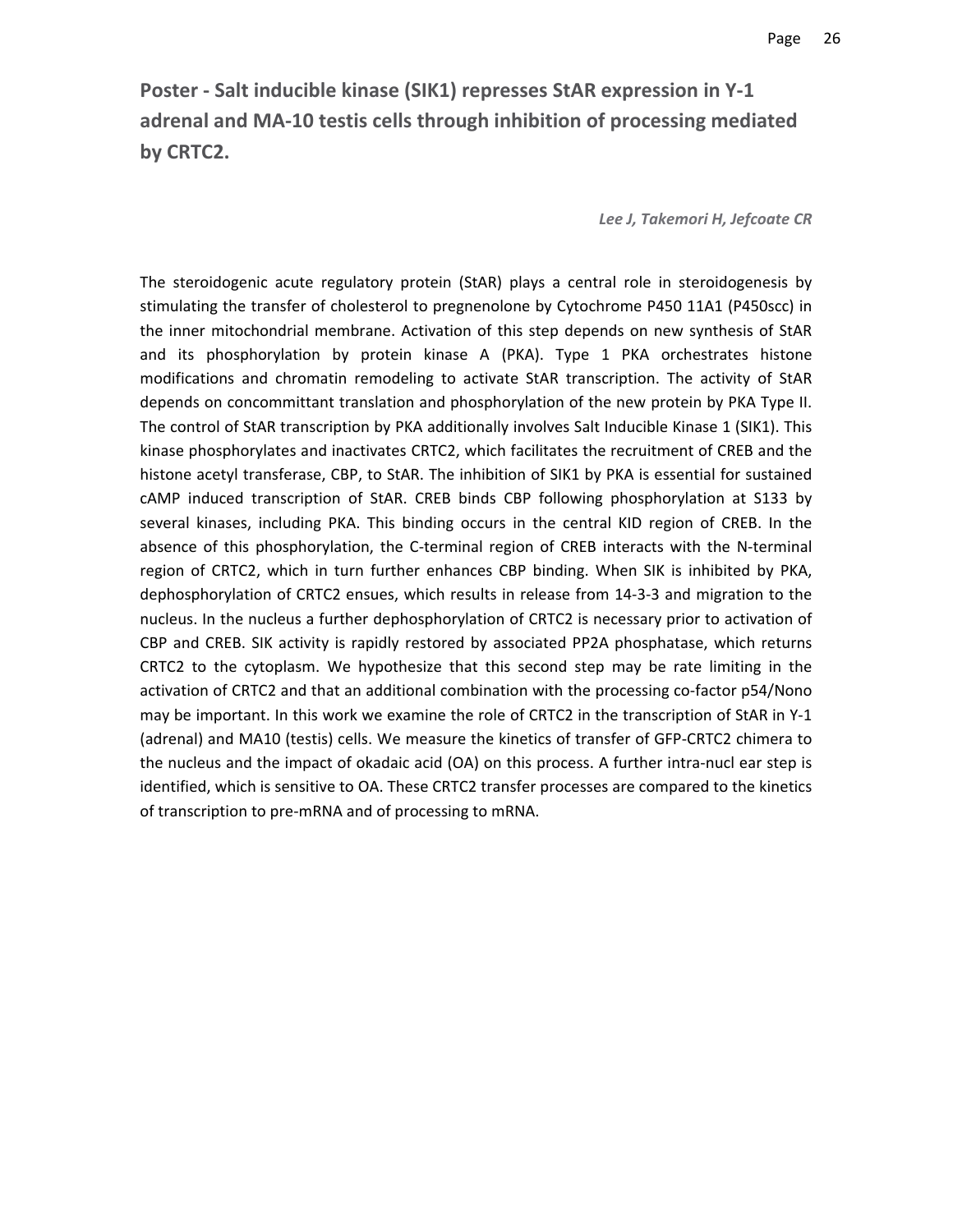# **Poster ‐ Salt inducible kinase (SIK1) represses StAR expression in Y‐1 adrenal and MA‐10 testis cells through inhibition of processing mediated by CRTC2.**

*Lee J, Takemori H, Jefcoate CR*

The steroidogenic acute regulatory protein (StAR) plays a central role in steroidogenesis by stimulating the transfer of cholesterol to pregnenolone by Cytochrome P450 11A1 (P450scc) in the inner mitochondrial membrane. Activation of this step depends on new synthesis of StAR and its phosphorylation by protein kinase A (PKA). Type 1 PKA orchestrates histone modifications and chromatin remodeling to activate StAR transcription. The activity of StAR depends on concommittant translation and phosphorylation of the new protein by PKA Type II. The control of StAR transcription by PKA additionally involves Salt Inducible Kinase 1 (SIK1). This kinase phosphorylates and inactivates CRTC2, which facilitates the recruitment of CREB and the histone acetyl transferase, CBP, to StAR. The inhibition of SIK1 by PKA is essential for sustained cAMP induced transcription of StAR. CREB binds CBP following phosphorylation at S133 by several kinases, including PKA. This binding occurs in the central KID region of CREB. In the absence of this phosphorylation, the C‐terminal region of CREB interacts with the N‐terminal region of CRTC2, which in turn further enhances CBP binding. When SIK is inhibited by PKA, dephosphorylation of CRTC2 ensues, which results in release from 14‐3‐3 and migration to the nucleus. In the nucleus a further dephosphorylation of CRTC2 is necessary prior to activation of CBP and CREB. SIK activity is rapidly restored by associated PP2A phosphatase, which returns CRTC2 to the cytoplasm. We hypothesize that this second step may be rate limiting in the activation of CRTC2 and that an additional combination with the processing co-factor p54/Nono may be important. In this work we examine the role of CRTC2 in the transcription of StAR in Y‐1 (adrenal) and MA10 (testis) cells. We measure the kinetics of transfer of GFP‐CRTC2 chimera to the nucleus and the impact of okadaic acid (OA) on this process. A further intra-nucl ear step is identified, which is sensitive to OA. These CRTC2 transfer processes are compared to the kinetics of transcription to pre‐mRNA and of processing to mRNA.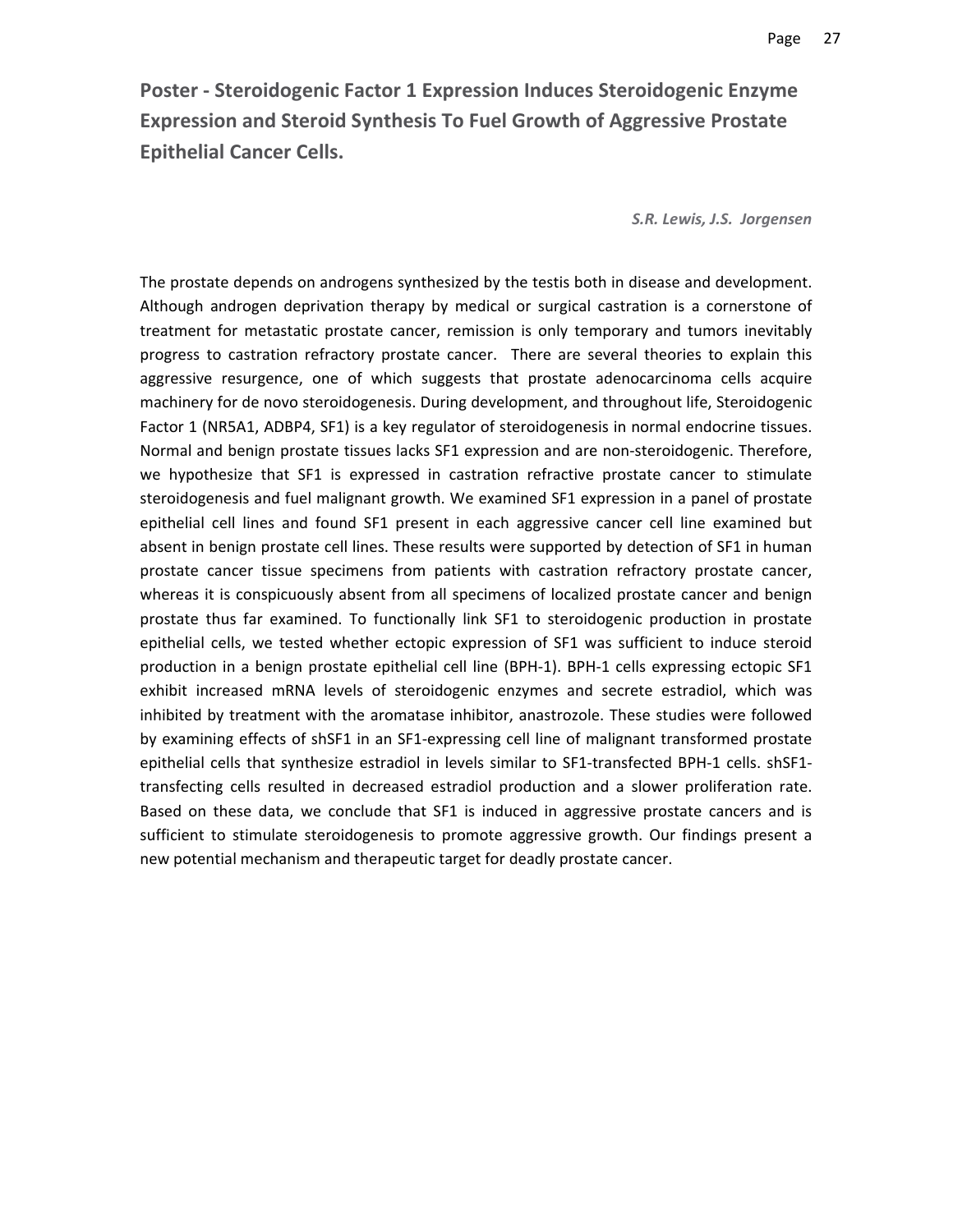**Poster ‐ Steroidogenic Factor 1 Expression Induces Steroidogenic Enzyme Expression and Steroid Synthesis To Fuel Growth of Aggressive Prostate Epithelial Cancer Cells.**

*S.R. Lewis, J.S. Jorgensen*

The prostate depends on androgens synthesized by the testis both in disease and development. Although androgen deprivation therapy by medical or surgical castration is a cornerstone of treatment for metastatic prostate cancer, remission is only temporary and tumors inevitably progress to castration refractory prostate cancer. There are several theories to explain this aggressive resurgence, one of which suggests that prostate adenocarcinoma cells acquire machinery for de novo steroidogenesis. During development, and throughout life, Steroidogenic Factor 1 (NR5A1, ADBP4, SF1) is a key regulator of steroidogenesis in normal endocrine tissues. Normal and benign prostate tissues lacks SF1 expression and are non‐steroidogenic. Therefore, we hypothesize that SF1 is expressed in castration refractive prostate cancer to stimulate steroidogenesis and fuel malignant growth. We examined SF1 expression in a panel of prostate epithelial cell lines and found SF1 present in each aggressive cancer cell line examined but absent in benign prostate cell lines. These results were supported by detection of SF1 in human prostate cancer tissue specimens from patients with castration refractory prostate cancer, whereas it is conspicuously absent from all specimens of localized prostate cancer and benign prostate thus far examined. To functionally link SF1 to steroidogenic production in prostate epithelial cells, we tested whether ectopic expression of SF1 was sufficient to induce steroid production in a benign prostate epithelial cell line (BPH‐1). BPH‐1 cells expressing ectopic SF1 exhibit increased mRNA levels of steroidogenic enzymes and secrete estradiol, which was inhibited by treatment with the aromatase inhibitor, anastrozole. These studies were followed by examining effects of shSF1 in an SF1‐expressing cell line of malignant transformed prostate epithelial cells that synthesize estradiol in levels similar to SF1‐transfected BPH‐1 cells. shSF1‐ transfecting cells resulted in decreased estradiol production and a slower proliferation rate. Based on these data, we conclude that SF1 is induced in aggressive prostate cancers and is sufficient to stimulate steroidogenesis to promote aggressive growth. Our findings present a new potential mechanism and therapeutic target for deadly prostate cancer.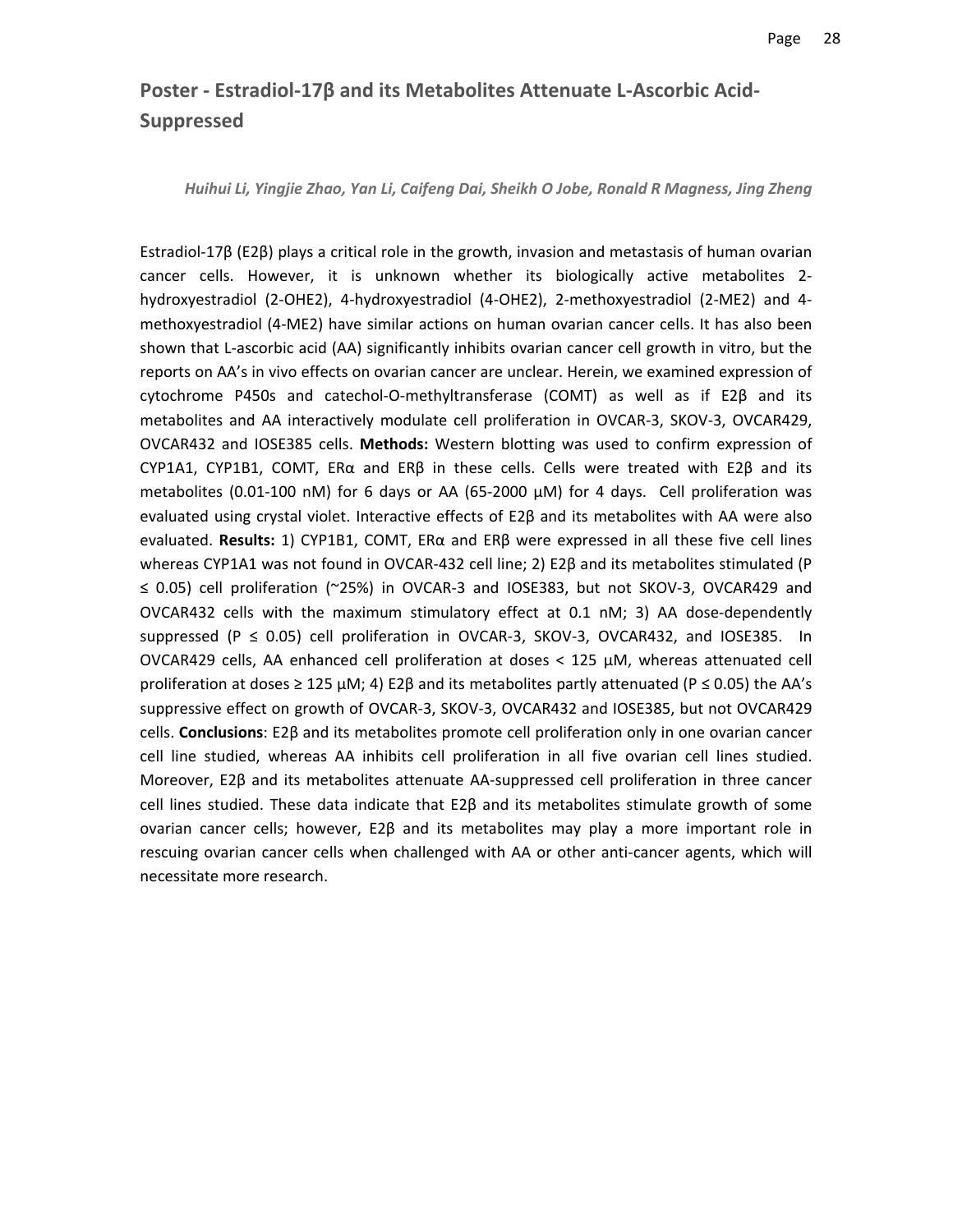# **Poster ‐ Estradiol‐17β and its Metabolites Attenuate L‐Ascorbic Acid‐ Suppressed**

*Huihui Li, Yingjie Zhao, Yan Li, Caifeng Dai, Sheikh O Jobe, Ronald R Magness, Jing Zheng*

Estradiol‐17β (E2β) plays a critical role in the growth, invasion and metastasis of human ovarian cancer cells. However, it is unknown whether its biologically active metabolites 2‐ hydroxyestradiol (2‐OHE2), 4‐hydroxyestradiol (4‐OHE2), 2‐methoxyestradiol (2‐ME2) and 4‐ methoxyestradiol (4‐ME2) have similar actions on human ovarian cancer cells. It has also been shown that L‐ascorbic acid (AA) significantly inhibits ovarian cancer cell growth in vitro, but the reports on AA's in vivo effects on ovarian cancer are unclear. Herein, we examined expression of cytochrome P450s and catechol‐O‐methyltransferase (COMT) as well as if E2β and its metabolites and AA interactively modulate cell proliferation in OVCAR‐3, SKOV‐3, OVCAR429, OVCAR432 and IOSE385 cells. **Methods:** Western blotting was used to confirm expression of CYP1A1, CYP1B1, COMT, ERα and ERβ in these cells. Cells were treated with E2β and its metabolites (0.01-100 nM) for 6 days or AA (65-2000  $\mu$ M) for 4 days. Cell proliferation was evaluated using crystal violet. Interactive effects of E2β and its metabolites with AA were also evaluated. **Results:** 1) CYP1B1, COMT, ERα and ERβ were expressed in all these five cell lines whereas CYP1A1 was not found in OVCAR‐432 cell line; 2) E2β and its metabolites stimulated (P ≤ 0.05) cell proliferation (~25%) in OVCAR‐3 and IOSE383, but not SKOV‐3, OVCAR429 and OVCAR432 cells with the maximum stimulatory effect at 0.1 nM; 3) AA dose‐dependently suppressed (P  $\leq$  0.05) cell proliferation in OVCAR-3, SKOV-3, OVCAR432, and IOSE385. In OVCAR429 cells, AA enhanced cell proliferation at doses < 125 μM, whereas attenuated cell proliferation at doses  $\geq 125$   $\mu$ M; 4) E2 $\beta$  and its metabolites partly attenuated (P  $\leq$  0.05) the AA's suppressive effect on growth of OVCAR‐3, SKOV‐3, OVCAR432 and IOSE385, but not OVCAR429 cells. **Conclusions**: E2β and its metabolites promote cell proliferation only in one ovarian cancer cell line studied, whereas AA inhibits cell proliferation in all five ovarian cell lines studied. Moreover, E2β and its metabolites attenuate AA‐suppressed cell proliferation in three cancer cell lines studied. These data indicate that E2β and its metabolites stimulate growth of some ovarian cancer cells; however, E2β and its metabolites may play a more important role in rescuing ovarian cancer cells when challenged with AA or other anti‐cancer agents, which will necessitate more research.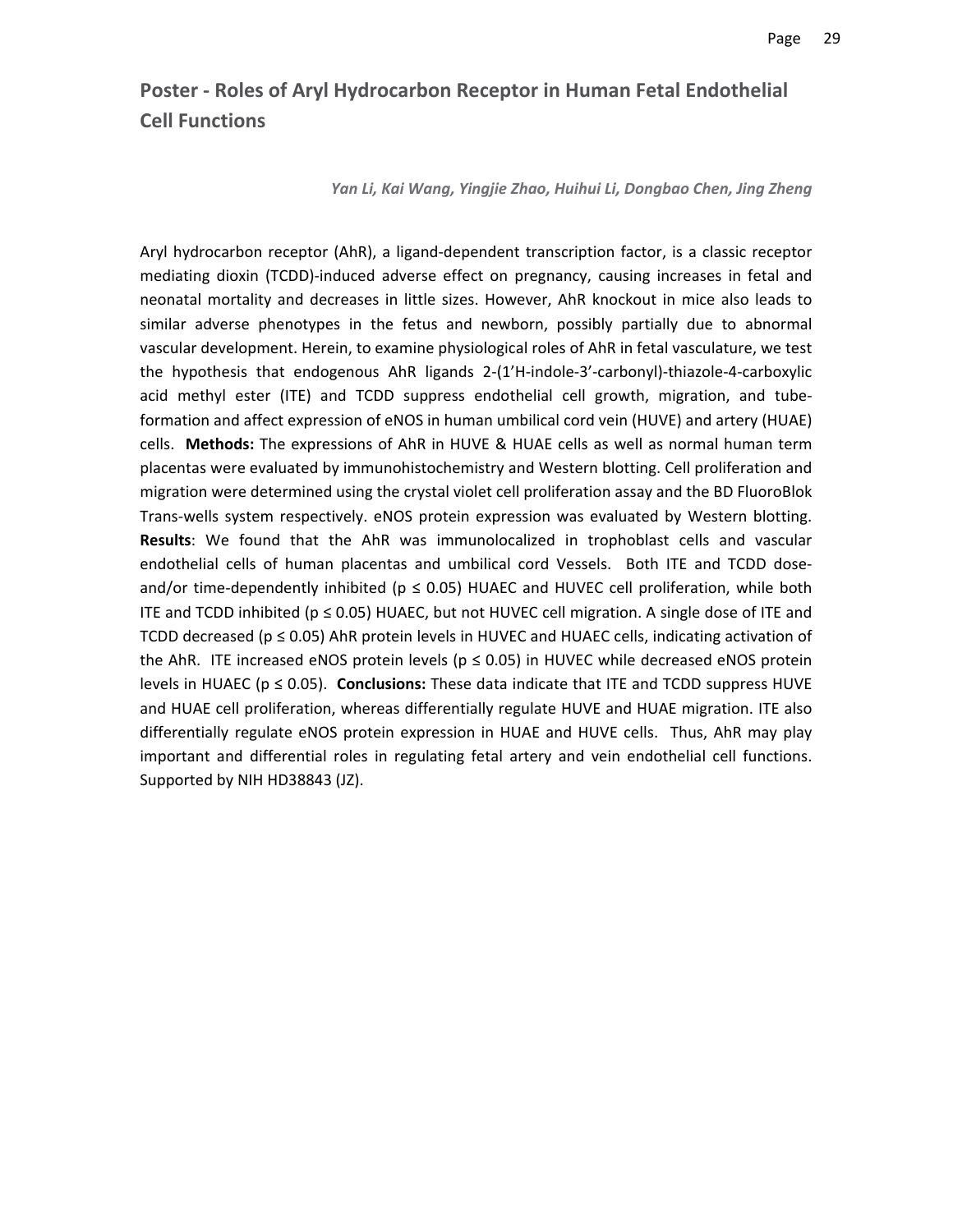# **Poster ‐ Roles of Aryl Hydrocarbon Receptor in Human Fetal Endothelial Cell Functions**

#### *Yan Li, Kai Wang, Yingjie Zhao, Huihui Li, Dongbao Chen, Jing Zheng*

Aryl hydrocarbon receptor (AhR), a ligand‐dependent transcription factor, is a classic receptor mediating dioxin (TCDD)‐induced adverse effect on pregnancy, causing increases in fetal and neonatal mortality and decreases in little sizes. However, AhR knockout in mice also leads to similar adverse phenotypes in the fetus and newborn, possibly partially due to abnormal vascular development. Herein, to examine physiological roles of AhR in fetal vasculature, we test the hypothesis that endogenous AhR ligands 2‐(1'H‐indole‐3'‐carbonyl)‐thiazole‐4‐carboxylic acid methyl ester (ITE) and TCDD suppress endothelial cell growth, migration, and tube‐ formation and affect expression of eNOS in human umbilical cord vein (HUVE) and artery (HUAE) cells. **Methods:** The expressions of AhR in HUVE & HUAE cells as well as normal human term placentas were evaluated by immunohistochemistry and Western blotting. Cell proliferation and migration were determined using the crystal violet cell proliferation assay and the BD FluoroBlok Trans‐wells system respectively. eNOS protein expression was evaluated by Western blotting. **Results**: We found that the AhR was immunolocalized in trophoblast cells and vascular endothelial cells of human placentas and umbilical cord Vessels. Both ITE and TCDD doseand/or time-dependently inhibited ( $p \le 0.05$ ) HUAEC and HUVEC cell proliferation, while both ITE and TCDD inhibited ( $p \le 0.05$ ) HUAEC, but not HUVEC cell migration. A single dose of ITE and TCDD decreased (p ≤ 0.05) AhR protein levels in HUVEC and HUAEC cells, indicating activation of the AhR. ITE increased eNOS protein levels ( $p \le 0.05$ ) in HUVEC while decreased eNOS protein levels in HUAEC (p ≤ 0.05). **Conclusions:** These data indicate that ITE and TCDD suppress HUVE and HUAE cell proliferation, whereas differentially regulate HUVE and HUAE migration. ITE also differentially regulate eNOS protein expression in HUAE and HUVE cells. Thus, AhR may play important and differential roles in regulating fetal artery and vein endothelial cell functions. Supported by NIH HD38843 (JZ).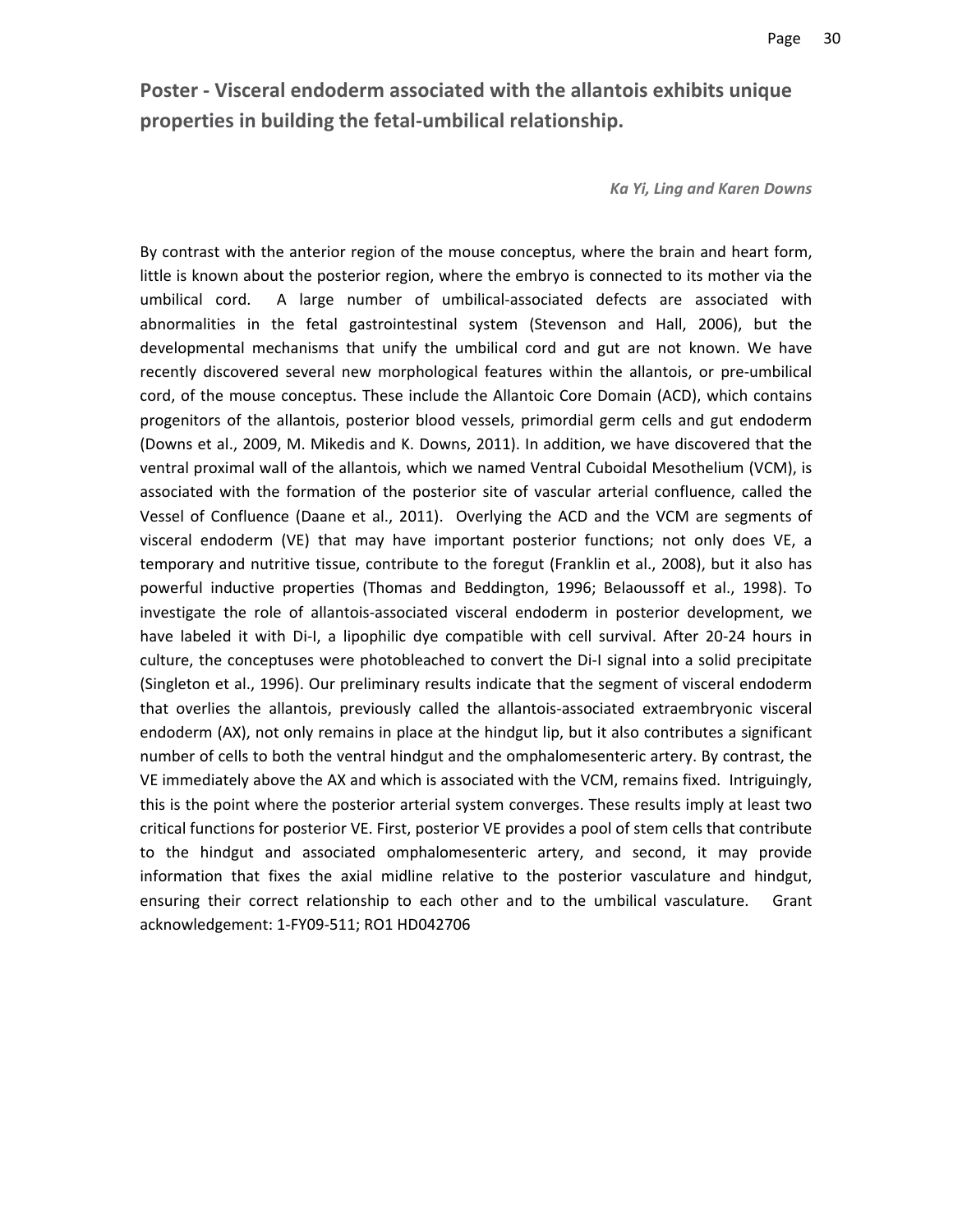**Poster ‐ Visceral endoderm associated with the allantois exhibits unique properties in building the fetal‐umbilical relationship.**

#### *Ka Yi, Ling and Karen Downs*

By contrast with the anterior region of the mouse conceptus, where the brain and heart form, little is known about the posterior region, where the embryo is connected to its mother via the umbilical cord. A large number of umbilical-associated defects are associated with abnormalities in the fetal gastrointestinal system (Stevenson and Hall, 2006), but the developmental mechanisms that unify the umbilical cord and gut are not known. We have recently discovered several new morphological features within the allantois, or pre-umbilical cord, of the mouse conceptus. These include the Allantoic Core Domain (ACD), which contains progenitors of the allantois, posterior blood vessels, primordial germ cells and gut endoderm (Downs et al., 2009, M. Mikedis and K. Downs, 2011). In addition, we have discovered that the ventral proximal wall of the allantois, which we named Ventral Cuboidal Mesothelium (VCM), is associated with the formation of the posterior site of vascular arterial confluence, called the Vessel of Confluence (Daane et al., 2011). Overlying the ACD and the VCM are segments of visceral endoderm (VE) that may have important posterior functions; not only does VE, a temporary and nutritive tissue, contribute to the foregut (Franklin et al., 2008), but it also has powerful inductive properties (Thomas and Beddington, 1996; Belaoussoff et al., 1998). To investigate the role of allantois‐associated visceral endoderm in posterior development, we have labeled it with Di-I, a lipophilic dye compatible with cell survival. After 20-24 hours in culture, the conceptuses were photobleached to convert the Di‐I signal into a solid precipitate (Singleton et al., 1996). Our preliminary results indicate that the segment of visceral endoderm that overlies the allantois, previously called the allantois‐associated extraembryonic visceral endoderm (AX), not only remains in place at the hindgut lip, but it also contributes a significant number of cells to both the ventral hindgut and the omphalomesenteric artery. By contrast, the VE immediately above the AX and which is associated with the VCM, remains fixed. Intriguingly, this is the point where the posterior arterial system converges. These results imply at least two critical functions for posterior VE. First, posterior VE provides a pool of stem cells that contribute to the hindgut and associated omphalomesenteric artery, and second, it may provide information that fixes the axial midline relative to the posterior vasculature and hindgut, ensuring their correct relationship to each other and to the umbilical vasculature. Grant acknowledgement: 1‐FY09‐511; RO1 HD042706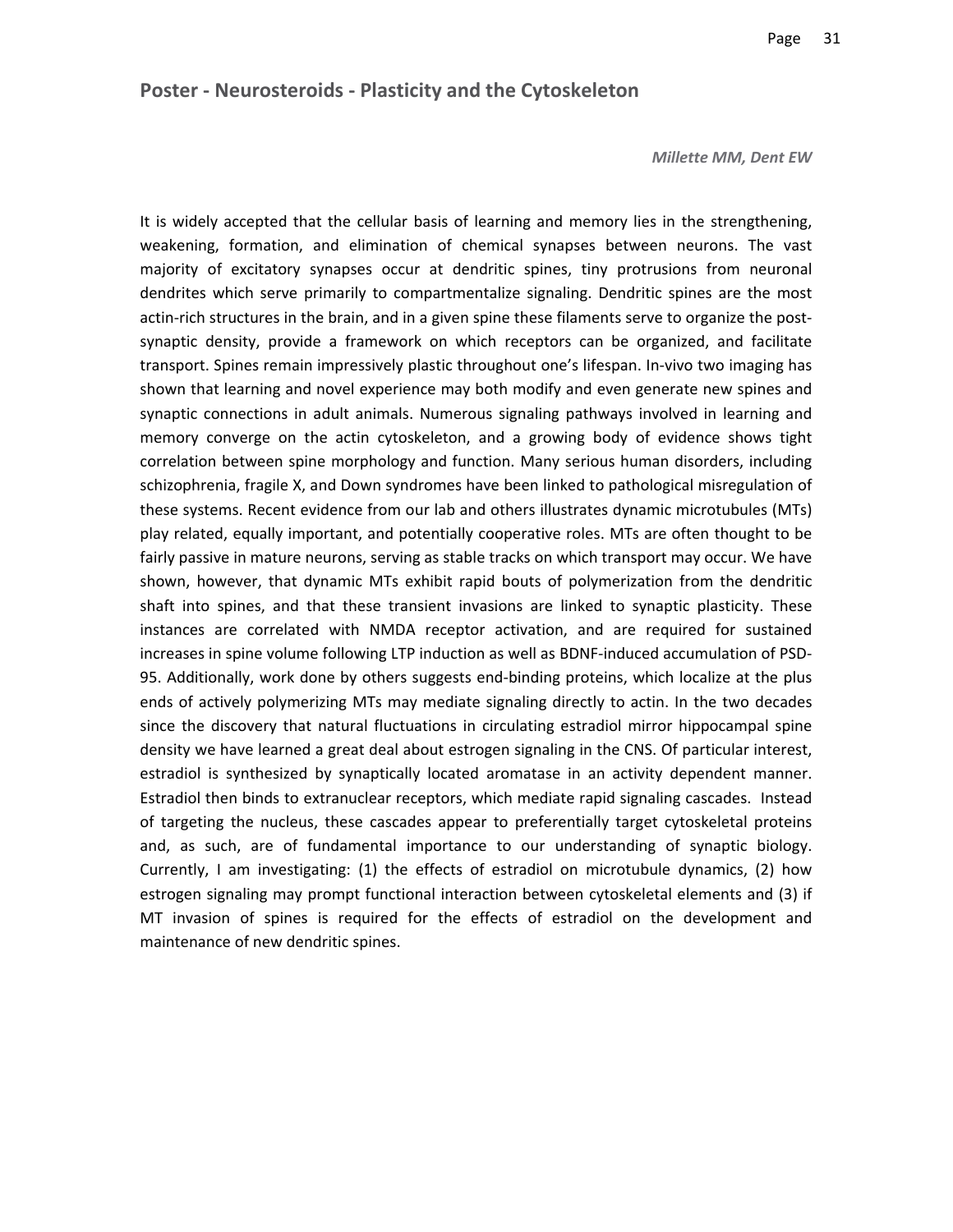#### *Millette MM, Dent EW*

It is widely accepted that the cellular basis of learning and memory lies in the strengthening, weakening, formation, and elimination of chemical synapses between neurons. The vast majority of excitatory synapses occur at dendritic spines, tiny protrusions from neuronal dendrites which serve primarily to compartmentalize signaling. Dendritic spines are the most actin-rich structures in the brain, and in a given spine these filaments serve to organize the postsynaptic density, provide a framework on which receptors can be organized, and facilitate transport. Spines remain impressively plastic throughout one's lifespan. In‐vivo two imaging has shown that learning and novel experience may both modify and even generate new spines and synaptic connections in adult animals. Numerous signaling pathways involved in learning and memory converge on the actin cytoskeleton, and a growing body of evidence shows tight correlation between spine morphology and function. Many serious human disorders, including schizophrenia, fragile X, and Down syndromes have been linked to pathological misregulation of these systems. Recent evidence from our lab and others illustrates dynamic microtubules (MTs) play related, equally important, and potentially cooperative roles. MTs are often thought to be fairly passive in mature neurons, serving as stable tracks on which transport may occur. We have shown, however, that dynamic MTs exhibit rapid bouts of polymerization from the dendritic shaft into spines, and that these transient invasions are linked to synaptic plasticity. These instances are correlated with NMDA receptor activation, and are required for sustained increases in spine volume following LTP induction as well as BDNF‐induced accumulation of PSD‐ 95. Additionally, work done by others suggests end‐binding proteins, which localize at the plus ends of actively polymerizing MTs may mediate signaling directly to actin. In the two decades since the discovery that natural fluctuations in circulating estradiol mirror hippocampal spine density we have learned a great deal about estrogen signaling in the CNS. Of particular interest, estradiol is synthesized by synaptically located aromatase in an activity dependent manner. Estradiol then binds to extranuclear receptors, which mediate rapid signaling cascades. Instead of targeting the nucleus, these cascades appear to preferentially target cytoskeletal proteins and, as such, are of fundamental importance to our understanding of synaptic biology. Currently, I am investigating: (1) the effects of estradiol on microtubule dynamics, (2) how estrogen signaling may prompt functional interaction between cytoskeletal elements and (3) if MT invasion of spines is required for the effects of estradiol on the development and maintenance of new dendritic spines.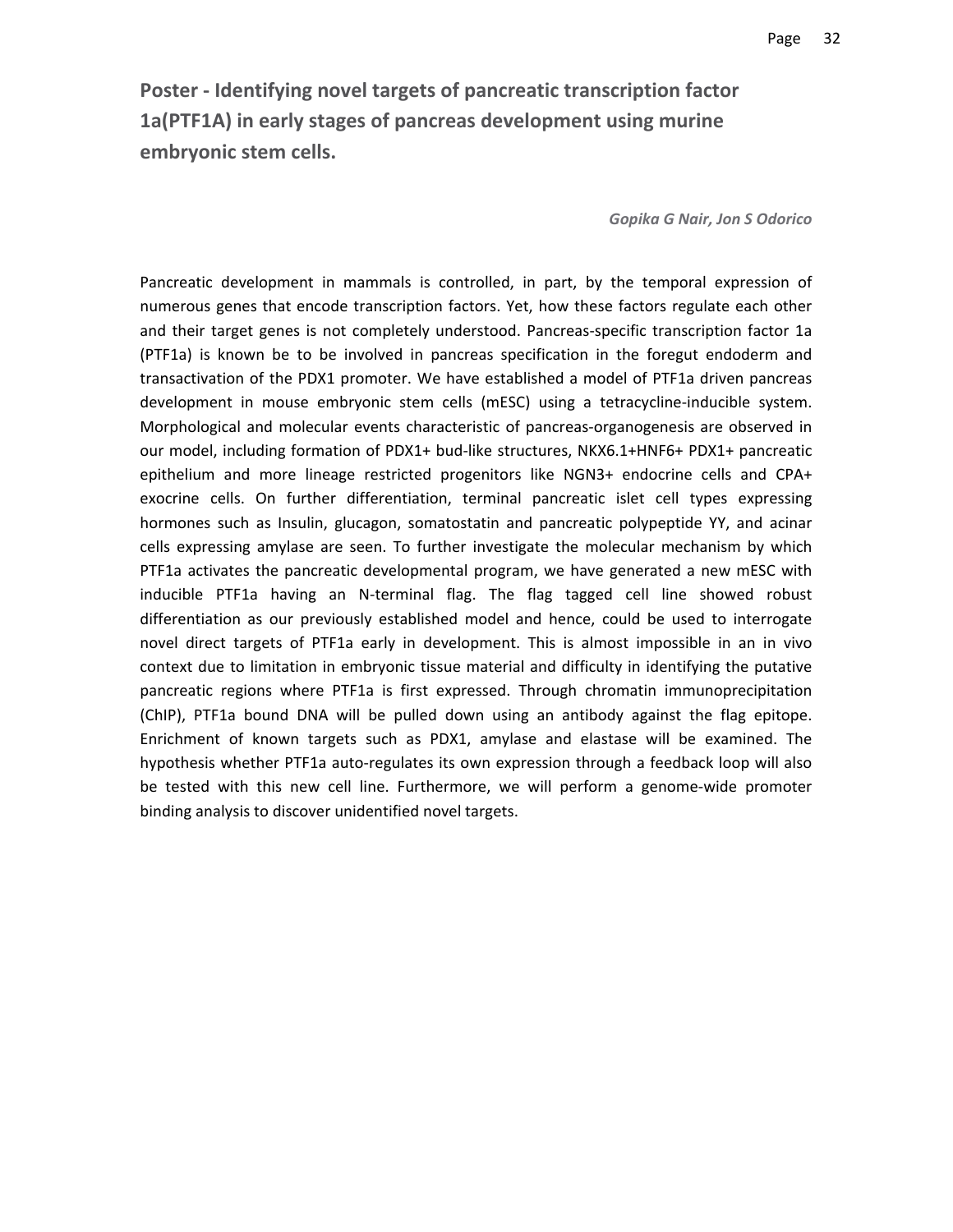**Poster ‐ Identifying novel targets of pancreatic transcription factor 1a(PTF1A) in early stages of pancreas development using murine embryonic stem cells.**

*Gopika G Nair, Jon S Odorico*

Pancreatic development in mammals is controlled, in part, by the temporal expression of numerous genes that encode transcription factors. Yet, how these factors regulate each other and their target genes is not completely understood. Pancreas‐specific transcription factor 1a (PTF1a) is known be to be involved in pancreas specification in the foregut endoderm and transactivation of the PDX1 promoter. We have established a model of PTF1a driven pancreas development in mouse embryonic stem cells (mESC) using a tetracycline‐inducible system. Morphological and molecular events characteristic of pancreas‐organogenesis are observed in our model, including formation of PDX1+ bud-like structures, NKX6.1+HNF6+ PDX1+ pancreatic epithelium and more lineage restricted progenitors like NGN3+ endocrine cells and CPA+ exocrine cells. On further differentiation, terminal pancreatic islet cell types expressing hormones such as Insulin, glucagon, somatostatin and pancreatic polypeptide YY, and acinar cells expressing amylase are seen. To further investigate the molecular mechanism by which PTF1a activates the pancreatic developmental program, we have generated a new mESC with inducible PTF1a having an N‐terminal flag. The flag tagged cell line showed robust differentiation as our previously established model and hence, could be used to interrogate novel direct targets of PTF1a early in development. This is almost impossible in an in vivo context due to limitation in embryonic tissue material and difficulty in identifying the putative pancreatic regions where PTF1a is first expressed. Through chromatin immunoprecipitation (ChIP), PTF1a bound DNA will be pulled down using an antibody against the flag epitope. Enrichment of known targets such as PDX1, amylase and elastase will be examined. The hypothesis whether PTF1a auto-regulates its own expression through a feedback loop will also be tested with this new cell line. Furthermore, we will perform a genome-wide promoter binding analysis to discover unidentified novel targets.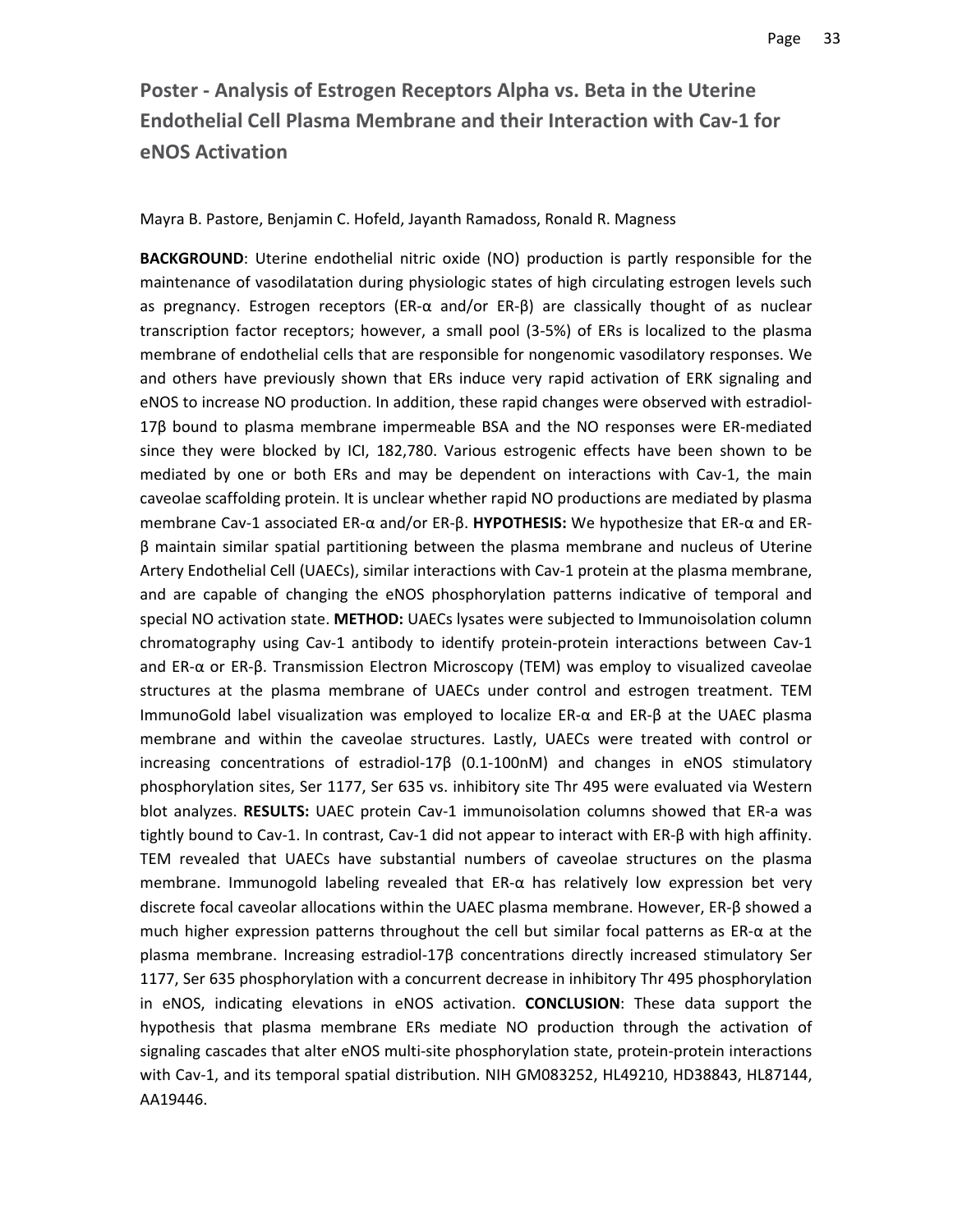# **Poster ‐ Analysis of Estrogen Receptors Alpha vs. Beta in the Uterine Endothelial Cell Plasma Membrane and their Interaction with Cav‐1 for eNOS Activation**

Mayra B. Pastore, Benjamin C. Hofeld, Jayanth Ramadoss, Ronald R. Magness

**BACKGROUND**: Uterine endothelial nitric oxide (NO) production is partly responsible for the maintenance of vasodilatation during physiologic states of high circulating estrogen levels such as pregnancy. Estrogen receptors (ER‐α and/or ER‐β) are classically thought of as nuclear transcription factor receptors; however, a small pool (3‐5%) of ERs is localized to the plasma membrane of endothelial cells that are responsible for nongenomic vasodilatory responses. We and others have previously shown that ERs induce very rapid activation of ERK signaling and eNOS to increase NO production. In addition, these rapid changes were observed with estradiol‐ 17β bound to plasma membrane impermeable BSA and the NO responses were ER‐mediated since they were blocked by ICI, 182,780. Various estrogenic effects have been shown to be mediated by one or both ERs and may be dependent on interactions with Cav-1, the main caveolae scaffolding protein. It is unclear whether rapid NO productions are mediated by plasma membrane Cav‐1 associated ER‐α and/or ER‐β. **HYPOTHESIS:** We hypothesize that ER‐α and ER‐ β maintain similar spatial partitioning between the plasma membrane and nucleus of Uterine Artery Endothelial Cell (UAECs), similar interactions with Cav‐1 protein at the plasma membrane, and are capable of changing the eNOS phosphorylation patterns indicative of temporal and special NO activation state. **METHOD:** UAECs lysates were subjected to Immunoisolation column chromatography using Cav-1 antibody to identify protein-protein interactions between Cav-1 and ER‐α or ER‐β. Transmission Electron Microscopy (TEM) was employ to visualized caveolae structures at the plasma membrane of UAECs under control and estrogen treatment. TEM ImmunoGold label visualization was employed to localize ER‐α and ER‐β at the UAEC plasma membrane and within the caveolae structures. Lastly, UAECs were treated with control or increasing concentrations of estradiol-17 $\beta$  (0.1-100nM) and changes in eNOS stimulatory phosphorylation sites, Ser 1177, Ser 635 vs. inhibitory site Thr 495 were evaluated via Western blot analyzes. RESULTS: UAEC protein Cav-1 immunoisolation columns showed that ER-a was tightly bound to Cav-1. In contrast, Cav-1 did not appear to interact with ER-β with high affinity. TEM revealed that UAECs have substantial numbers of caveolae structures on the plasma membrane. Immunogold labeling revealed that ER-α has relatively low expression bet very discrete focal caveolar allocations within the UAEC plasma membrane. However, ER‐β showed a much higher expression patterns throughout the cell but similar focal patterns as ER‐α at the plasma membrane. Increasing estradiol‐17β concentrations directly increased stimulatory Ser 1177, Ser 635 phosphorylation with a concurrent decrease in inhibitory Thr 495 phosphorylation in eNOS, indicating elevations in eNOS activation. **CONCLUSION**: These data support the hypothesis that plasma membrane ERs mediate NO production through the activation of signaling cascades that alter eNOS multi-site phosphorylation state, protein-protein interactions with Cav‐1, and its temporal spatial distribution. NIH GM083252, HL49210, HD38843, HL87144, AA19446.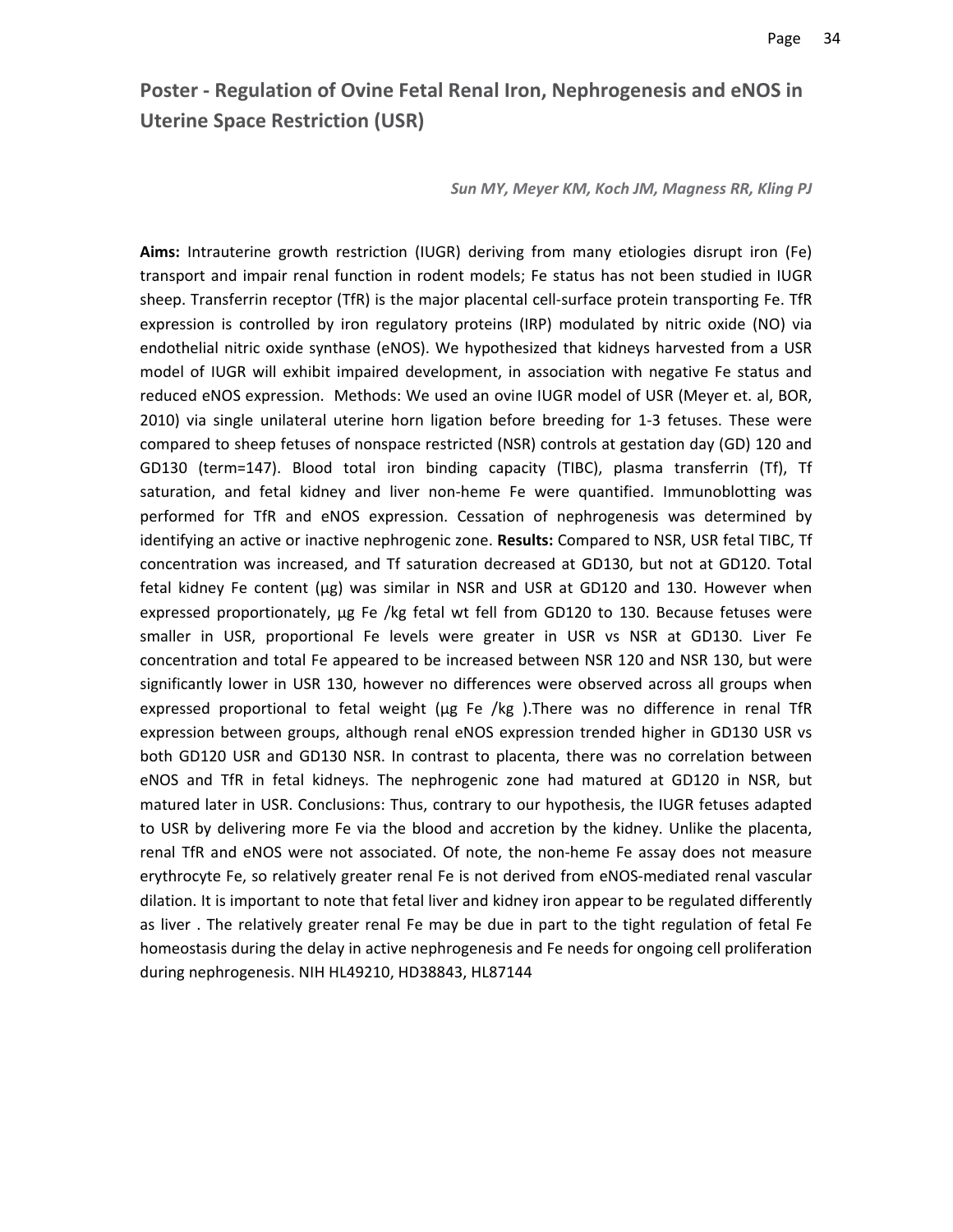### **Poster ‐ Regulation of Ovine Fetal Renal Iron, Nephrogenesis and eNOS in Uterine Space Restriction (USR)**

*Sun MY, Meyer KM, Koch JM, Magness RR, Kling PJ*

**Aims:** Intrauterine growth restriction (IUGR) deriving from many etiologies disrupt iron (Fe) transport and impair renal function in rodent models; Fe status has not been studied in IUGR sheep. Transferrin receptor (TfR) is the major placental cell-surface protein transporting Fe. TfR expression is controlled by iron regulatory proteins (IRP) modulated by nitric oxide (NO) via endothelial nitric oxide synthase (eNOS). We hypothesized that kidneys harvested from a USR model of IUGR will exhibit impaired development, in association with negative Fe status and reduced eNOS expression. Methods: We used an ovine IUGR model of USR (Meyer et. al, BOR, 2010) via single unilateral uterine horn ligation before breeding for 1‐3 fetuses. These were compared to sheep fetuses of nonspace restricted (NSR) controls at gestation day (GD) 120 and GD130 (term=147). Blood total iron binding capacity (TIBC), plasma transferrin (Tf), Tf saturation, and fetal kidney and liver non‐heme Fe were quantified. Immunoblotting was performed for TfR and eNOS expression. Cessation of nephrogenesis was determined by identifying an active or inactive nephrogenic zone. **Results:** Compared to NSR, USR fetal TIBC, Tf concentration was increased, and Tf saturation decreased at GD130, but not at GD120. Total fetal kidney Fe content (μg) was similar in NSR and USR at GD120 and 130. However when expressed proportionately, μg Fe /kg fetal wt fell from GD120 to 130. Because fetuses were smaller in USR, proportional Fe levels were greater in USR vs NSR at GD130. Liver Fe concentration and total Fe appeared to be increased between NSR 120 and NSR 130, but were significantly lower in USR 130, however no differences were observed across all groups when expressed proportional to fetal weight (μg Fe /kg ).There was no difference in renal TfR expression between groups, although renal eNOS expression trended higher in GD130 USR vs both GD120 USR and GD130 NSR. In contrast to placenta, there was no correlation between eNOS and TfR in fetal kidneys. The nephrogenic zone had matured at GD120 in NSR, but matured later in USR. Conclusions: Thus, contrary to our hypothesis, the IUGR fetuses adapted to USR by delivering more Fe via the blood and accretion by the kidney. Unlike the placenta, renal TfR and eNOS were not associated. Of note, the non‐heme Fe assay does not measure erythrocyte Fe, so relatively greater renal Fe is not derived from eNOS‐mediated renal vascular dilation. It is important to note that fetal liver and kidney iron appear to be regulated differently as liver . The relatively greater renal Fe may be due in part to the tight regulation of fetal Fe homeostasis during the delay in active nephrogenesis and Fe needs for ongoing cell proliferation during nephrogenesis. NIH HL49210, HD38843, HL87144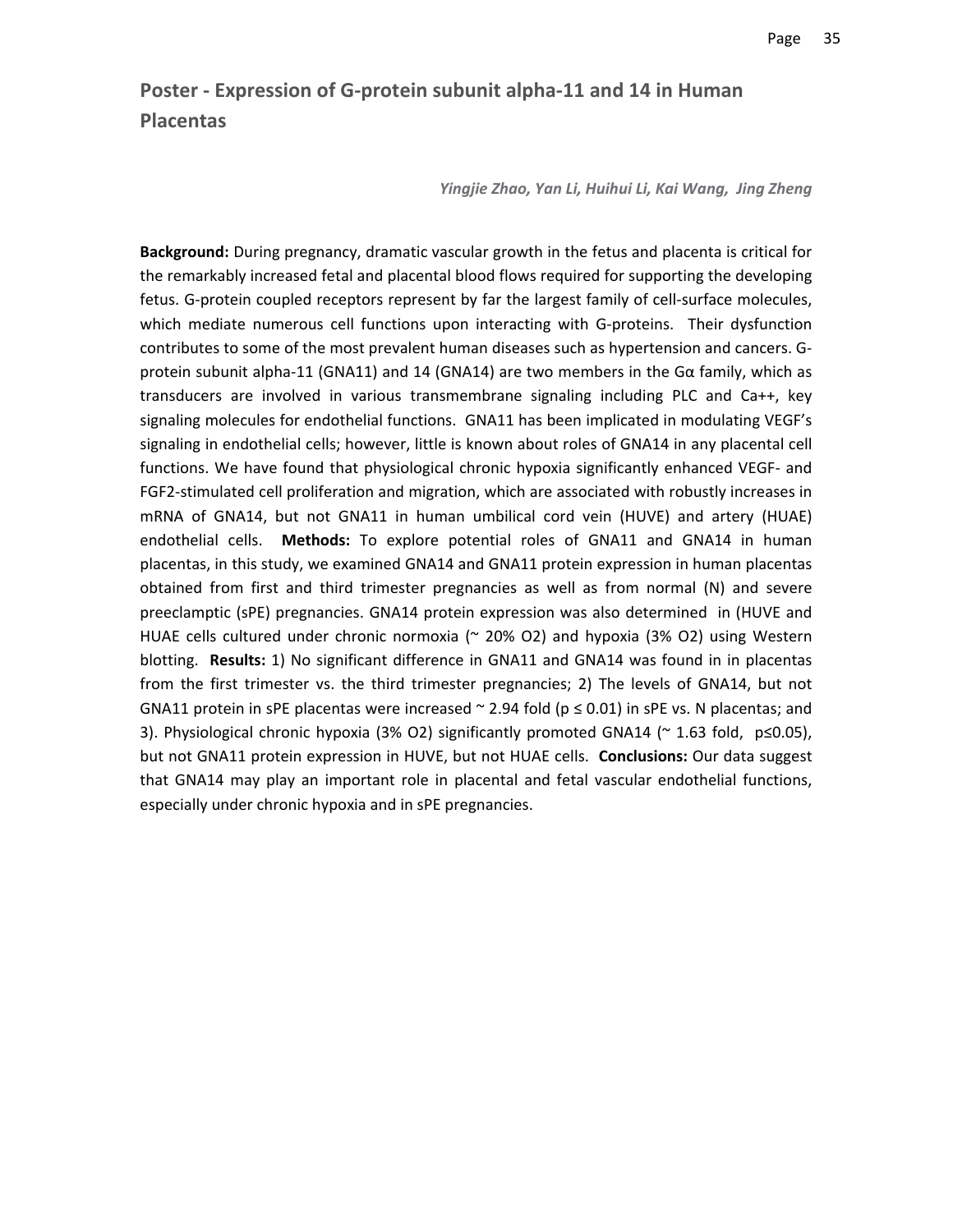# **Poster ‐ Expression of G‐protein subunit alpha‐11 and 14 in Human Placentas**

*Yingjie Zhao, Yan Li, Huihui Li, Kai Wang, Jing Zheng*

**Background:** During pregnancy, dramatic vascular growth in the fetus and placenta is critical for the remarkably increased fetal and placental blood flows required for supporting the developing fetus. G‐protein coupled receptors represent by far the largest family of cell‐surface molecules, which mediate numerous cell functions upon interacting with G-proteins. Their dysfunction contributes to some of the most prevalent human diseases such as hypertension and cancers. G‐ protein subunit alpha-11 (GNA11) and 14 (GNA14) are two members in the Gα family, which as transducers are involved in various transmembrane signaling including PLC and Ca++, key signaling molecules for endothelial functions. GNA11 has been implicated in modulating VEGF's signaling in endothelial cells; however, little is known about roles of GNA14 in any placental cell functions. We have found that physiological chronic hypoxia significantly enhanced VEGF‐ and FGF2‐stimulated cell proliferation and migration, which are associated with robustly increases in mRNA of GNA14, but not GNA11 in human umbilical cord vein (HUVE) and artery (HUAE) endothelial cells. **Methods:** To explore potential roles of GNA11 and GNA14 in human placentas, in this study, we examined GNA14 and GNA11 protein expression in human placentas obtained from first and third trimester pregnancies as well as from normal (N) and severe preeclamptic (sPE) pregnancies. GNA14 protein expression was also determined in (HUVE and HUAE cells cultured under chronic normoxia ( $\approx$  20% O2) and hypoxia (3% O2) using Western blotting. **Results:** 1) No significant difference in GNA11 and GNA14 was found in in placentas from the first trimester vs. the third trimester pregnancies; 2) The levels of GNA14, but not GNA11 protein in sPE placentas were increased  $\sim$  2.94 fold ( $p \le 0.01$ ) in sPE vs. N placentas; and 3). Physiological chronic hypoxia (3% O2) significantly promoted GNA14 ( $\sim$  1.63 fold,  $p≤0.05$ ), but not GNA11 protein expression in HUVE, but not HUAE cells. **Conclusions:** Our data suggest that GNA14 may play an important role in placental and fetal vascular endothelial functions, especially under chronic hypoxia and in sPE pregnancies.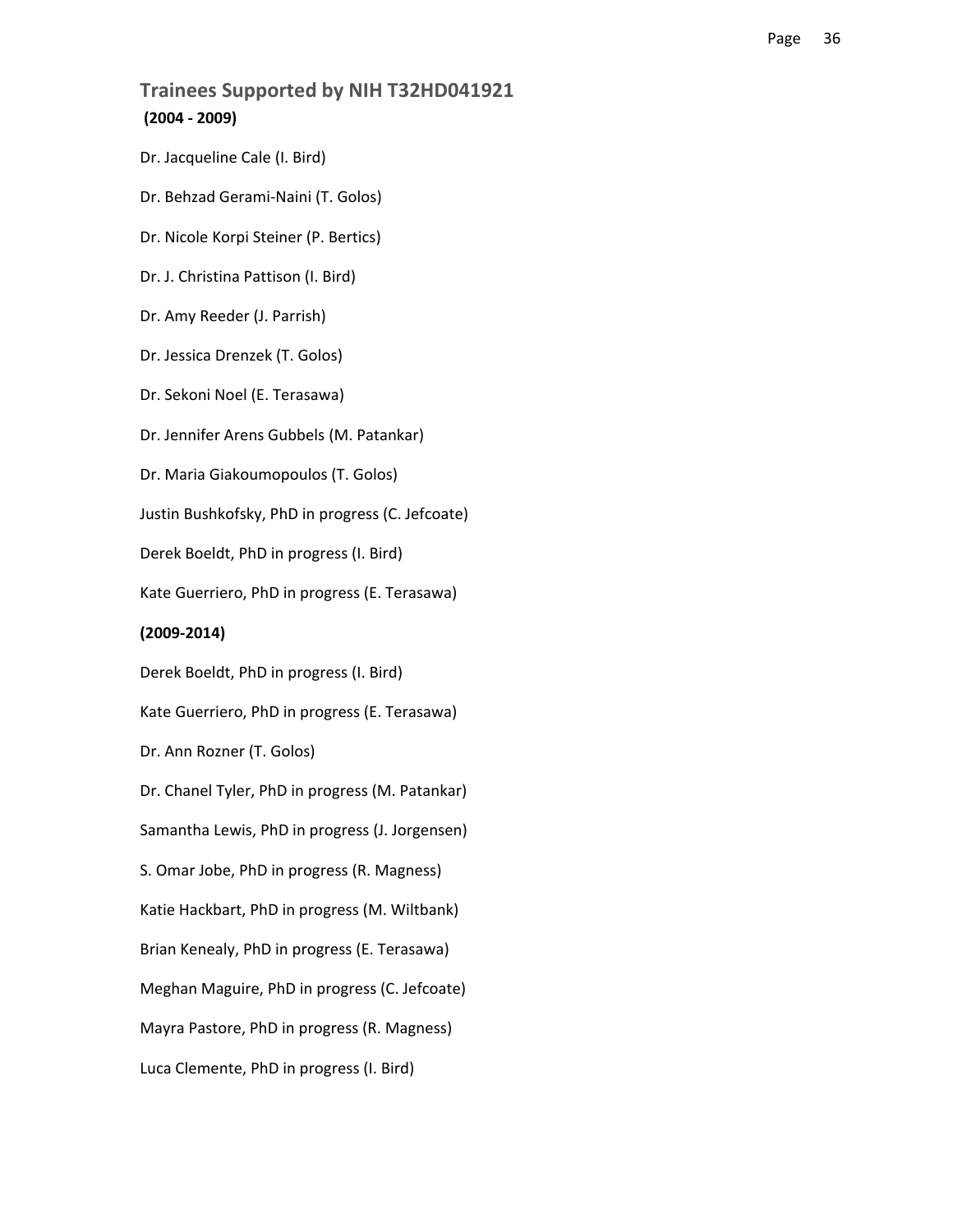### **Trainees Supported by NIH T32HD041921 (2004 ‐ 2009)**

Dr. Jacqueline Cale (I. Bird) Dr. Behzad Gerami‐Naini (T. Golos) Dr. Nicole Korpi Steiner (P. Bertics) Dr. J. Christina Pattison (I. Bird) Dr. Amy Reeder (J. Parrish) Dr. Jessica Drenzek (T. Golos) Dr. Sekoni Noel (E. Terasawa) Dr. Jennifer Arens Gubbels (M. Patankar) Dr. Maria Giakoumopoulos (T. Golos) Justin Bushkofsky, PhD in progress (C. Jefcoate) Derek Boeldt, PhD in progress (I. Bird) Kate Guerriero, PhD in progress (E. Terasawa) **(2009‐2014)** Derek Boeldt, PhD in progress (I. Bird) Kate Guerriero, PhD in progress (E. Terasawa) Dr. Ann Rozner (T. Golos) Dr. Chanel Tyler, PhD in progress (M. Patankar) Samantha Lewis, PhD in progress (J. Jorgensen) S. Omar Jobe, PhD in progress (R. Magness) Katie Hackbart, PhD in progress (M. Wiltbank) Brian Kenealy, PhD in progress (E. Terasawa) Meghan Maguire, PhD in progress (C. Jefcoate) Mayra Pastore, PhD in progress (R. Magness) Luca Clemente, PhD in progress (I. Bird)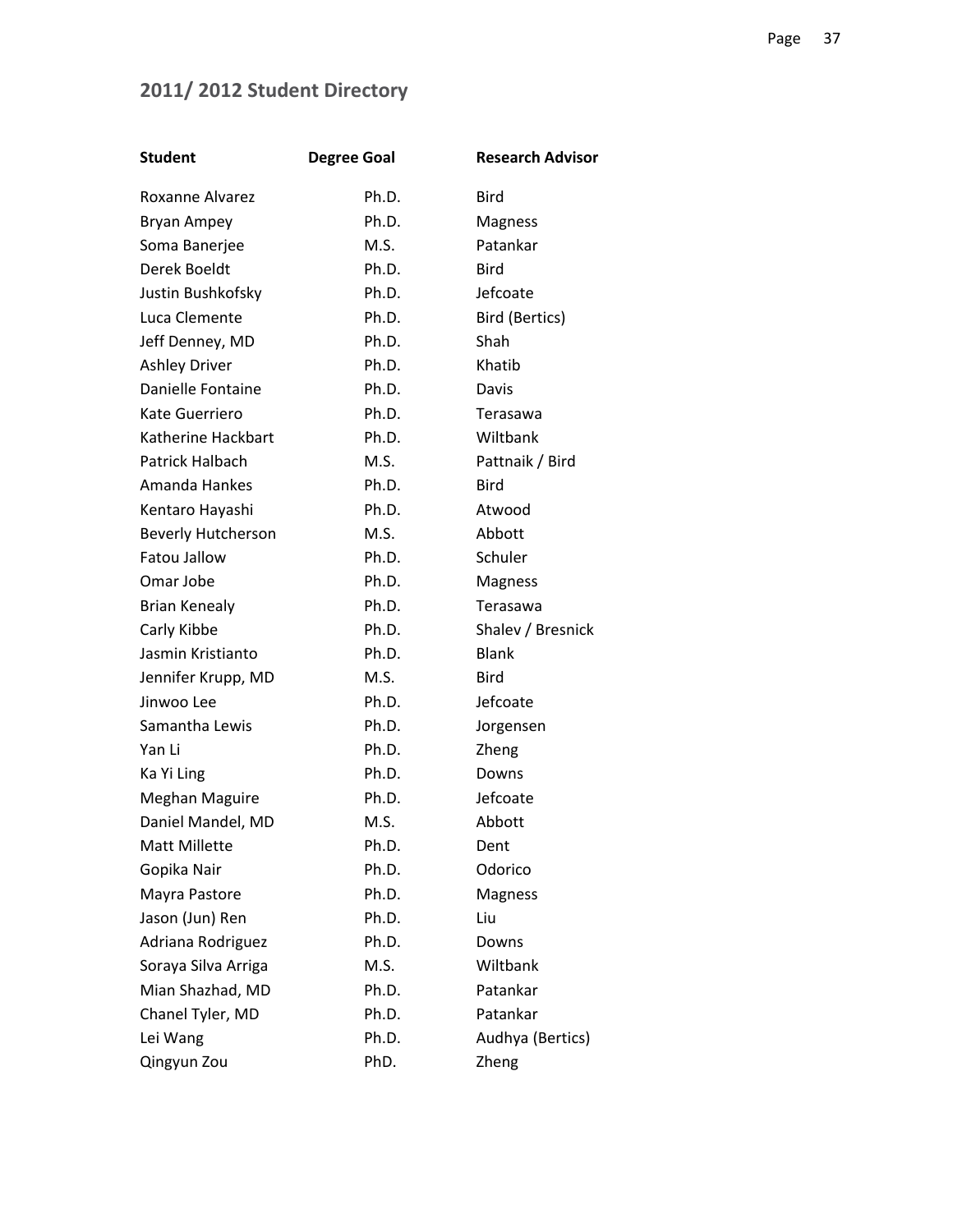# **2011/ 2012 Student Directory**

| <b>Student</b>            | <b>Degree Goal</b> | <b>Research Advisor</b> |
|---------------------------|--------------------|-------------------------|
| Roxanne Alvarez           | Ph.D.              | <b>Bird</b>             |
| Bryan Ampey               | Ph.D.              | Magness                 |
| Soma Banerjee             | M.S.               | Patankar                |
| Derek Boeldt              | Ph.D.              | Bird                    |
| Justin Bushkofsky         | Ph.D.              | Jefcoate                |
| Luca Clemente             | Ph.D.              | Bird (Bertics)          |
| Jeff Denney, MD           | Ph.D.              | Shah                    |
| <b>Ashley Driver</b>      | Ph.D.              | Khatib                  |
| Danielle Fontaine         | Ph.D.              | Davis                   |
| Kate Guerriero            | Ph.D.              | Terasawa                |
| Katherine Hackbart        | Ph.D.              | Wiltbank                |
| Patrick Halbach           | M.S.               | Pattnaik / Bird         |
| Amanda Hankes             | Ph.D.              | <b>Bird</b>             |
| Kentaro Hayashi           | Ph.D.              | Atwood                  |
| <b>Beverly Hutcherson</b> | M.S.               | Abbott                  |
| <b>Fatou Jallow</b>       | Ph.D.              | Schuler                 |
| Omar Jobe                 | Ph.D.              | <b>Magness</b>          |
| <b>Brian Kenealy</b>      | Ph.D.              | Terasawa                |
| Carly Kibbe               | Ph.D.              | Shalev / Bresnick       |
| Jasmin Kristianto         | Ph.D.              | <b>Blank</b>            |
| Jennifer Krupp, MD        | M.S.               | Bird                    |
| Jinwoo Lee                | Ph.D.              | Jefcoate                |
| Samantha Lewis            | Ph.D.              | Jorgensen               |
| Yan Li                    | Ph.D.              | Zheng                   |
| Ka Yi Ling                | Ph.D.              | Downs                   |
| Meghan Maguire            | Ph.D.              | Jefcoate                |
| Daniel Mandel, MD         | M.S.               | Abbott                  |
| Matt Millette             | Ph.D.              | Dent                    |
| Gopika Nair               | Ph.D.              | Odorico                 |
| Mayra Pastore             | Ph.D.              | <b>Magness</b>          |
| Jason (Jun) Ren           | Ph.D.              | Liu                     |
| Adriana Rodriguez         | Ph.D.              | Downs                   |
| Soraya Silva Arriga       | M.S.               | Wiltbank                |
| Mian Shazhad, MD          | Ph.D.              | Patankar                |
| Chanel Tyler, MD          | Ph.D.              | Patankar                |
| Lei Wang                  | Ph.D.              | Audhya (Bertics)        |
| Qingyun Zou               | PhD.               | Zheng                   |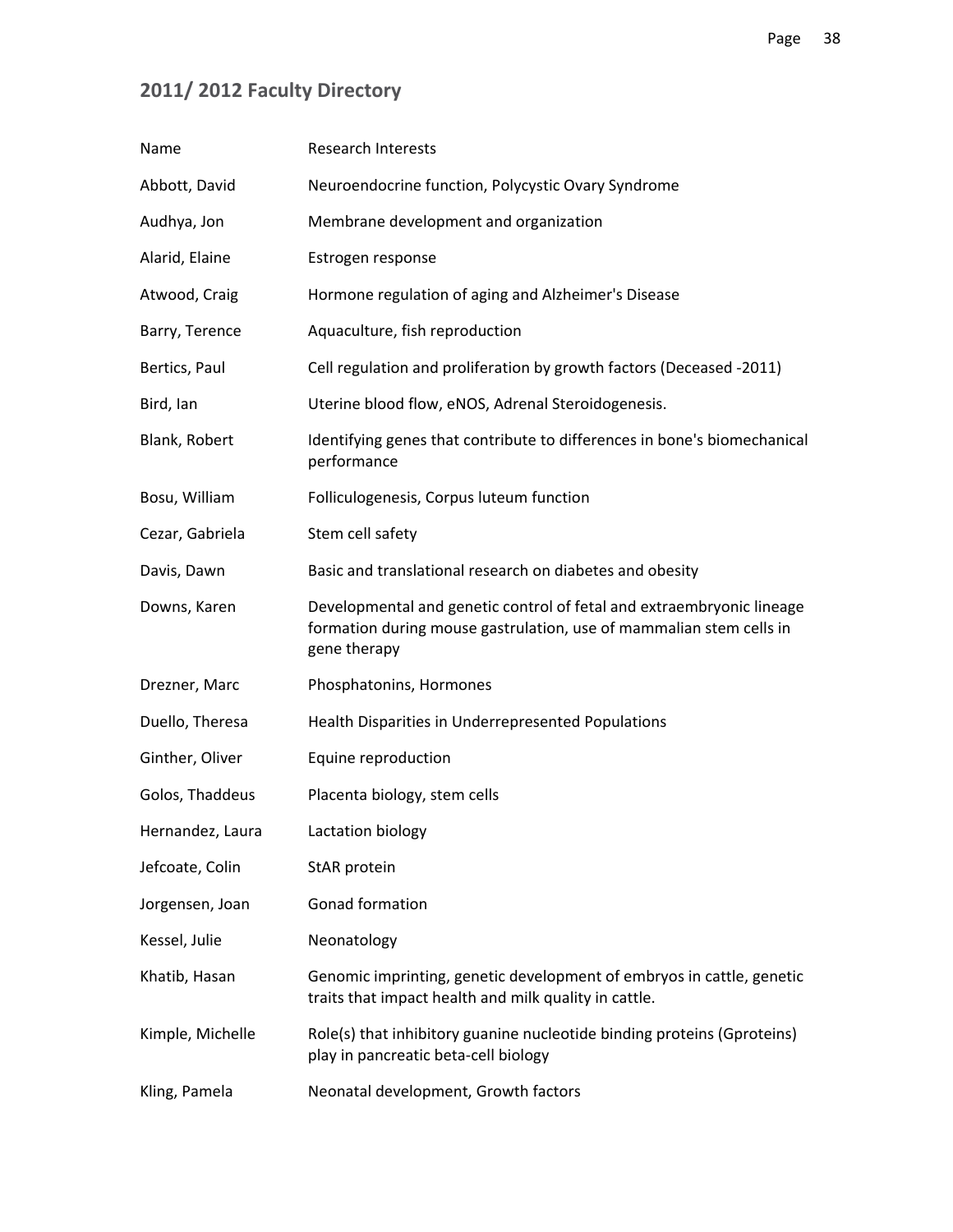# **2011/ 2012 Faculty Directory**

| Name             | <b>Research Interests</b>                                                                                                                                    |
|------------------|--------------------------------------------------------------------------------------------------------------------------------------------------------------|
| Abbott, David    | Neuroendocrine function, Polycystic Ovary Syndrome                                                                                                           |
| Audhya, Jon      | Membrane development and organization                                                                                                                        |
| Alarid, Elaine   | Estrogen response                                                                                                                                            |
| Atwood, Craig    | Hormone regulation of aging and Alzheimer's Disease                                                                                                          |
| Barry, Terence   | Aquaculture, fish reproduction                                                                                                                               |
| Bertics, Paul    | Cell regulation and proliferation by growth factors (Deceased -2011)                                                                                         |
| Bird, lan        | Uterine blood flow, eNOS, Adrenal Steroidogenesis.                                                                                                           |
| Blank, Robert    | Identifying genes that contribute to differences in bone's biomechanical<br>performance                                                                      |
| Bosu, William    | Folliculogenesis, Corpus luteum function                                                                                                                     |
| Cezar, Gabriela  | Stem cell safety                                                                                                                                             |
| Davis, Dawn      | Basic and translational research on diabetes and obesity                                                                                                     |
| Downs, Karen     | Developmental and genetic control of fetal and extraembryonic lineage<br>formation during mouse gastrulation, use of mammalian stem cells in<br>gene therapy |
| Drezner, Marc    | Phosphatonins, Hormones                                                                                                                                      |
| Duello, Theresa  | Health Disparities in Underrepresented Populations                                                                                                           |
| Ginther, Oliver  | Equine reproduction                                                                                                                                          |
| Golos, Thaddeus  | Placenta biology, stem cells                                                                                                                                 |
| Hernandez, Laura | Lactation biology                                                                                                                                            |
| Jefcoate, Colin  | StAR protein                                                                                                                                                 |
| Jorgensen, Joan  | Gonad formation                                                                                                                                              |
| Kessel, Julie    | Neonatology                                                                                                                                                  |
| Khatib, Hasan    | Genomic imprinting, genetic development of embryos in cattle, genetic<br>traits that impact health and milk quality in cattle.                               |
| Kimple, Michelle | Role(s) that inhibitory guanine nucleotide binding proteins (Gproteins)<br>play in pancreatic beta-cell biology                                              |
| Kling, Pamela    | Neonatal development, Growth factors                                                                                                                         |